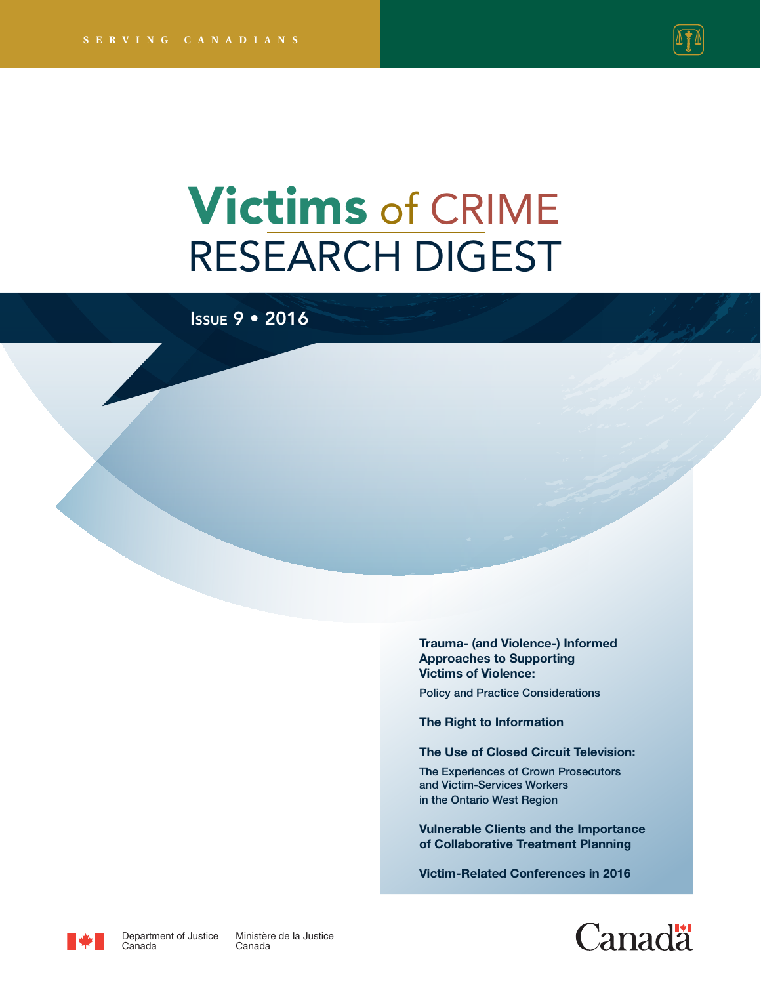

# Victims of CRIME RESEARCH DIGEST

Issue 9 • 2016

**[Trauma- \(and Violence-\) Informed](#page-4-0)  Approaches to Supporting Victims of Violence:** 

Policy and Practice Considerations

**[The Right to Information](#page-17-0)**

**[The Use of Closed Circuit Television:](#page-25-0)** 

The Experiences of Crown Prosecutors and Victim-Services Workers in the Ontario West Region

**[Vulnerable Clients and the Importance](#page-31-0)  of Collaborative Treatment Planning**

**[Victim-Related Conferences in 2016](#page-39-0)**





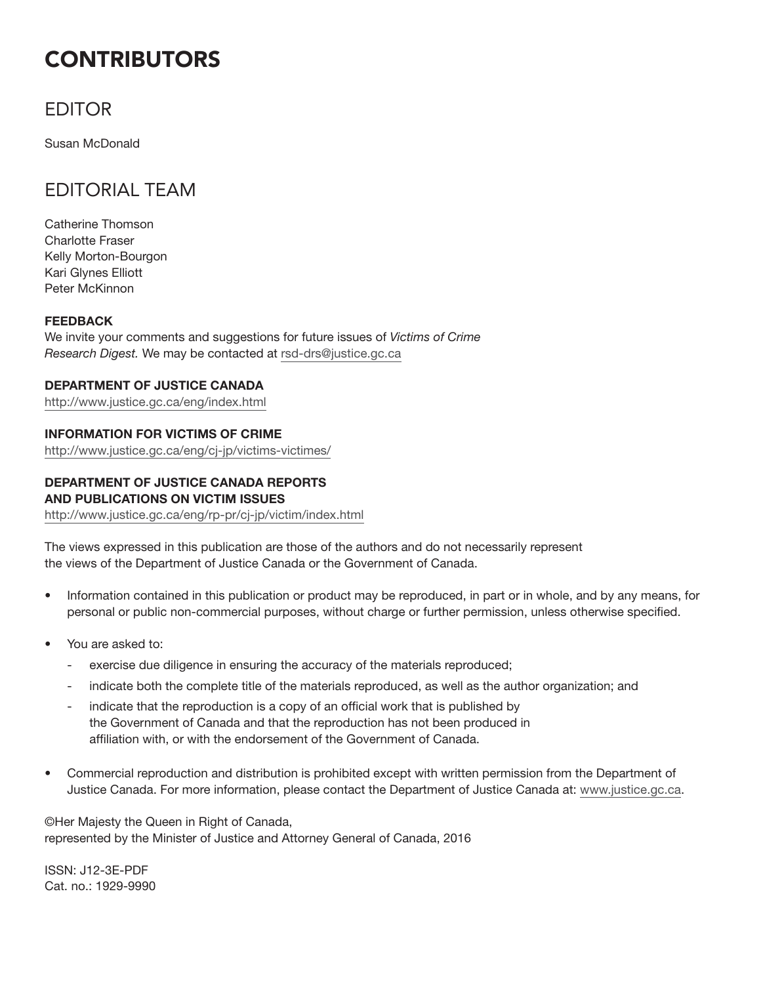## **CONTRIBUTORS**

## EDITOR

Susan McDonald

## EDITORIAL TEAM

Catherine Thomson Charlotte Fraser Kelly Morton-Bourgon Kari Glynes Elliott Peter McKinnon

### **FEEDBACK**

We invite your comments and suggestions for future issues of *Victims of Crime Research Digest.* We may be contacted at rsd-drs@justice.gc.ca

### **DEPARTMENT OF JUSTICE CANADA**

http://www.justice.gc.ca/eng/index.html

### **INFORMATION FOR VICTIMS OF CRIME**

http://www.justice.gc.ca/eng/cj-jp/victims-victimes/

### **DEPARTMENT OF JUSTICE CANADA REPORTS AND PUBLICATIONS ON VICTIM ISSUES**

http://www.justice.gc.ca/eng/rp-pr/cj-jp/victim/index.html

The views expressed in this publication are those of the authors and do not necessarily represent the views of the Department of Justice Canada or the Government of Canada.

- Information contained in this publication or product may be reproduced, in part or in whole, and by any means, for personal or public non-commercial purposes, without charge or further permission, unless otherwise specified.
- You are asked to:
	- exercise due diligence in ensuring the accuracy of the materials reproduced;
	- indicate both the complete title of the materials reproduced, as well as the author organization; and
	- indicate that the reproduction is a copy of an official work that is published by the Government of Canada and that the reproduction has not been produced in affiliation with, or with the endorsement of the Government of Canada.
- Commercial reproduction and distribution is prohibited except with written permission from the Department of Justice Canada. For more information, please contact the Department of Justice Canada at: www.justice.gc.ca.

©Her Majesty the Queen in Right of Canada, represented by the Minister of Justice and Attorney General of Canada, 2016

ISSN: J12-3E-PDF Cat. no.: 1929-9990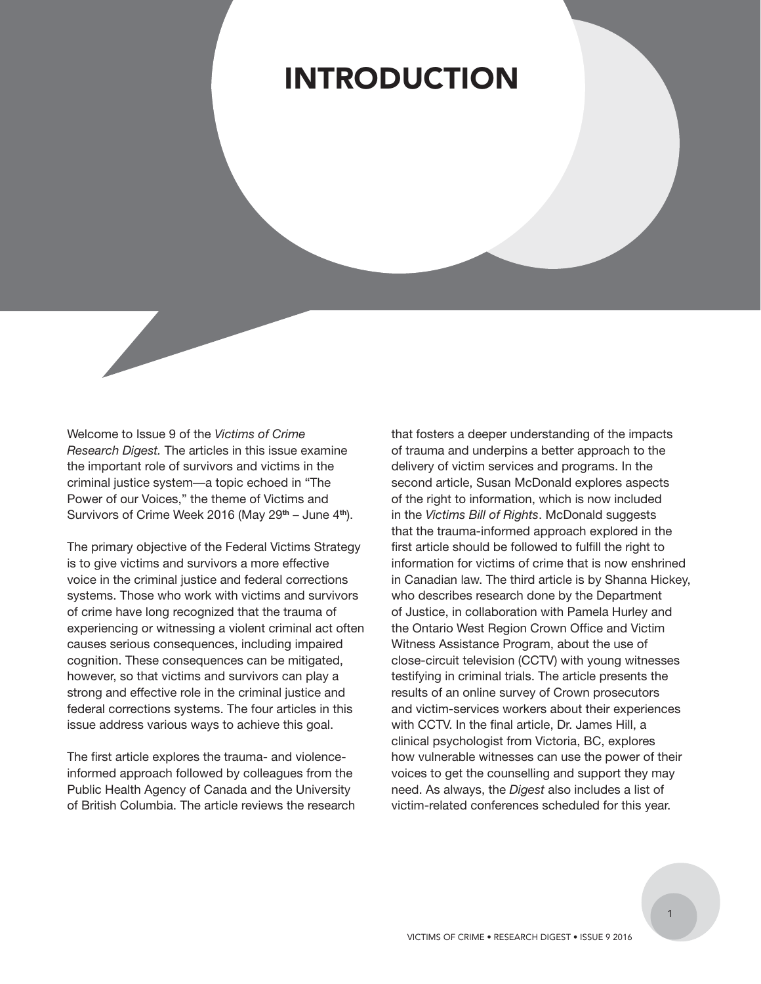## INTRODUCTION

Welcome to Issue 9 of the *Victims of Crime Research Digest.* The articles in this issue examine the important role of survivors and victims in the criminal justice system—a topic echoed in "The Power of our Voices," the theme of Victims and Survivors of Crime Week 2016 (May 29**th** – June 4**th**).

The primary objective of the Federal Victims Strategy is to give victims and survivors a more effective voice in the criminal justice and federal corrections systems. Those who work with victims and survivors of crime have long recognized that the trauma of experiencing or witnessing a violent criminal act often causes serious consequences, including impaired cognition. These consequences can be mitigated, however, so that victims and survivors can play a strong and effective role in the criminal justice and federal corrections systems. The four articles in this issue address various ways to achieve this goal.

The first article explores the trauma- and violenceinformed approach followed by colleagues from the Public Health Agency of Canada and the University of British Columbia. The article reviews the research that fosters a deeper understanding of the impacts of trauma and underpins a better approach to the delivery of victim services and programs. In the second article, Susan McDonald explores aspects of the right to information, which is now included in the *Victims Bill of Rights*. McDonald suggests that the trauma-informed approach explored in the first article should be followed to fulfill the right to information for victims of crime that is now enshrined in Canadian law. The third article is by Shanna Hickey, who describes research done by the Department of Justice, in collaboration with Pamela Hurley and the Ontario West Region Crown Office and Victim Witness Assistance Program, about the use of close-circuit television (CCTV) with young witnesses testifying in criminal trials. The article presents the results of an online survey of Crown prosecutors and victim-services workers about their experiences with CCTV. In the final article, Dr. James Hill, a clinical psychologist from Victoria, BC, explores how vulnerable witnesses can use the power of their voices to get the counselling and support they may need. As always, the *Digest* also includes a list of victim-related conferences scheduled for this year.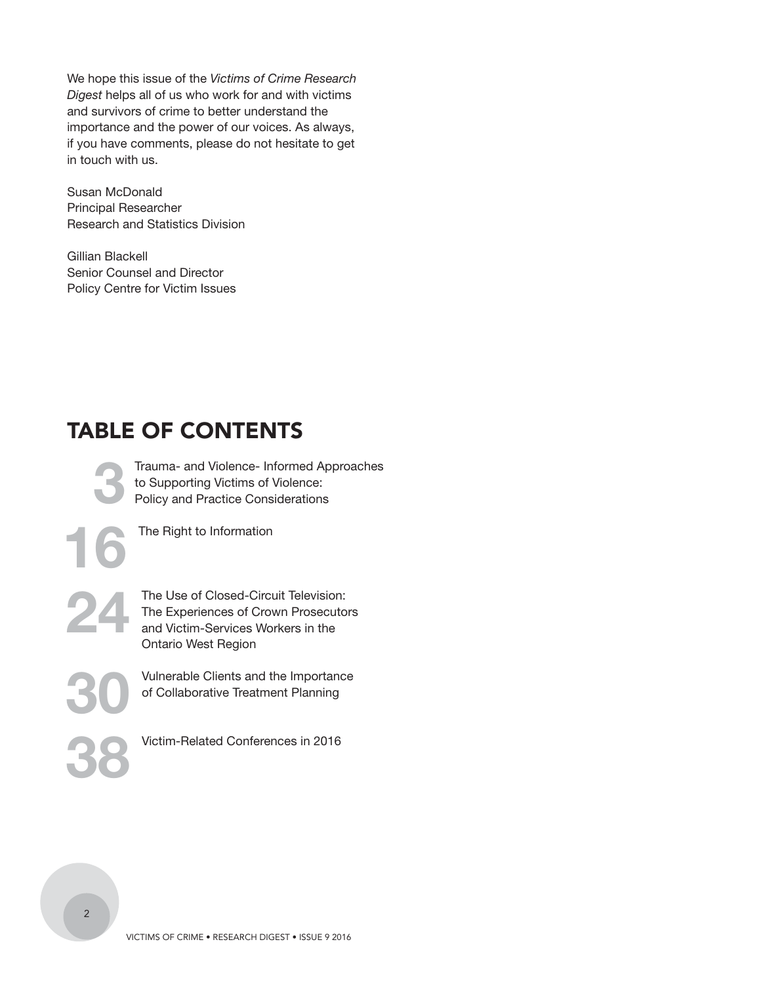We hope this issue of the *Victims of Crime Research Digest* helps all of us who work for and with victims and survivors of crime to better understand the importance and the power of our voices. As always, if you have comments, please do not hesitate to get in touch with us.

Susan McDonald Principal Researcher Research and Statistics Division

Gillian Blackell Senior Counsel and Director Policy Centre for Victim Issues

## TABLE OF CONTENTS

**[3](#page-4-0)** [Trauma- and Violence- Informed Approaches](#page-4-0)  to Supporting Victims of Violence: Policy and Practice Considerations

**[16](#page-17-0)** [The Right to Information](#page-17-0) 

The Use of Closed-Circuit Television:<br>
The Experiences of Crown Prosecutor<br>
and Victim-Services Workers in the The Experiences of Crown Prosecutors and Victim-Services Workers in the Ontario West Region

> **[30](#page-31-0)** Vulnerable Clients and the Importance of Collaborative Treatment Planning

**[38](#page-39-0)** Victim-Related Conferences in 2016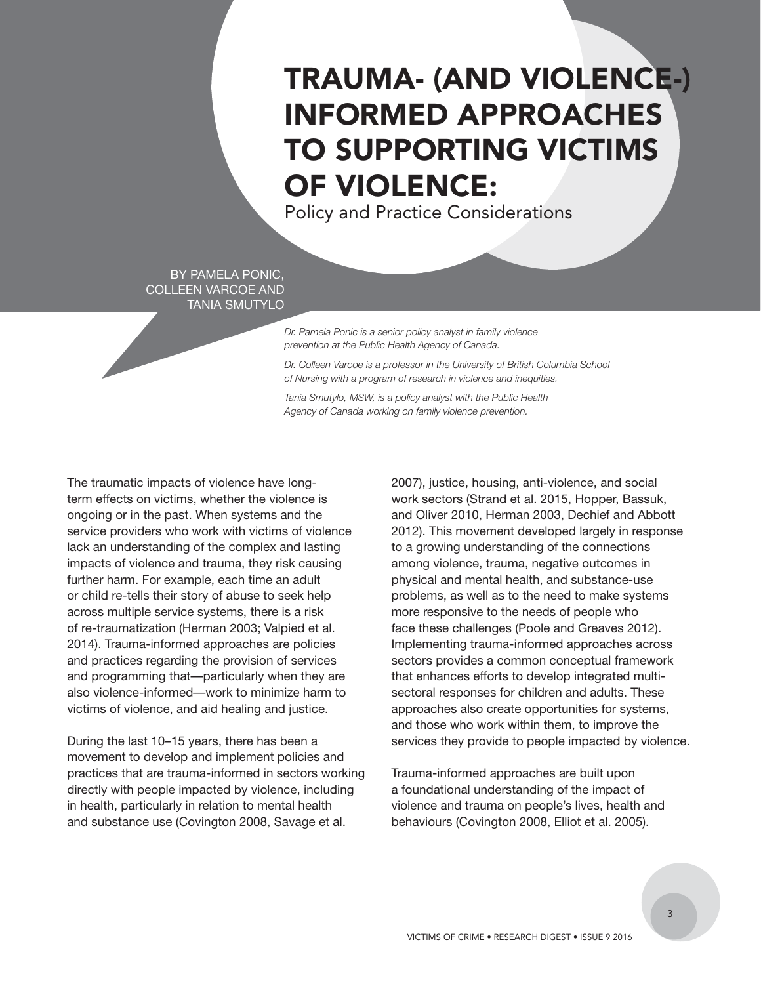## <span id="page-4-0"></span>TRAUMA- (AND VIOLENCE-) INFORMED APPROACHES TO SUPPORTING VICTIMS OF VIOLENCE:

Policy and Practice Considerations

BY PAMELA PONIC, COLLEEN VARCOE AND TANIA SMUTYLO

> *Dr. Pamela Ponic is a senior policy analyst in family violence prevention at the Public Health Agency of Canada.*

*Dr. Colleen Varcoe is a professor in the University of British Columbia School of Nursing with a program of research in violence and inequities.*

*Tania Smutylo, MSW, is a policy analyst with the Public Health Agency of Canada working on family violence prevention.*

The traumatic impacts of violence have longterm effects on victims, whether the violence is ongoing or in the past. When systems and the service providers who work with victims of violence lack an understanding of the complex and lasting impacts of violence and trauma, they risk causing further harm. For example, each time an adult or child re-tells their story of abuse to seek help across multiple service systems, there is a risk of re-traumatization (Herman 2003; Valpied et al. 2014). Trauma-informed approaches are policies and practices regarding the provision of services and programming that—particularly when they are also violence-informed—work to minimize harm to victims of violence, and aid healing and justice.

During the last 10–15 years, there has been a movement to develop and implement policies and practices that are trauma-informed in sectors working directly with people impacted by violence, including in health, particularly in relation to mental health and substance use (Covington 2008, Savage et al.

2007), justice, housing, anti-violence, and social work sectors (Strand et al. 2015, Hopper, Bassuk, and Oliver 2010, Herman 2003, Dechief and Abbott 2012). This movement developed largely in response to a growing understanding of the connections among violence, trauma, negative outcomes in physical and mental health, and substance-use problems, as well as to the need to make systems more responsive to the needs of people who face these challenges (Poole and Greaves 2012). Implementing trauma-informed approaches across sectors provides a common conceptual framework that enhances efforts to develop integrated multisectoral responses for children and adults. These approaches also create opportunities for systems, and those who work within them, to improve the services they provide to people impacted by violence.

Trauma-informed approaches are built upon a foundational understanding of the impact of violence and trauma on people's lives, health and behaviours (Covington 2008, Elliot et al. 2005).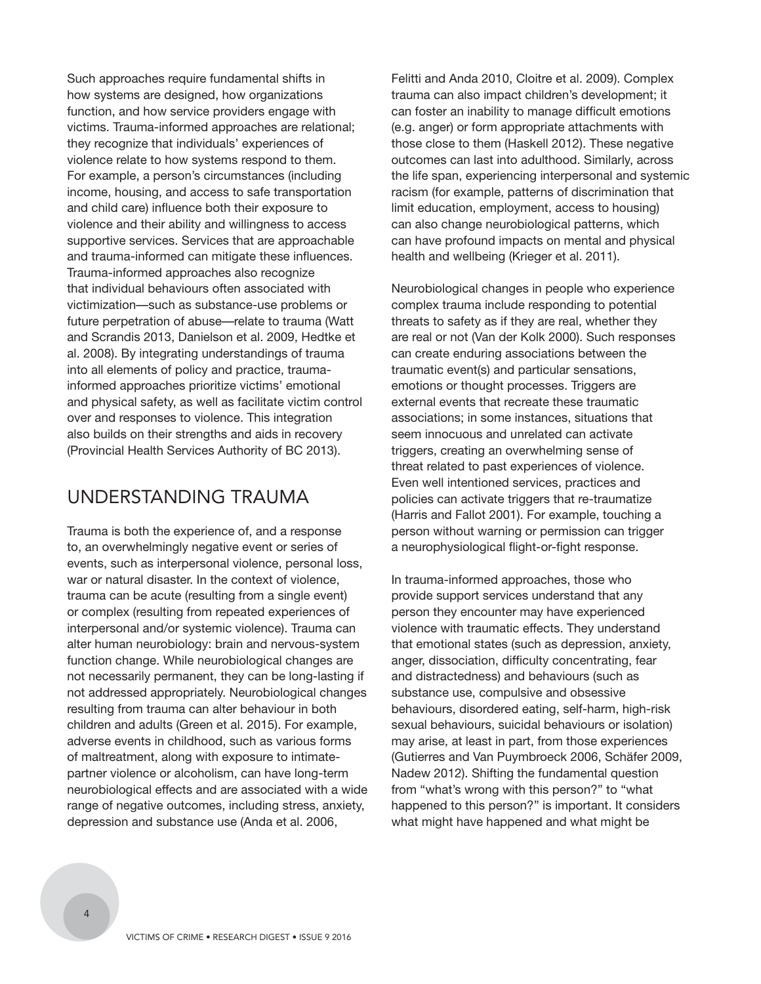Such approaches require fundamental shifts in how systems are designed, how organizations function, and how service providers engage with victims. Trauma-informed approaches are relational; they recognize that individuals' experiences of violence relate to how systems respond to them. For example, a person's circumstances (including income, housing, and access to safe transportation and child care) influence both their exposure to violence and their ability and willingness to access supportive services. Services that are approachable and trauma-informed can mitigate these influences. Trauma-informed approaches also recognize that individual behaviours often associated with victimization—such as substance-use problems or future perpetration of abuse—relate to trauma (Watt and Scrandis 2013, Danielson et al. 2009, Hedtke et al. 2008). By integrating understandings of trauma into all elements of policy and practice, traumainformed approaches prioritize victims' emotional and physical safety, as well as facilitate victim control over and responses to violence. This integration also builds on their strengths and aids in recovery (Provincial Health Services Authority of BC 2013).

## UNDERSTANDING TRAUMA

Trauma is both the experience of, and a response to, an overwhelmingly negative event or series of events, such as interpersonal violence, personal loss, war or natural disaster. In the context of violence, trauma can be acute (resulting from a single event) or complex (resulting from repeated experiences of interpersonal and/or systemic violence). Trauma can alter human neurobiology: brain and nervous-system function change. While neurobiological changes are not necessarily permanent, they can be long-lasting if not addressed appropriately. Neurobiological changes resulting from trauma can alter behaviour in both children and adults (Green et al. 2015). For example, adverse events in childhood, such as various forms of maltreatment, along with exposure to intimatepartner violence or alcoholism, can have long-term neurobiological effects and are associated with a wide range of negative outcomes, including stress, anxiety, depression and substance use (Anda et al. 2006,

Felitti and Anda 2010, Cloitre et al. 2009). Complex trauma can also impact children's development; it can foster an inability to manage difficult emotions (e.g. anger) or form appropriate attachments with those close to them (Haskell 2012). These negative outcomes can last into adulthood. Similarly, across the life span, experiencing interpersonal and systemic racism (for example, patterns of discrimination that limit education, employment, access to housing) can also change neurobiological patterns, which can have profound impacts on mental and physical health and wellbeing (Krieger et al. 2011).

Neurobiological changes in people who experience complex trauma include responding to potential threats to safety as if they are real, whether they are real or not (Van der Kolk 2000). Such responses can create enduring associations between the traumatic event(s) and particular sensations, emotions or thought processes. Triggers are external events that recreate these traumatic associations; in some instances, situations that seem innocuous and unrelated can activate triggers, creating an overwhelming sense of threat related to past experiences of violence. Even well intentioned services, practices and policies can activate triggers that re-traumatize (Harris and Fallot 2001). For example, touching a person without warning or permission can trigger a neurophysiological flight-or-fight response.

In trauma-informed approaches, those who provide support services understand that any person they encounter may have experienced violence with traumatic effects. They understand that emotional states (such as depression, anxiety, anger, dissociation, difficulty concentrating, fear and distractedness) and behaviours (such as substance use, compulsive and obsessive behaviours, disordered eating, self-harm, high-risk sexual behaviours, suicidal behaviours or isolation) may arise, at least in part, from those experiences (Gutierres and Van Puymbroeck 2006, Schäfer 2009, Nadew 2012). Shifting the fundamental question from "what's wrong with this person?" to "what happened to this person?" is important. It considers what might have happened and what might be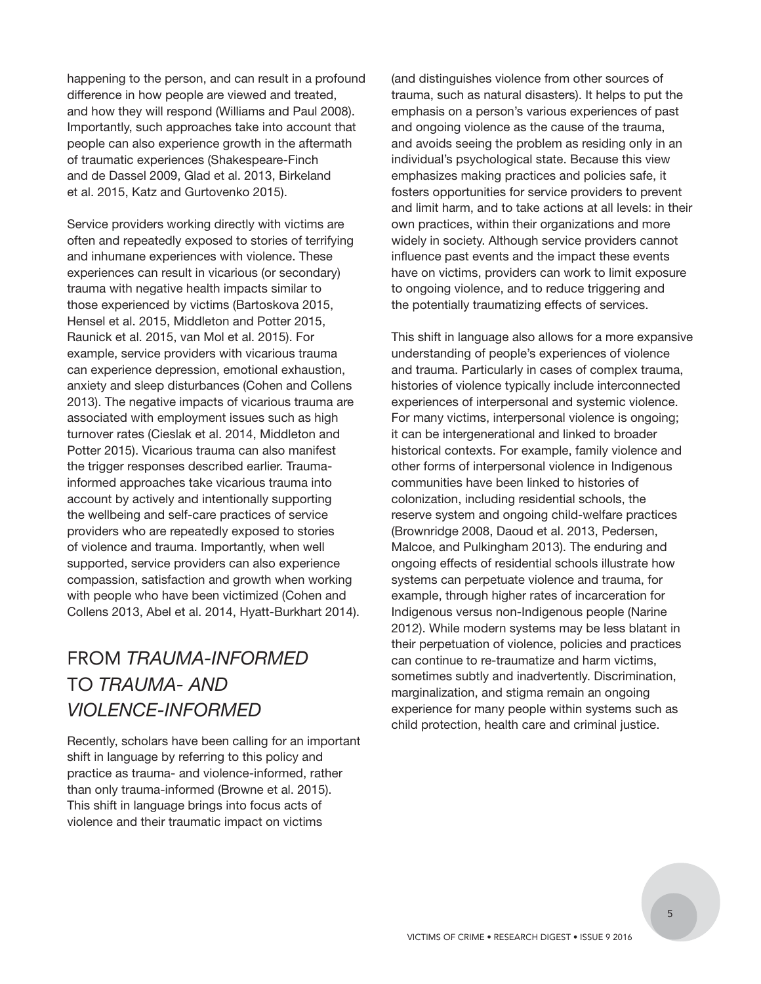happening to the person, and can result in a profound difference in how people are viewed and treated, and how they will respond (Williams and Paul 2008). Importantly, such approaches take into account that people can also experience growth in the aftermath of traumatic experiences (Shakespeare-Finch and de Dassel 2009, Glad et al. 2013, Birkeland et al. 2015, Katz and Gurtovenko 2015).

Service providers working directly with victims are often and repeatedly exposed to stories of terrifying and inhumane experiences with violence. These experiences can result in vicarious (or secondary) trauma with negative health impacts similar to those experienced by victims (Bartoskova 2015, Hensel et al. 2015, Middleton and Potter 2015, Raunick et al. 2015, van Mol et al. 2015). For example, service providers with vicarious trauma can experience depression, emotional exhaustion, anxiety and sleep disturbances (Cohen and Collens 2013). The negative impacts of vicarious trauma are associated with employment issues such as high turnover rates (Cieslak et al. 2014, Middleton and Potter 2015). Vicarious trauma can also manifest the trigger responses described earlier. Traumainformed approaches take vicarious trauma into account by actively and intentionally supporting the wellbeing and self-care practices of service providers who are repeatedly exposed to stories of violence and trauma. Importantly, when well supported, service providers can also experience compassion, satisfaction and growth when working with people who have been victimized (Cohen and Collens 2013, Abel et al. 2014, Hyatt-Burkhart 2014).

## FROM *TRAUMA-INFORMED* TO *TRAUMA- AND VIOLENCE-INFORMED*

Recently, scholars have been calling for an important shift in language by referring to this policy and practice as trauma- and violence-informed, rather than only trauma-informed (Browne et al. 2015). This shift in language brings into focus acts of violence and their traumatic impact on victims

(and distinguishes violence from other sources of trauma, such as natural disasters). It helps to put the emphasis on a person's various experiences of past and ongoing violence as the cause of the trauma, and avoids seeing the problem as residing only in an individual's psychological state. Because this view emphasizes making practices and policies safe, it fosters opportunities for service providers to prevent and limit harm, and to take actions at all levels: in their own practices, within their organizations and more widely in society. Although service providers cannot influence past events and the impact these events have on victims, providers can work to limit exposure to ongoing violence, and to reduce triggering and the potentially traumatizing effects of services.

This shift in language also allows for a more expansive understanding of people's experiences of violence and trauma. Particularly in cases of complex trauma, histories of violence typically include interconnected experiences of interpersonal and systemic violence. For many victims, interpersonal violence is ongoing; it can be intergenerational and linked to broader historical contexts. For example, family violence and other forms of interpersonal violence in Indigenous communities have been linked to histories of colonization, including residential schools, the reserve system and ongoing child-welfare practices (Brownridge 2008, Daoud et al. 2013, Pedersen, Malcoe, and Pulkingham 2013). The enduring and ongoing effects of residential schools illustrate how systems can perpetuate violence and trauma, for example, through higher rates of incarceration for Indigenous versus non-Indigenous people (Narine 2012). While modern systems may be less blatant in their perpetuation of violence, policies and practices can continue to re-traumatize and harm victims, sometimes subtly and inadvertently. Discrimination, marginalization, and stigma remain an ongoing experience for many people within systems such as child protection, health care and criminal justice.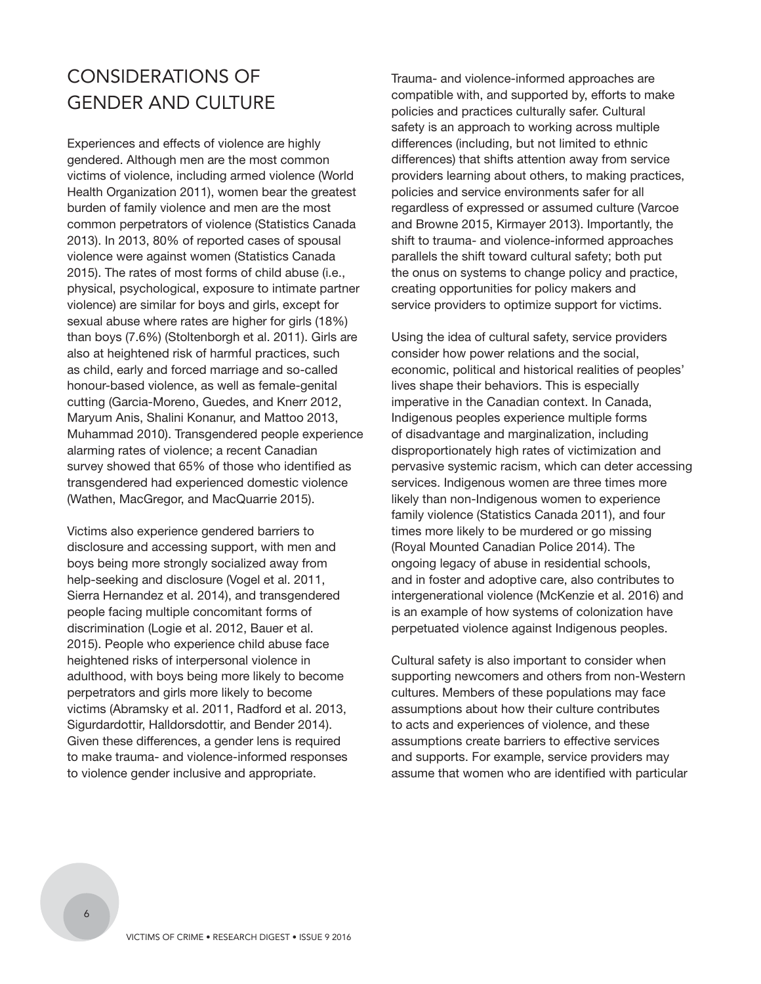## CONSIDERATIONS OF GENDER AND CULTURE

Experiences and effects of violence are highly gendered. Although men are the most common victims of violence, including armed violence (World Health Organization 2011), women bear the greatest burden of family violence and men are the most common perpetrators of violence (Statistics Canada 2013). In 2013, 80% of reported cases of spousal violence were against women (Statistics Canada 2015). The rates of most forms of child abuse (i.e., physical, psychological, exposure to intimate partner violence) are similar for boys and girls, except for sexual abuse where rates are higher for girls (18%) than boys (7.6%) (Stoltenborgh et al. 2011). Girls are also at heightened risk of harmful practices, such as child, early and forced marriage and so-called honour-based violence, as well as female-genital cutting (Garcia-Moreno, Guedes, and Knerr 2012, Maryum Anis, Shalini Konanur, and Mattoo 2013, Muhammad 2010). Transgendered people experience alarming rates of violence; a recent Canadian survey showed that 65% of those who identified as transgendered had experienced domestic violence (Wathen, MacGregor, and MacQuarrie 2015).

Victims also experience gendered barriers to disclosure and accessing support, with men and boys being more strongly socialized away from help-seeking and disclosure (Vogel et al. 2011, Sierra Hernandez et al. 2014), and transgendered people facing multiple concomitant forms of discrimination (Logie et al. 2012, Bauer et al. 2015). People who experience child abuse face heightened risks of interpersonal violence in adulthood, with boys being more likely to become perpetrators and girls more likely to become victims (Abramsky et al. 2011, Radford et al. 2013, Sigurdardottir, Halldorsdottir, and Bender 2014). Given these differences, a gender lens is required to make trauma- and violence-informed responses to violence gender inclusive and appropriate.

Trauma- and violence-informed approaches are compatible with, and supported by, efforts to make policies and practices culturally safer. Cultural safety is an approach to working across multiple differences (including, but not limited to ethnic differences) that shifts attention away from service providers learning about others, to making practices, policies and service environments safer for all regardless of expressed or assumed culture (Varcoe and Browne 2015, Kirmayer 2013). Importantly, the shift to trauma- and violence-informed approaches parallels the shift toward cultural safety; both put the onus on systems to change policy and practice, creating opportunities for policy makers and service providers to optimize support for victims.

Using the idea of cultural safety, service providers consider how power relations and the social, economic, political and historical realities of peoples' lives shape their behaviors. This is especially imperative in the Canadian context. In Canada, Indigenous peoples experience multiple forms of disadvantage and marginalization, including disproportionately high rates of victimization and pervasive systemic racism, which can deter accessing services. Indigenous women are three times more likely than non-Indigenous women to experience family violence (Statistics Canada 2011), and four times more likely to be murdered or go missing (Royal Mounted Canadian Police 2014). The ongoing legacy of abuse in residential schools, and in foster and adoptive care, also contributes to intergenerational violence (McKenzie et al. 2016) and is an example of how systems of colonization have perpetuated violence against Indigenous peoples.

Cultural safety is also important to consider when supporting newcomers and others from non-Western cultures. Members of these populations may face assumptions about how their culture contributes to acts and experiences of violence, and these assumptions create barriers to effective services and supports. For example, service providers may assume that women who are identified with particular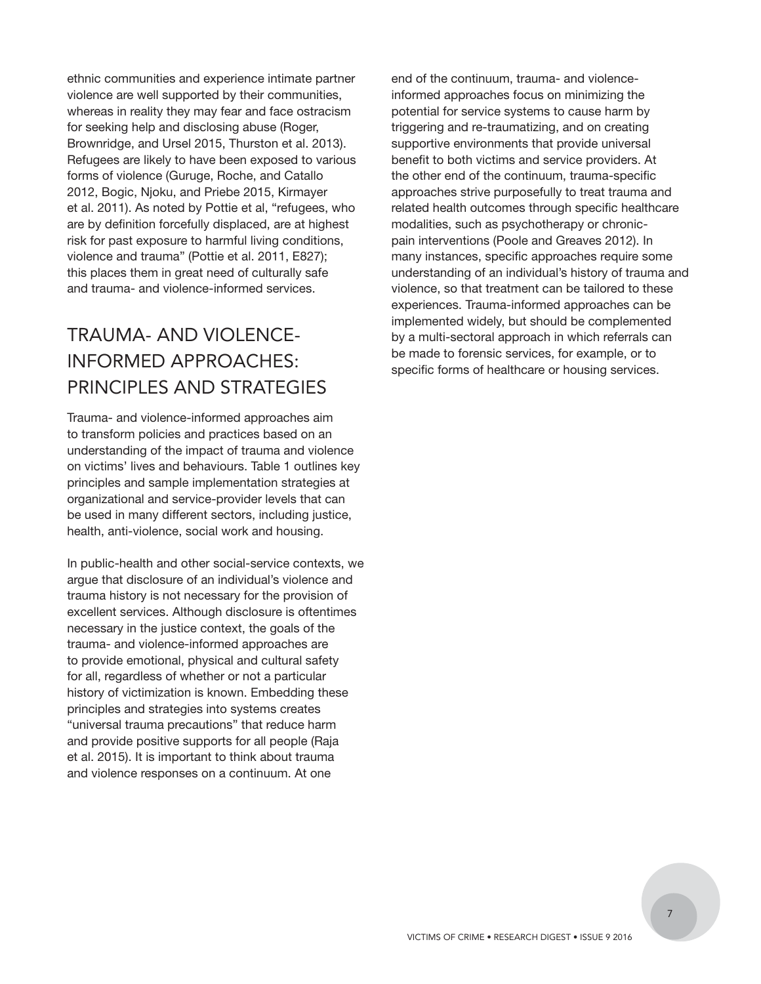ethnic communities and experience intimate partner violence are well supported by their communities, whereas in reality they may fear and face ostracism for seeking help and disclosing abuse (Roger, Brownridge, and Ursel 2015, Thurston et al. 2013). Refugees are likely to have been exposed to various forms of violence (Guruge, Roche, and Catallo 2012, Bogic, Njoku, and Priebe 2015, Kirmayer et al. 2011). As noted by Pottie et al, "refugees, who are by definition forcefully displaced, are at highest risk for past exposure to harmful living conditions, violence and trauma" (Pottie et al. 2011, E827); this places them in great need of culturally safe and trauma- and violence-informed services.

## TRAUMA- AND VIOLENCE-INFORMED APPROACHES: PRINCIPLES AND STRATEGIES

Trauma- and violence-informed approaches aim to transform policies and practices based on an understanding of the impact of trauma and violence on victims' lives and behaviours. Table 1 outlines key principles and sample implementation strategies at organizational and service-provider levels that can be used in many different sectors, including justice, health, anti-violence, social work and housing.

In public-health and other social-service contexts, we argue that disclosure of an individual's violence and trauma history is not necessary for the provision of excellent services. Although disclosure is oftentimes necessary in the justice context, the goals of the trauma- and violence-informed approaches are to provide emotional, physical and cultural safety for all, regardless of whether or not a particular history of victimization is known. Embedding these principles and strategies into systems creates "universal trauma precautions" that reduce harm and provide positive supports for all people (Raja et al. 2015). It is important to think about trauma and violence responses on a continuum. At one

end of the continuum, trauma- and violenceinformed approaches focus on minimizing the potential for service systems to cause harm by triggering and re-traumatizing, and on creating supportive environments that provide universal benefit to both victims and service providers. At the other end of the continuum, trauma-specific approaches strive purposefully to treat trauma and related health outcomes through specific healthcare modalities, such as psychotherapy or chronicpain interventions (Poole and Greaves 2012). In many instances, specific approaches require some understanding of an individual's history of trauma and violence, so that treatment can be tailored to these experiences. Trauma-informed approaches can be implemented widely, but should be complemented by a multi-sectoral approach in which referrals can be made to forensic services, for example, or to specific forms of healthcare or housing services.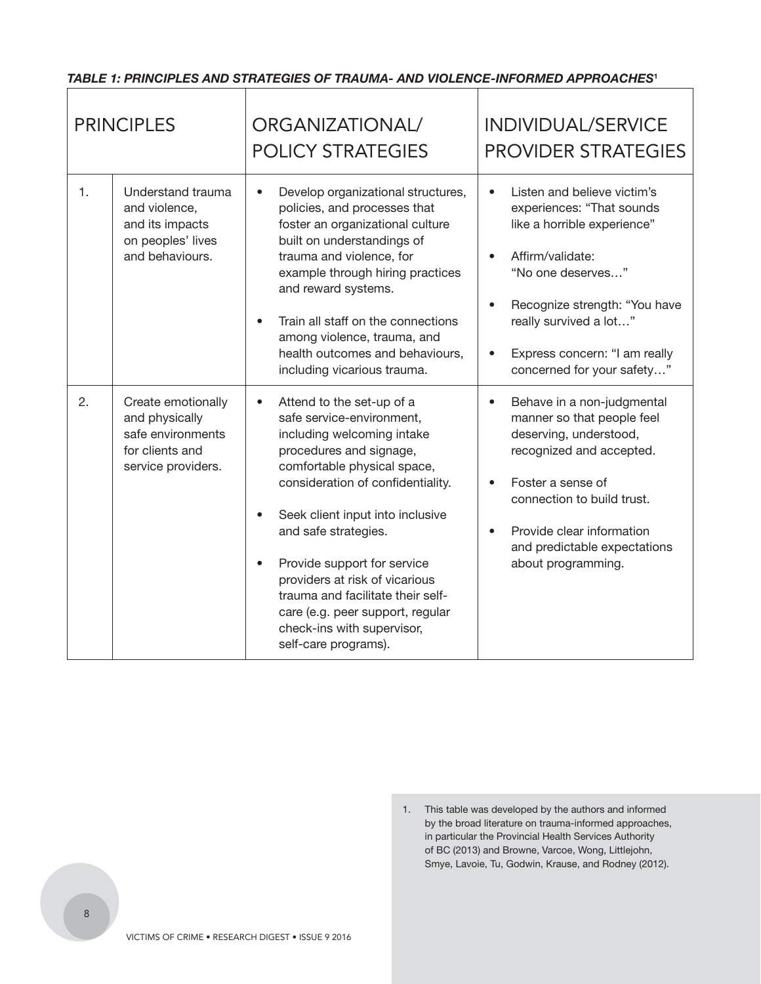#### *TABLE 1: PRINCIPLES AND STRATEGIES OF TRAUMA- AND VIOLENCE-INFORMED APPROACHES***<sup>1</sup>**  $\Gamma$

٦

т

| <b>PRINCIPLES</b> |                                                                                                    | ORGANIZATIONAL/<br><b>POLICY STRATEGIES</b>                                                                                                                                                                                                                                                                                                                                                                                                                  | INDIVIDUAL/SERVICE<br><b>PROVIDER STRATEGIES</b>                                                                                                                                                                                                                                     |
|-------------------|----------------------------------------------------------------------------------------------------|--------------------------------------------------------------------------------------------------------------------------------------------------------------------------------------------------------------------------------------------------------------------------------------------------------------------------------------------------------------------------------------------------------------------------------------------------------------|--------------------------------------------------------------------------------------------------------------------------------------------------------------------------------------------------------------------------------------------------------------------------------------|
| $\mathbf{1}$ .    | Understand trauma<br>and violence,<br>and its impacts<br>on peoples' lives<br>and behaviours.      | Develop organizational structures,<br>$\bullet$<br>policies, and processes that<br>foster an organizational culture<br>built on understandings of<br>trauma and violence, for<br>example through hiring practices<br>and reward systems.<br>Train all staff on the connections<br>among violence, trauma, and<br>health outcomes and behaviours,<br>including vicarious trauma.                                                                              | Listen and believe victim's<br>experiences: "That sounds<br>like a horrible experience"<br>Affirm/validate:<br>$\bullet$<br>"No one deserves"<br>Recognize strength: "You have<br>really survived a lot"<br>Express concern: "I am really<br>$\bullet$<br>concerned for your safety" |
| 2.                | Create emotionally<br>and physically<br>safe environments<br>for clients and<br>service providers. | Attend to the set-up of a<br>$\bullet$<br>safe service-environment,<br>including welcoming intake<br>procedures and signage,<br>comfortable physical space,<br>consideration of confidentiality.<br>Seek client input into inclusive<br>and safe strategies.<br>Provide support for service<br>providers at risk of vicarious<br>trauma and facilitate their self-<br>care (e.g. peer support, regular<br>check-ins with supervisor,<br>self-care programs). | Behave in a non-judgmental<br>$\bullet$<br>manner so that people feel<br>deserving, understood,<br>recognized and accepted.<br>Foster a sense of<br>$\bullet$<br>connection to build trust.<br>Provide clear information<br>and predictable expectations<br>about programming.       |

<sup>1.</sup> This table was developed by the authors and informed by the broad literature on trauma-informed approaches, in particular the Provincial Health Services Authority of BC (2013) and Browne, Varcoe, Wong, Littlejohn, Smye, Lavoie, Tu, Godwin, Krause, and Rodney (2012).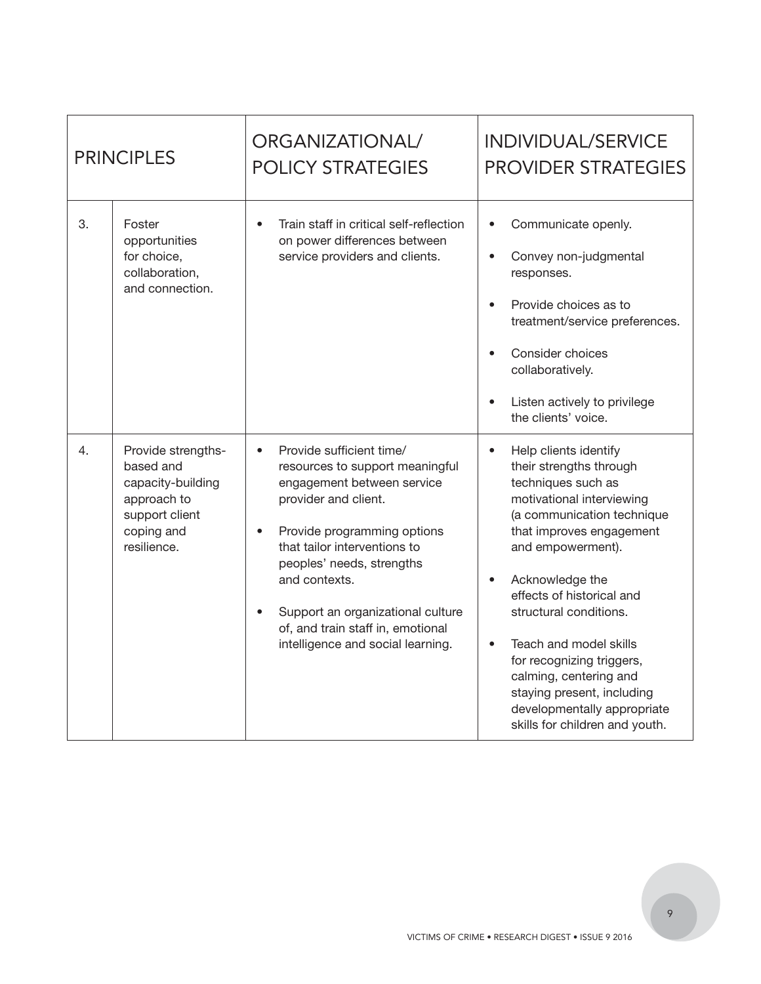| <b>PRINCIPLES</b> |                                                                                                                    | ORGANIZATIONAL/<br><b>POLICY STRATEGIES</b>                                                                                                                                                                                                                                                                                                                             | INDIVIDUAL/SERVICE<br><b>PROVIDER STRATEGIES</b>                                                                                                                                                                                                                                                                                                                                                                                                                                    |
|-------------------|--------------------------------------------------------------------------------------------------------------------|-------------------------------------------------------------------------------------------------------------------------------------------------------------------------------------------------------------------------------------------------------------------------------------------------------------------------------------------------------------------------|-------------------------------------------------------------------------------------------------------------------------------------------------------------------------------------------------------------------------------------------------------------------------------------------------------------------------------------------------------------------------------------------------------------------------------------------------------------------------------------|
| 3.                | Foster<br>opportunities<br>for choice,<br>collaboration,<br>and connection.                                        | Train staff in critical self-reflection<br>$\bullet$<br>on power differences between<br>service providers and clients.                                                                                                                                                                                                                                                  | Communicate openly.<br>$\bullet$<br>Convey non-judgmental<br>$\bullet$<br>responses.<br>Provide choices as to<br>$\bullet$<br>treatment/service preferences.<br>Consider choices<br>$\bullet$<br>collaboratively.<br>Listen actively to privilege<br>$\bullet$<br>the clients' voice.                                                                                                                                                                                               |
| 4.                | Provide strengths-<br>based and<br>capacity-building<br>approach to<br>support client<br>coping and<br>resilience. | Provide sufficient time/<br>$\bullet$<br>resources to support meaningful<br>engagement between service<br>provider and client.<br>Provide programming options<br>$\bullet$<br>that tailor interventions to<br>peoples' needs, strengths<br>and contexts.<br>Support an organizational culture<br>of, and train staff in, emotional<br>intelligence and social learning. | Help clients identify<br>$\bullet$<br>their strengths through<br>techniques such as<br>motivational interviewing<br>(a communication technique<br>that improves engagement<br>and empowerment).<br>Acknowledge the<br>$\bullet$<br>effects of historical and<br>structural conditions.<br>Teach and model skills<br>$\bullet$<br>for recognizing triggers,<br>calming, centering and<br>staying present, including<br>developmentally appropriate<br>skills for children and youth. |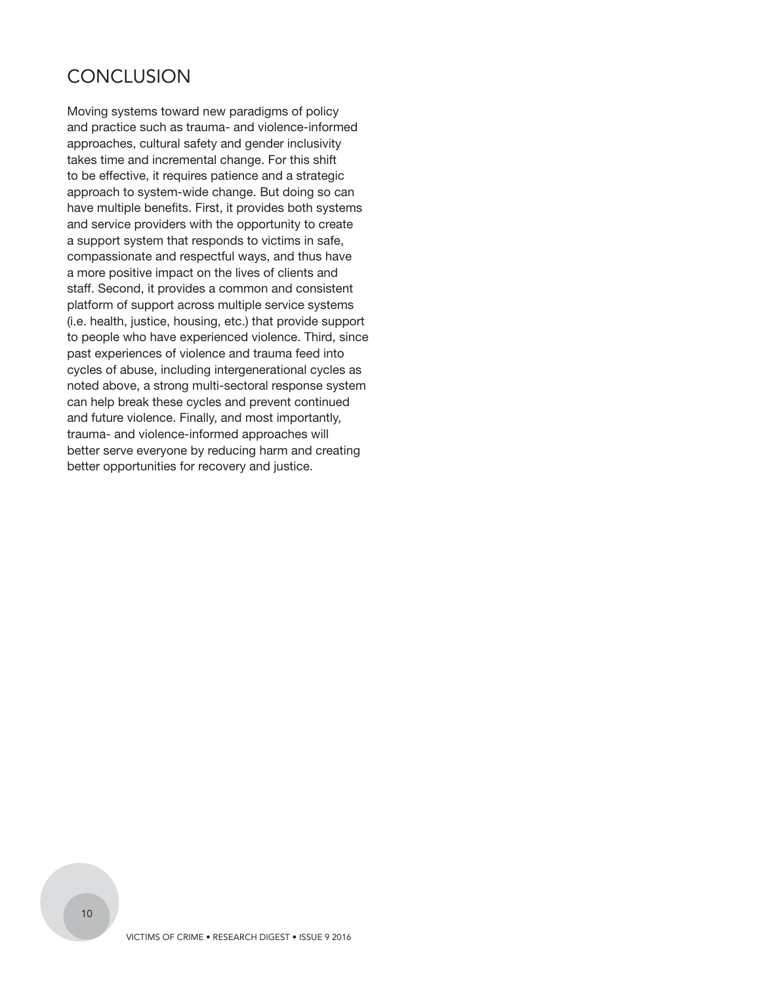## **CONCLUSION**

Moving systems toward new paradigms of policy and practice such as trauma- and violence-informed approaches, cultural safety and gender inclusivity takes time and incremental change. For this shift to be effective, it requires patience and a strategic approach to system-wide change. But doing so can have multiple benefits. First, it provides both systems and service providers with the opportunity to create a support system that responds to victims in safe, compassionate and respectful ways, and thus have a more positive impact on the lives of clients and staff. Second, it provides a common and consistent platform of support across multiple service systems (i.e. health, justice, housing, etc.) that provide support to people who have experienced violence. Third, since past experiences of violence and trauma feed into cycles of abuse, including intergenerational cycles as noted above, a strong multi-sectoral response system can help break these cycles and prevent continued and future violence. Finally, and most importantly, trauma- and violence-informed approaches will better serve everyone by reducing harm and creating better opportunities for recovery and justice.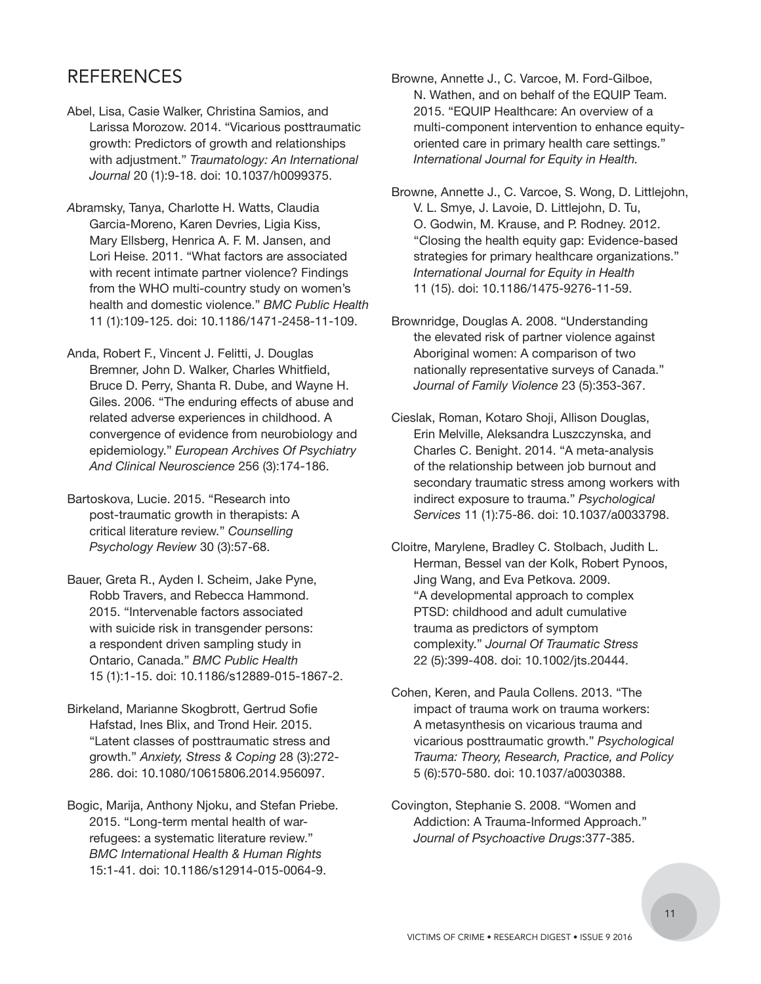## REFERENCES

- Abel, Lisa, Casie Walker, Christina Samios, and Larissa Morozow. 2014. "Vicarious posttraumatic growth: Predictors of growth and relationships with adjustment." *Traumatology: An International Journal* 20 (1):9-18. doi: 10.1037/h0099375.
- *A*bramsky, Tanya, Charlotte H. Watts, Claudia Garcia-Moreno, Karen Devries, Ligia Kiss, Mary Ellsberg, Henrica A. F. M. Jansen, and Lori Heise. 2011. "What factors are associated with recent intimate partner violence? Findings from the WHO multi-country study on women's health and domestic violence." *BMC Public Health* 11 (1):109-125. doi: 10.1186/1471-2458-11-109.
- Anda, Robert F., Vincent J. Felitti, J. Douglas Bremner, John D. Walker, Charles Whitfield, Bruce D. Perry, Shanta R. Dube, and Wayne H. Giles. 2006. "The enduring effects of abuse and related adverse experiences in childhood. A convergence of evidence from neurobiology and epidemiology." *European Archives Of Psychiatry And Clinical Neuroscience* 256 (3):174-186.
- Bartoskova, Lucie. 2015. "Research into post-traumatic growth in therapists: A critical literature review." *Counselling Psychology Review* 30 (3):57-68.
- Bauer, Greta R., Ayden I. Scheim, Jake Pyne, Robb Travers, and Rebecca Hammond. 2015. "Intervenable factors associated with suicide risk in transgender persons: a respondent driven sampling study in Ontario, Canada." *BMC Public Health* 15 (1):1-15. doi: 10.1186/s12889-015-1867-2.
- Birkeland, Marianne Skogbrott, Gertrud Sofie Hafstad, Ines Blix, and Trond Heir. 2015. "Latent classes of posttraumatic stress and growth." *Anxiety, Stress & Coping* 28 (3):272- 286. doi: 10.1080/10615806.2014.956097.
- Bogic, Marija, Anthony Njoku, and Stefan Priebe. 2015. "Long-term mental health of warrefugees: a systematic literature review." *BMC International Health & Human Rights* 15:1-41. doi: 10.1186/s12914-015-0064-9.
- Browne, Annette J., C. Varcoe, M. Ford-Gilboe, N. Wathen, and on behalf of the EQUIP Team. 2015. "EQUIP Healthcare: An overview of a multi-component intervention to enhance equityoriented care in primary health care settings." *International Journal for Equity in Health.*
- Browne, Annette J., C. Varcoe, S. Wong, D. Littlejohn, V. L. Smye, J. Lavoie, D. Littlejohn, D. Tu, O. Godwin, M. Krause, and P. Rodney. 2012. "Closing the health equity gap: Evidence-based strategies for primary healthcare organizations." *International Journal for Equity in Health*  11 (15). doi: 10.1186/1475-9276-11-59.
- Brownridge, Douglas A. 2008. "Understanding the elevated risk of partner violence against Aboriginal women: A comparison of two nationally representative surveys of Canada." *Journal of Family Violence* 23 (5):353-367.
- Cieslak, Roman, Kotaro Shoji, Allison Douglas, Erin Melville, Aleksandra Luszczynska, and Charles C. Benight. 2014. "A meta-analysis of the relationship between job burnout and secondary traumatic stress among workers with indirect exposure to trauma." *Psychological Services* 11 (1):75-86. doi: 10.1037/a0033798.
- Cloitre, Marylene, Bradley C. Stolbach, Judith L. Herman, Bessel van der Kolk, Robert Pynoos, Jing Wang, and Eva Petkova. 2009. "A developmental approach to complex PTSD: childhood and adult cumulative trauma as predictors of symptom complexity." *Journal Of Traumatic Stress*  22 (5):399-408. doi: 10.1002/jts.20444.
- Cohen, Keren, and Paula Collens. 2013. "The impact of trauma work on trauma workers: A metasynthesis on vicarious trauma and vicarious posttraumatic growth." *Psychological Trauma: Theory, Research, Practice, and Policy*  5 (6):570-580. doi: 10.1037/a0030388.
- Covington, Stephanie S. 2008. "Women and Addiction: A Trauma-Informed Approach." *Journal of Psychoactive Drugs*:377-385.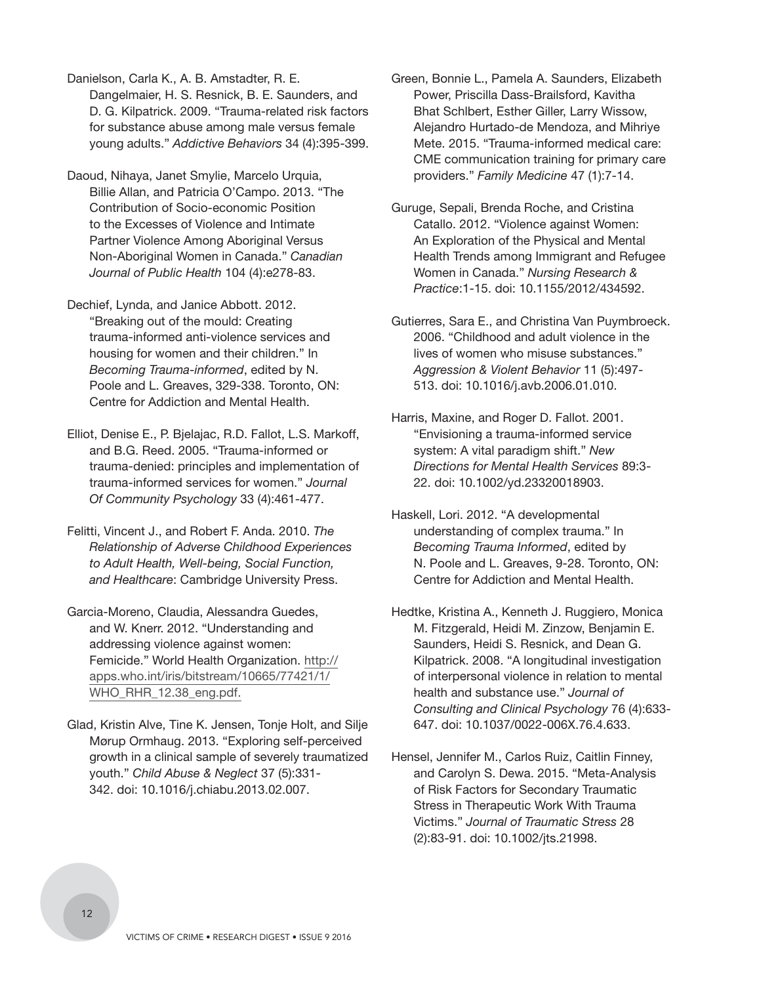Danielson, Carla K., A. B. Amstadter, R. E. Dangelmaier, H. S. Resnick, B. E. Saunders, and D. G. Kilpatrick. 2009. "Trauma-related risk factors for substance abuse among male versus female young adults." *Addictive Behaviors* 34 (4):395-399.

- Daoud, Nihaya, Janet Smylie, Marcelo Urquia, Billie Allan, and Patricia O'Campo. 2013. "The Contribution of Socio-economic Position to the Excesses of Violence and Intimate Partner Violence Among Aboriginal Versus Non-Aboriginal Women in Canada." *Canadian Journal of Public Health* 104 (4):e278-83.
- Dechief, Lynda, and Janice Abbott. 2012. "Breaking out of the mould: Creating trauma-informed anti-violence services and housing for women and their children." In *Becoming Trauma-informed*, edited by N. Poole and L. Greaves, 329-338. Toronto, ON: Centre for Addiction and Mental Health.
- Elliot, Denise E., P. Bjelajac, R.D. Fallot, L.S. Markoff, and B.G. Reed. 2005. "Trauma-informed or trauma-denied: principles and implementation of trauma-informed services for women." *Journal Of Community Psychology* 33 (4):461-477.
- Felitti, Vincent J., and Robert F. Anda. 2010. *The Relationship of Adverse Childhood Experiences to Adult Health, Well-being, Social Function, and Healthcare*: Cambridge University Press.
- Garcia-Moreno, Claudia, Alessandra Guedes, and W. Knerr. 2012. "Understanding and addressing violence against women: [Femicide." World Health Organization. http://](http://apps.who.int/iris/bitstream/10665/77421/1/WHO_RHR_12.38_eng.pdf) apps.who.int/iris/bitstream/10665/77421/1/ WHO\_RHR\_12.38\_eng.pdf.
- Glad, Kristin Alve, Tine K. Jensen, Tonje Holt, and Silje Mørup Ormhaug. 2013. "Exploring self-perceived growth in a clinical sample of severely traumatized youth." *Child Abuse & Neglect* 37 (5):331- 342. doi: 10.1016/j.chiabu.2013.02.007.
- Green, Bonnie L., Pamela A. Saunders, Elizabeth Power, Priscilla Dass-Brailsford, Kavitha Bhat Schlbert, Esther Giller, Larry Wissow, Alejandro Hurtado-de Mendoza, and Mihriye Mete. 2015. "Trauma-informed medical care: CME communication training for primary care providers." *Family Medicine* 47 (1):7-14.
- Guruge, Sepali, Brenda Roche, and Cristina Catallo. 2012. "Violence against Women: An Exploration of the Physical and Mental Health Trends among Immigrant and Refugee Women in Canada." *Nursing Research & Practice*:1-15. doi: 10.1155/2012/434592.
- Gutierres, Sara E., and Christina Van Puymbroeck. 2006. "Childhood and adult violence in the lives of women who misuse substances." *Aggression & Violent Behavior* 11 (5):497- 513. doi: 10.1016/j.avb.2006.01.010.
- Harris, Maxine, and Roger D. Fallot. 2001. "Envisioning a trauma-informed service system: A vital paradigm shift." *New Directions for Mental Health Services* 89:3- 22. doi: 10.1002/yd.23320018903.
- Haskell, Lori. 2012. "A developmental understanding of complex trauma." In *Becoming Trauma Informed*, edited by N. Poole and L. Greaves, 9-28. Toronto, ON: Centre for Addiction and Mental Health.
- Hedtke, Kristina A., Kenneth J. Ruggiero, Monica M. Fitzgerald, Heidi M. Zinzow, Benjamin E. Saunders, Heidi S. Resnick, and Dean G. Kilpatrick. 2008. "A longitudinal investigation of interpersonal violence in relation to mental health and substance use." *Journal of Consulting and Clinical Psychology* 76 (4):633- 647. doi: 10.1037/0022-006X.76.4.633.
- Hensel, Jennifer M., Carlos Ruiz, Caitlin Finney, and Carolyn S. Dewa. 2015. "Meta-Analysis of Risk Factors for Secondary Traumatic Stress in Therapeutic Work With Trauma Victims." *Journal of Traumatic Stress* 28 (2):83-91. doi: 10.1002/jts.21998.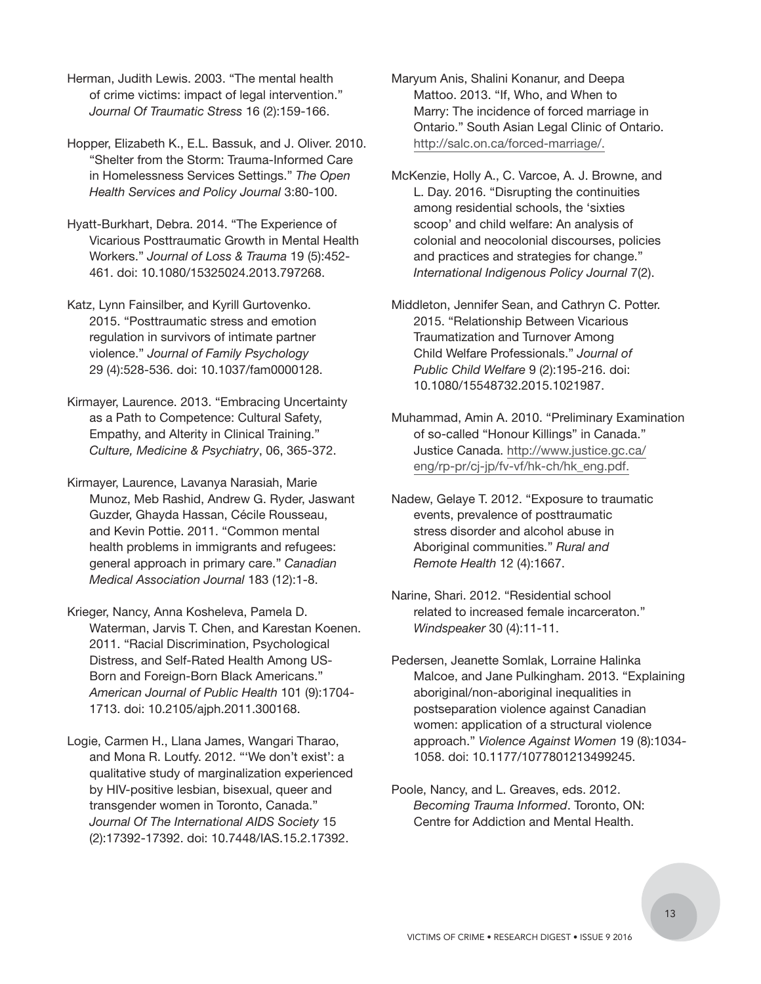Herman, Judith Lewis. 2003. "The mental health of crime victims: impact of legal intervention." *Journal Of Traumatic Stress* 16 (2):159-166.

Hopper, Elizabeth K., E.L. Bassuk, and J. Oliver. 2010. "Shelter from the Storm: Trauma-Informed Care in Homelessness Services Settings." *The Open Health Services and Policy Journal* 3:80-100.

Hyatt-Burkhart, Debra. 2014. "The Experience of Vicarious Posttraumatic Growth in Mental Health Workers." *Journal of Loss & Trauma* 19 (5):452- 461. doi: 10.1080/15325024.2013.797268.

Katz, Lynn Fainsilber, and Kyrill Gurtovenko. 2015. "Posttraumatic stress and emotion regulation in survivors of intimate partner violence." *Journal of Family Psychology* 29 (4):528-536. doi: 10.1037/fam0000128.

Kirmayer, Laurence. 2013. "Embracing Uncertainty as a Path to Competence: Cultural Safety, Empathy, and Alterity in Clinical Training." *Culture, Medicine & Psychiatry*, 06, 365-372.

Kirmayer, Laurence, Lavanya Narasiah, Marie Munoz, Meb Rashid, Andrew G. Ryder, Jaswant Guzder, Ghayda Hassan, Cécile Rousseau, and Kevin Pottie. 2011. "Common mental health problems in immigrants and refugees: general approach in primary care." *Canadian Medical Association Journal* 183 (12):1-8.

Krieger, Nancy, Anna Kosheleva, Pamela D. Waterman, Jarvis T. Chen, and Karestan Koenen. 2011. "Racial Discrimination, Psychological Distress, and Self-Rated Health Among US-Born and Foreign-Born Black Americans." *American Journal of Public Health* 101 (9):1704- 1713. doi: 10.2105/ajph.2011.300168.

Logie, Carmen H., Llana James, Wangari Tharao, and Mona R. Loutfy. 2012. "'We don't exist': a qualitative study of marginalization experienced by HIV-positive lesbian, bisexual, queer and transgender women in Toronto, Canada." *Journal Of The International AIDS Society* 15 (2):17392-17392. doi: 10.7448/IAS.15.2.17392.

Maryum Anis, Shalini Konanur, and Deepa Mattoo. 2013. "If, Who, and When to Marry: The incidence of forced marriage in Ontario." South Asian Legal Clinic of Ontario. http://salc.on.ca/forced-marriage/.

McKenzie, Holly A., C. Varcoe, A. J. Browne, and L. Day. 2016. "Disrupting the continuities among residential schools, the 'sixties scoop' and child welfare: An analysis of colonial and neocolonial discourses, policies and practices and strategies for change." *International Indigenous Policy Journal* 7(2).

Middleton, Jennifer Sean, and Cathryn C. Potter. 2015. "Relationship Between Vicarious Traumatization and Turnover Among Child Welfare Professionals." *Journal of Public Child Welfare* 9 (2):195-216. doi: 10.1080/15548732.2015.1021987.

Muhammad, Amin A. 2010. "Preliminary Examination of so-called "Honour Killings" in Canada." [Justice Canada. http://www.justice.gc.ca/](http://www.justice.gc.ca/eng/rp-pr/cj-jp/fv-vf/hk-ch/hk_eng.pdf) eng/rp-pr/cj-jp/fv-vf/hk-ch/hk\_eng.pdf.

Nadew, Gelaye T. 2012. "Exposure to traumatic events, prevalence of posttraumatic stress disorder and alcohol abuse in Aboriginal communities." *Rural and Remote Health* 12 (4):1667.

Narine, Shari. 2012. "Residential school related to increased female incarceraton." *Windspeaker* 30 (4):11-11.

Pedersen, Jeanette Somlak, Lorraine Halinka Malcoe, and Jane Pulkingham. 2013. "Explaining aboriginal/non-aboriginal inequalities in postseparation violence against Canadian women: application of a structural violence approach." *Violence Against Women* 19 (8):1034- 1058. doi: 10.1177/1077801213499245.

Poole, Nancy, and L. Greaves, eds. 2012. *Becoming Trauma Informed*. Toronto, ON: Centre for Addiction and Mental Health.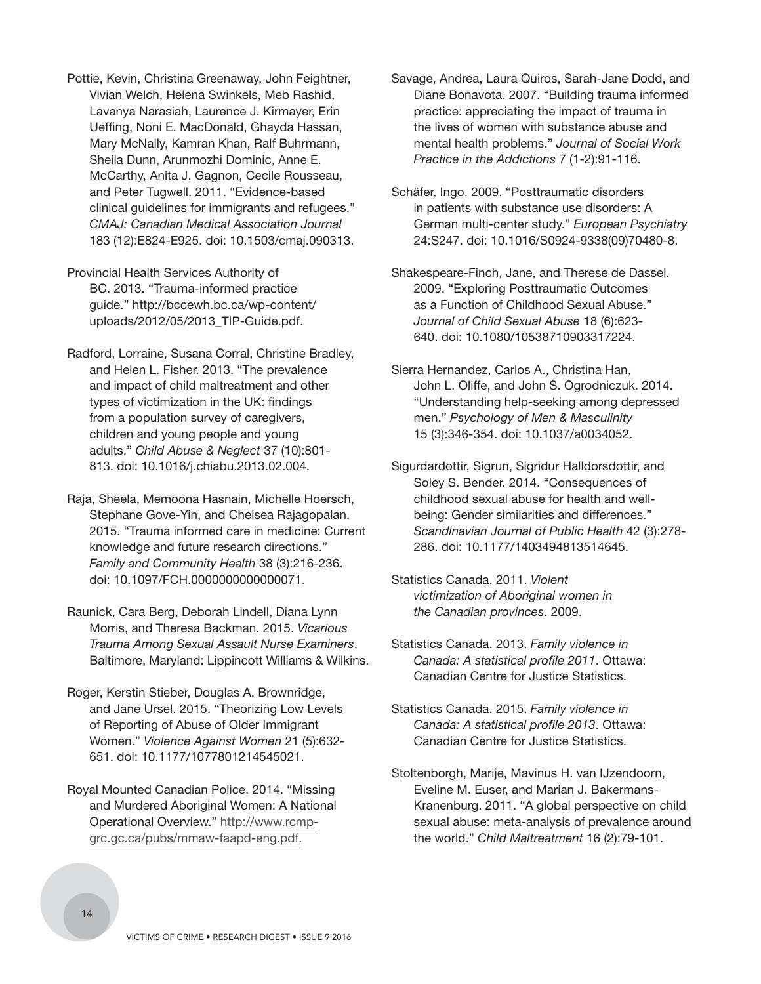- Pottie, Kevin, Christina Greenaway, John Feightner, Vivian Welch, Helena Swinkels, Meb Rashid, Lavanya Narasiah, Laurence J. Kirmayer, Erin Ueffing, Noni E. MacDonald, Ghayda Hassan, Mary McNally, Kamran Khan, Ralf Buhrmann, Sheila Dunn, Arunmozhi Dominic, Anne E. McCarthy, Anita J. Gagnon, Cecile Rousseau, and Peter Tugwell. 2011. "Evidence-based clinical guidelines for immigrants and refugees." *CMAJ: Canadian Medical Association Journal* 183 (12):E824-E925. doi: 10.1503/cmaj.090313.
- Provincial Health Services Authority of BC. 2013. "Trauma-informed practice guide." http://bccewh.bc.ca/wp-content/ uploads/2012/05/2013\_TIP-Guide.pdf.
- Radford, Lorraine, Susana Corral, Christine Bradley, and Helen L. Fisher. 2013. "The prevalence and impact of child maltreatment and other types of victimization in the UK: findings from a population survey of caregivers, children and young people and young adults." *Child Abuse & Neglect* 37 (10):801- 813. doi: 10.1016/j.chiabu.2013.02.004.
- Raja, Sheela, Memoona Hasnain, Michelle Hoersch, Stephane Gove-Yin, and Chelsea Rajagopalan. 2015. "Trauma informed care in medicine: Current knowledge and future research directions." *Family and Community Health* 38 (3):216-236. doi: 10.1097/FCH.0000000000000071.
- Raunick, Cara Berg, Deborah Lindell, Diana Lynn Morris, and Theresa Backman. 2015. *Vicarious Trauma Among Sexual Assault Nurse Examiners*. Baltimore, Maryland: Lippincott Williams & Wilkins.
- Roger, Kerstin Stieber, Douglas A. Brownridge, and Jane Ursel. 2015. "Theorizing Low Levels of Reporting of Abuse of Older Immigrant Women." *Violence Against Women* 21 (5):632- 651. doi: 10.1177/1077801214545021.
- Royal Mounted Canadian Police. 2014. "Missing and Murdered Aboriginal Women: A National Operational Overview." http://www.rcmpgrc.gc.ca/pubs/mmaw-faapd-eng.pdf.
- Savage, Andrea, Laura Quiros, Sarah-Jane Dodd, and Diane Bonavota. 2007. "Building trauma informed practice: appreciating the impact of trauma in the lives of women with substance abuse and mental health problems." *Journal of Social Work Practice in the Addictions* 7 (1-2):91-116.
- Schäfer, Ingo. 2009. "Posttraumatic disorders in patients with substance use disorders: A German multi-center study." *European Psychiatry*  24:S247. doi: 10.1016/S0924-9338(09)70480-8.
- Shakespeare-Finch, Jane, and Therese de Dassel. 2009. "Exploring Posttraumatic Outcomes as a Function of Childhood Sexual Abuse." *Journal of Child Sexual Abuse* 18 (6):623- 640. doi: 10.1080/10538710903317224.
- Sierra Hernandez, Carlos A., Christina Han, John L. Oliffe, and John S. Ogrodniczuk. 2014. "Understanding help-seeking among depressed men." *Psychology of Men & Masculinity* 15 (3):346-354. doi: 10.1037/a0034052.
- Sigurdardottir, Sigrun, Sigridur Halldorsdottir, and Soley S. Bender. 2014. "Consequences of childhood sexual abuse for health and wellbeing: Gender similarities and differences." *Scandinavian Journal of Public Health* 42 (3):278- 286. doi: 10.1177/1403494813514645.
- Statistics Canada. 2011. *Violent victimization of Aboriginal women in the Canadian provinces*. 2009.
- Statistics Canada. 2013. *Family violence in Canada: A statistical profile 2011*. Ottawa: Canadian Centre for Justice Statistics.
- Statistics Canada. 2015. *Family violence in Canada: A statistical profile 2013*. Ottawa: Canadian Centre for Justice Statistics.
- Stoltenborgh, Marije, Mavinus H. van IJzendoorn, Eveline M. Euser, and Marian J. Bakermans-Kranenburg. 2011. "A global perspective on child sexual abuse: meta-analysis of prevalence around the world." *Child Maltreatment* 16 (2):79-101.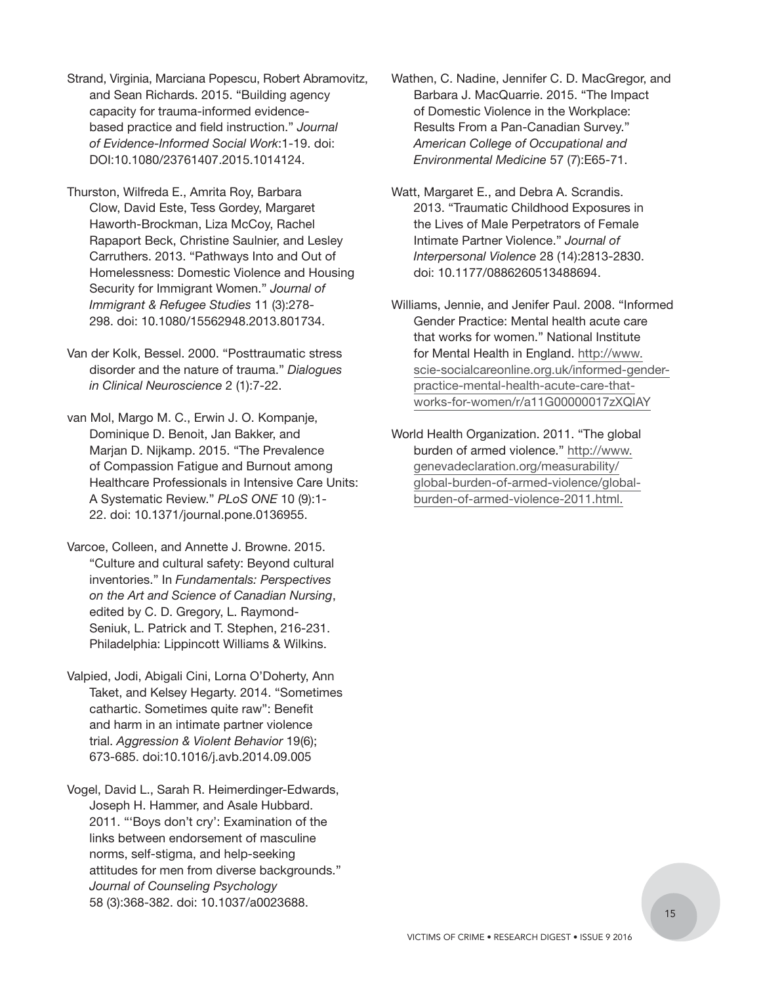- Strand, Virginia, Marciana Popescu, Robert Abramovitz, and Sean Richards. 2015. "Building agency capacity for trauma-informed evidencebased practice and field instruction." *Journal of Evidence-Informed Social Work*:1-19. doi: DOI:10.1080/23761407.2015.1014124.
- Thurston, Wilfreda E., Amrita Roy, Barbara Clow, David Este, Tess Gordey, Margaret Haworth-Brockman, Liza McCoy, Rachel Rapaport Beck, Christine Saulnier, and Lesley Carruthers. 2013. "Pathways Into and Out of Homelessness: Domestic Violence and Housing Security for Immigrant Women." *Journal of Immigrant & Refugee Studies* 11 (3):278- 298. doi: 10.1080/15562948.2013.801734.
- Van der Kolk, Bessel. 2000. "Posttraumatic stress disorder and the nature of trauma." *Dialogues in Clinical Neuroscience* 2 (1):7-22.
- van Mol, Margo M. C., Erwin J. O. Kompanje, Dominique D. Benoit, Jan Bakker, and Marjan D. Nijkamp. 2015. "The Prevalence of Compassion Fatigue and Burnout among Healthcare Professionals in Intensive Care Units: A Systematic Review." *PLoS ONE* 10 (9):1- 22. doi: 10.1371/journal.pone.0136955.
- Varcoe, Colleen, and Annette J. Browne. 2015. "Culture and cultural safety: Beyond cultural inventories." In *Fundamentals: Perspectives on the Art and Science of Canadian Nursing*, edited by C. D. Gregory, L. Raymond-Seniuk, L. Patrick and T. Stephen, 216-231. Philadelphia: Lippincott Williams & Wilkins.
- Valpied, Jodi, Abigali Cini, Lorna O'Doherty, Ann Taket, and Kelsey Hegarty. 2014. "Sometimes cathartic. Sometimes quite raw": Benefit and harm in an intimate partner violence trial. *Aggression & Violent Behavior* 19(6); 673-685. doi:10.1016/j.avb.2014.09.005
- Vogel, David L., Sarah R. Heimerdinger-Edwards, Joseph H. Hammer, and Asale Hubbard. 2011. "'Boys don't cry': Examination of the links between endorsement of masculine norms, self-stigma, and help-seeking attitudes for men from diverse backgrounds." *Journal of Counseling Psychology* 58 (3):368-382. doi: 10.1037/a0023688.
- Wathen, C. Nadine, Jennifer C. D. MacGregor, and Barbara J. MacQuarrie. 2015. "The Impact of Domestic Violence in the Workplace: Results From a Pan-Canadian Survey." *American College of Occupational and Environmental Medicine* 57 (7):E65-71.
- Watt, Margaret E., and Debra A. Scrandis. 2013. "Traumatic Childhood Exposures in the Lives of Male Perpetrators of Female Intimate Partner Violence." *Journal of Interpersonal Violence* 28 (14):2813-2830. doi: 10.1177/0886260513488694.
- Williams, Jennie, and Jenifer Paul. 2008. "Informed Gender Practice: Mental health acute care that works for women." National Institute for Mental Health in England. http://www. [scie-socialcareonline.org.uk/informed-gender](http://www.scie-socialcareonline.org.uk/informed-genderpractice-mental-health-acute-care-thatworks-for-women/r/a11G00000017zXQIAY)practice-mental-health-acute-care-thatworks-for-women/r/a11G00000017zXQIAY
- World Health Organization. 2011. "The global burden of armed violence." http://www. genevadeclaration.org/measurability/ [global-burden-of-armed-violence/global](http://www.genevadeclaration.org/measurability/global-burden-of-armed-violence/globalburden-of-armed-violence-2011.html)burden-of-armed-violence-2011.html.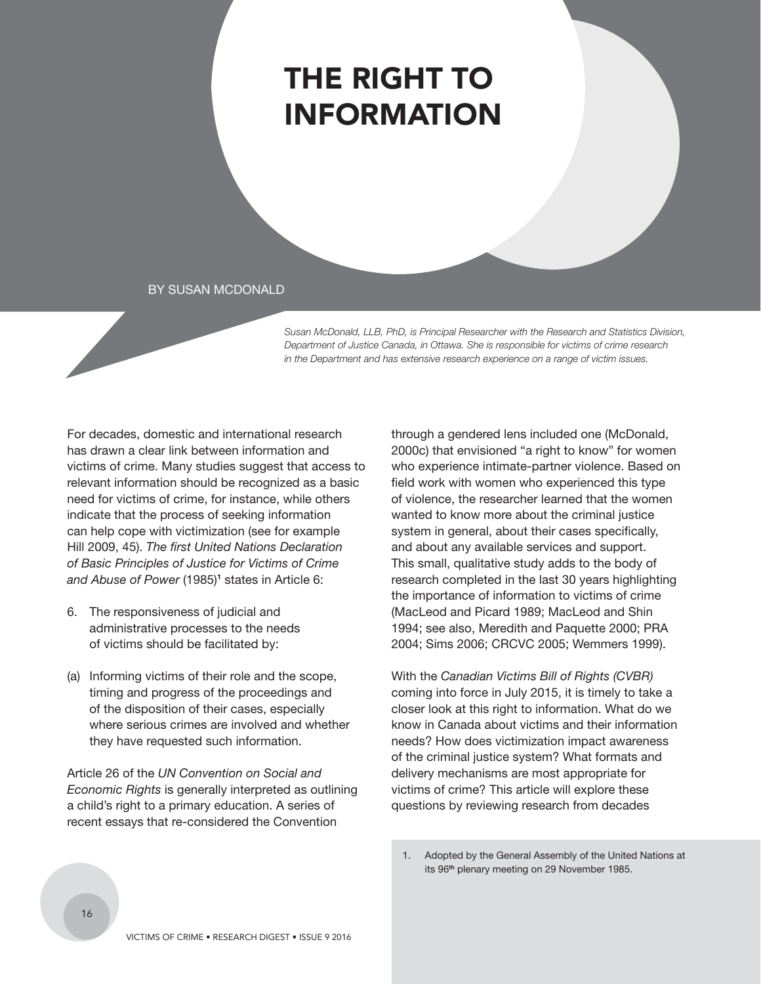## <span id="page-17-0"></span>THE RIGHT TO INFORMATION

#### BY SUSAN MCDONALD

*Susan McDonald, LLB, PhD, is Principal Researcher with the Research and Statistics Division, Department of Justice Canada, in Ottawa. She is responsible for victims of crime research in the Department and has extensive research experience on a range of victim issues.* 

For decades, domestic and international research has drawn a clear link between information and victims of crime. Many studies suggest that access to relevant information should be recognized as a basic need for victims of crime, for instance, while others indicate that the process of seeking information can help cope with victimization (see for example Hill 2009, 45). *The first United Nations Declaration of Basic Principles of Justice for Victims of Crime*  and Abuse of Power (1985)<sup>1</sup> states in Article 6:

- 6. The responsiveness of judicial and administrative processes to the needs of victims should be facilitated by:
- (a) Informing victims of their role and the scope, timing and progress of the proceedings and of the disposition of their cases, especially where serious crimes are involved and whether they have requested such information.

Article 26 of the *UN Convention on Social and Economic Rights* is generally interpreted as outlining a child's right to a primary education. A series of recent essays that re-considered the Convention

through a gendered lens included one (McDonald, 2000c) that envisioned "a right to know" for women who experience intimate-partner violence. Based on field work with women who experienced this type of violence, the researcher learned that the women wanted to know more about the criminal justice system in general, about their cases specifically, and about any available services and support. This small, qualitative study adds to the body of research completed in the last 30 years highlighting the importance of information to victims of crime (MacLeod and Picard 1989; MacLeod and Shin 1994; see also, Meredith and Paquette 2000; PRA 2004; Sims 2006; CRCVC 2005; Wemmers 1999).

With the *Canadian Victims Bill of Rights (CVBR)* coming into force in July 2015, it is timely to take a closer look at this right to information. What do we know in Canada about victims and their information needs? How does victimization impact awareness of the criminal justice system? What formats and delivery mechanisms are most appropriate for victims of crime? This article will explore these questions by reviewing research from decades

<sup>1.</sup> Adopted by the General Assembly of the United Nations at its 96**th** plenary meeting on 29 November 1985.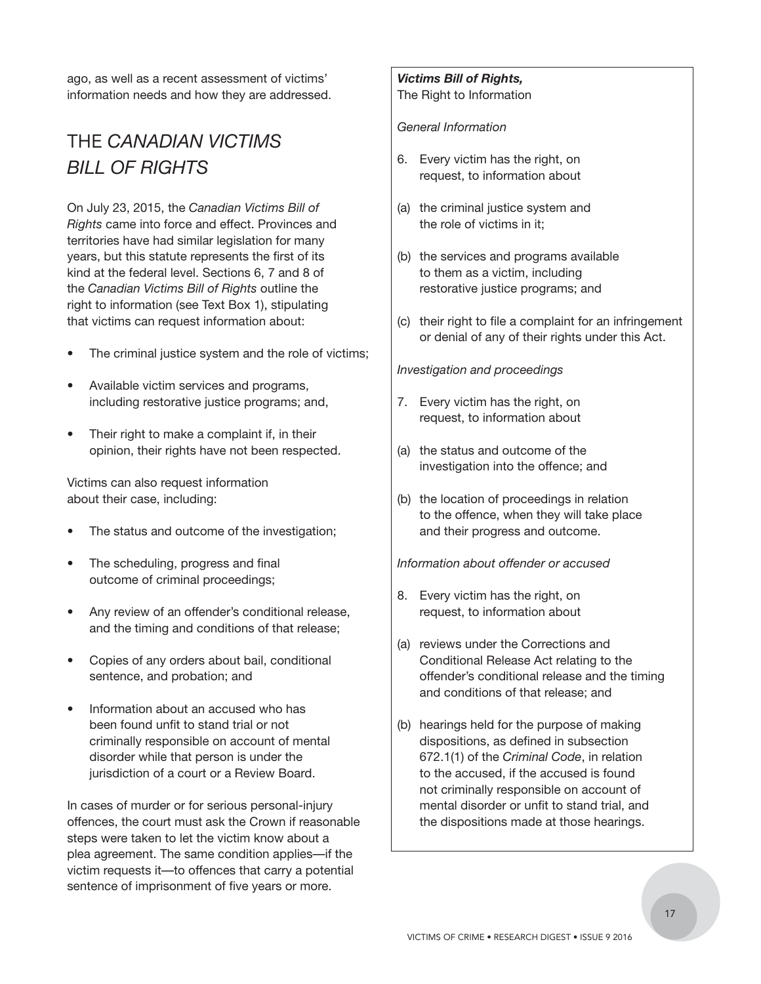ago, as well as a recent assessment of victims' information needs and how they are addressed.

## THE *CANADIAN VICTIMS BILL OF RIGHTS*

On July 23, 2015, the *Canadian Victims Bill of Rights* came into force and effect. Provinces and territories have had similar legislation for many years, but this statute represents the first of its kind at the federal level. Sections 6, 7 and 8 of the *Canadian Victims Bill of Rights* outline the right to information (see Text Box 1), stipulating that victims can request information about:

- The criminal justice system and the role of victims;
- Available victim services and programs, including restorative justice programs; and,
- Their right to make a complaint if, in their opinion, their rights have not been respected.

Victims can also request information about their case, including:

- The status and outcome of the investigation;
- The scheduling, progress and final outcome of criminal proceedings;
- Any review of an offender's conditional release, and the timing and conditions of that release;
- Copies of any orders about bail, conditional sentence, and probation; and
- Information about an accused who has been found unfit to stand trial or not criminally responsible on account of mental disorder while that person is under the jurisdiction of a court or a Review Board.

In cases of murder or for serious personal-injury offences, the court must ask the Crown if reasonable steps were taken to let the victim know about a plea agreement. The same condition applies—if the victim requests it—to offences that carry a potential sentence of imprisonment of five years or more.

## *Victims Bill of Rights,*

The Right to Information

#### *General Information*

- 6. Every victim has the right, on request, to information about
- (a) the criminal justice system and the role of victims in it;
- (b) the services and programs available to them as a victim, including restorative justice programs; and
- (c) their right to file a complaint for an infringement or denial of any of their rights under this Act.

#### *Investigation and proceedings*

- 7. Every victim has the right, on request, to information about
- (a) the status and outcome of the investigation into the offence; and
- (b) the location of proceedings in relation to the offence, when they will take place and their progress and outcome.

*Information about offender or accused*

- 8. Every victim has the right, on request, to information about
- (a) reviews under the Corrections and Conditional Release Act relating to the offender's conditional release and the timing and conditions of that release; and
- (b) hearings held for the purpose of making dispositions, as defined in subsection 672.1(1) of the *Criminal Code*, in relation to the accused, if the accused is found not criminally responsible on account of mental disorder or unfit to stand trial, and the dispositions made at those hearings.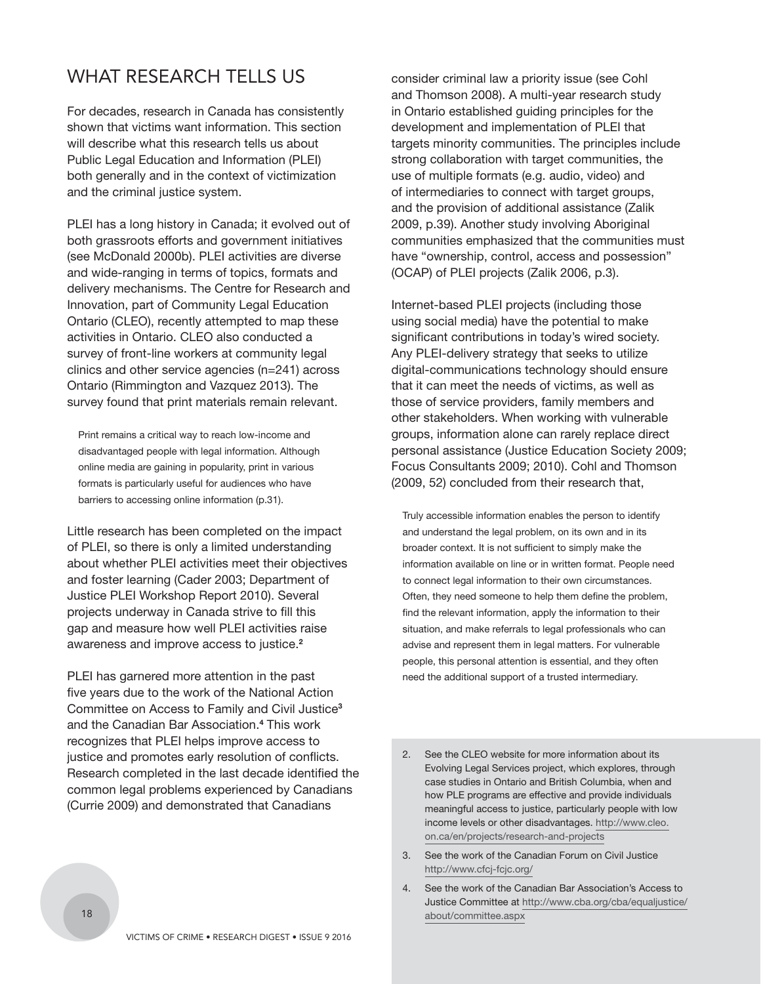## WHAT RESEARCH TELLS US

For decades, research in Canada has consistently shown that victims want information. This section will describe what this research tells us about Public Legal Education and Information (PLEI) both generally and in the context of victimization and the criminal justice system.

PLEI has a long history in Canada; it evolved out of both grassroots efforts and government initiatives (see McDonald 2000b). PLEI activities are diverse and wide-ranging in terms of topics, formats and delivery mechanisms. The Centre for Research and Innovation, part of Community Legal Education Ontario (CLEO), recently attempted to map these activities in Ontario. CLEO also conducted a survey of front-line workers at community legal clinics and other service agencies (n=241) across Ontario (Rimmington and Vazquez 2013). The survey found that print materials remain relevant.

Print remains a critical way to reach low-income and disadvantaged people with legal information. Although online media are gaining in popularity, print in various formats is particularly useful for audiences who have barriers to accessing online information (p.31).

Little research has been completed on the impact of PLEI, so there is only a limited understanding about whether PLEI activities meet their objectives and foster learning (Cader 2003; Department of Justice PLEI Workshop Report 2010). Several projects underway in Canada strive to fill this gap and measure how well PLEI activities raise awareness and improve access to justice.**<sup>2</sup>**

PLEI has garnered more attention in the past five years due to the work of the National Action Committee on Access to Family and Civil Justice**<sup>3</sup>** and the Canadian Bar Association.**<sup>4</sup>** This work recognizes that PLEI helps improve access to justice and promotes early resolution of conflicts. Research completed in the last decade identified the common legal problems experienced by Canadians (Currie 2009) and demonstrated that Canadians

consider criminal law a priority issue (see Cohl and Thomson 2008). A multi-year research study in Ontario established guiding principles for the development and implementation of PLEI that targets minority communities. The principles include strong collaboration with target communities, the use of multiple formats (e.g. audio, video) and of intermediaries to connect with target groups, and the provision of additional assistance (Zalik 2009, p.39). Another study involving Aboriginal communities emphasized that the communities must have "ownership, control, access and possession" (OCAP) of PLEI projects (Zalik 2006, p.3).

Internet-based PLEI projects (including those using social media) have the potential to make significant contributions in today's wired society. Any PLEI-delivery strategy that seeks to utilize digital-communications technology should ensure that it can meet the needs of victims, as well as those of service providers, family members and other stakeholders. When working with vulnerable groups, information alone can rarely replace direct personal assistance (Justice Education Society 2009; Focus Consultants 2009; 2010). Cohl and Thomson (2009, 52) concluded from their research that,

Truly accessible information enables the person to identify and understand the legal problem, on its own and in its broader context. It is not sufficient to simply make the information available on line or in written format. People need to connect legal information to their own circumstances. Often, they need someone to help them define the problem, find the relevant information, apply the information to their situation, and make referrals to legal professionals who can advise and represent them in legal matters. For vulnerable people, this personal attention is essential, and they often need the additional support of a trusted intermediary.

- 2. See the CLEO website for more information about its Evolving Legal Services project, which explores, through case studies in Ontario and British Columbia, when and how PLE programs are effective and provide individuals meaningful access to justice, particularly people with low [income levels or other disadvantages. http://www.cleo.](http://www.cleo.on.ca/en/projects/research-and-projects) on.ca/en/projects/research-and-projects
- 3. See the work of the Canadian Forum on Civil Justice http://www.cfcj-fcjc.org/
- 4. See the work of the Canadian Bar Association's Access to [Justice Committee at http://www.cba.org/cba/equaljustice/](http://www.cba.org/cba/equaljustice/about/committee.aspx) about/committee.aspx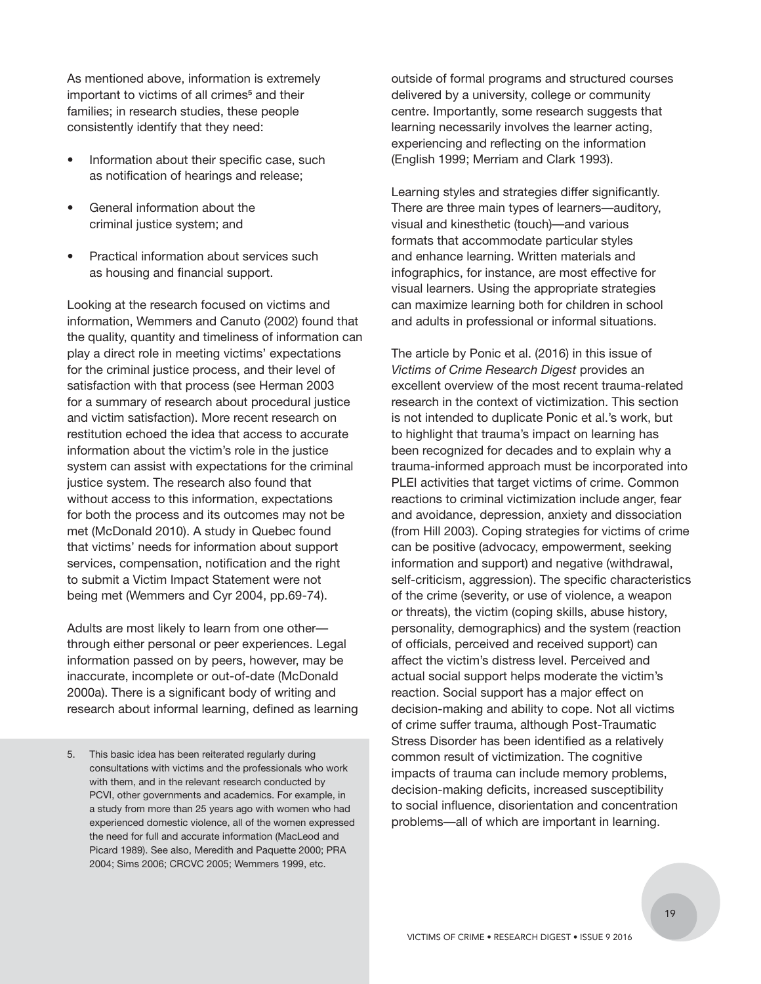As mentioned above, information is extremely important to victims of all crimes**<sup>5</sup>** and their families; in research studies, these people consistently identify that they need:

- Information about their specific case, such as notification of hearings and release;
- General information about the criminal justice system; and
- Practical information about services such as housing and financial support.

Looking at the research focused on victims and information, Wemmers and Canuto (2002) found that the quality, quantity and timeliness of information can play a direct role in meeting victims' expectations for the criminal justice process, and their level of satisfaction with that process (see Herman 2003 for a summary of research about procedural justice and victim satisfaction). More recent research on restitution echoed the idea that access to accurate information about the victim's role in the justice system can assist with expectations for the criminal justice system. The research also found that without access to this information, expectations for both the process and its outcomes may not be met (McDonald 2010). A study in Quebec found that victims' needs for information about support services, compensation, notification and the right to submit a Victim Impact Statement were not being met (Wemmers and Cyr 2004, pp.69-74).

Adults are most likely to learn from one other through either personal or peer experiences. Legal information passed on by peers, however, may be inaccurate, incomplete or out-of-date (McDonald 2000a). There is a significant body of writing and research about informal learning, defined as learning

5. This basic idea has been reiterated regularly during consultations with victims and the professionals who work with them, and in the relevant research conducted by PCVI, other governments and academics. For example, in a study from more than 25 years ago with women who had experienced domestic violence, all of the women expressed the need for full and accurate information (MacLeod and Picard 1989). See also, Meredith and Paquette 2000; PRA 2004; Sims 2006; CRCVC 2005; Wemmers 1999, etc.

outside of formal programs and structured courses delivered by a university, college or community centre. Importantly, some research suggests that learning necessarily involves the learner acting, experiencing and reflecting on the information (English 1999; Merriam and Clark 1993).

Learning styles and strategies differ significantly. There are three main types of learners—auditory, visual and kinesthetic (touch)—and various formats that accommodate particular styles and enhance learning. Written materials and infographics, for instance, are most effective for visual learners. Using the appropriate strategies can maximize learning both for children in school and adults in professional or informal situations.

The article by Ponic et al. (2016) in this issue of *Victims of Crime Research Digest* provides an excellent overview of the most recent trauma-related research in the context of victimization. This section is not intended to duplicate Ponic et al.'s work, but to highlight that trauma's impact on learning has been recognized for decades and to explain why a trauma-informed approach must be incorporated into PLEI activities that target victims of crime. Common reactions to criminal victimization include anger, fear and avoidance, depression, anxiety and dissociation (from Hill 2003). Coping strategies for victims of crime can be positive (advocacy, empowerment, seeking information and support) and negative (withdrawal, self-criticism, aggression). The specific characteristics of the crime (severity, or use of violence, a weapon or threats), the victim (coping skills, abuse history, personality, demographics) and the system (reaction of officials, perceived and received support) can affect the victim's distress level. Perceived and actual social support helps moderate the victim's reaction. Social support has a major effect on decision-making and ability to cope. Not all victims of crime suffer trauma, although Post-Traumatic Stress Disorder has been identified as a relatively common result of victimization. The cognitive impacts of trauma can include memory problems, decision-making deficits, increased susceptibility to social influence, disorientation and concentration problems—all of which are important in learning.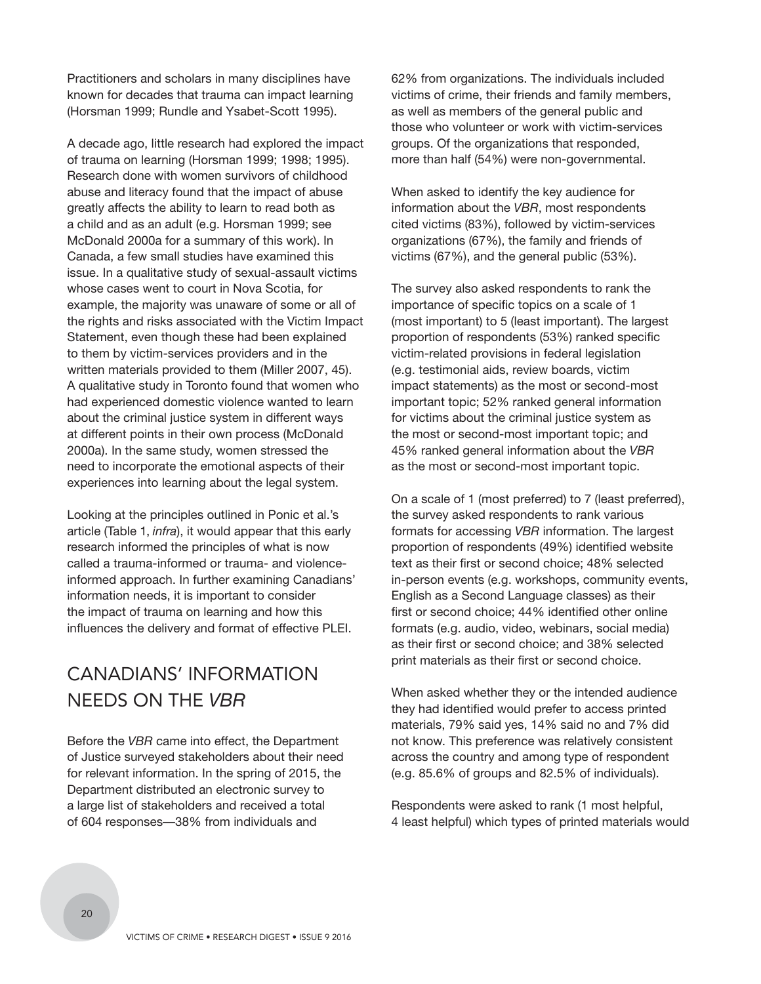Practitioners and scholars in many disciplines have known for decades that trauma can impact learning (Horsman 1999; Rundle and Ysabet-Scott 1995).

A decade ago, little research had explored the impact of trauma on learning (Horsman 1999; 1998; 1995). Research done with women survivors of childhood abuse and literacy found that the impact of abuse greatly affects the ability to learn to read both as a child and as an adult (e.g. Horsman 1999; see McDonald 2000a for a summary of this work). In Canada, a few small studies have examined this issue. In a qualitative study of sexual-assault victims whose cases went to court in Nova Scotia, for example, the majority was unaware of some or all of the rights and risks associated with the Victim Impact Statement, even though these had been explained to them by victim-services providers and in the written materials provided to them (Miller 2007, 45). A qualitative study in Toronto found that women who had experienced domestic violence wanted to learn about the criminal justice system in different ways at different points in their own process (McDonald 2000a). In the same study, women stressed the need to incorporate the emotional aspects of their experiences into learning about the legal system.

Looking at the principles outlined in Ponic et al.'s article (Table 1, *infra*), it would appear that this early research informed the principles of what is now called a trauma-informed or trauma- and violenceinformed approach. In further examining Canadians' information needs, it is important to consider the impact of trauma on learning and how this influences the delivery and format of effective PLEI.

## CANADIANS' INFORMATION NEEDS ON THE *VBR*

Before the *VBR* came into effect, the Department of Justice surveyed stakeholders about their need for relevant information. In the spring of 2015, the Department distributed an electronic survey to a large list of stakeholders and received a total of 604 responses—38% from individuals and

62% from organizations. The individuals included victims of crime, their friends and family members, as well as members of the general public and those who volunteer or work with victim-services groups. Of the organizations that responded, more than half (54%) were non-governmental.

When asked to identify the key audience for information about the *VBR*, most respondents cited victims (83%), followed by victim-services organizations (67%), the family and friends of victims (67%), and the general public (53%).

The survey also asked respondents to rank the importance of specific topics on a scale of 1 (most important) to 5 (least important). The largest proportion of respondents (53%) ranked specific victim-related provisions in federal legislation (e.g. testimonial aids, review boards, victim impact statements) as the most or second-most important topic; 52% ranked general information for victims about the criminal justice system as the most or second-most important topic; and 45% ranked general information about the *VBR* as the most or second-most important topic.

On a scale of 1 (most preferred) to 7 (least preferred), the survey asked respondents to rank various formats for accessing *VBR* information. The largest proportion of respondents (49%) identified website text as their first or second choice; 48% selected in-person events (e.g. workshops, community events, English as a Second Language classes) as their first or second choice; 44% identified other online formats (e.g. audio, video, webinars, social media) as their first or second choice; and 38% selected print materials as their first or second choice.

When asked whether they or the intended audience they had identified would prefer to access printed materials, 79% said yes, 14% said no and 7% did not know. This preference was relatively consistent across the country and among type of respondent (e.g. 85.6% of groups and 82.5% of individuals).

Respondents were asked to rank (1 most helpful, 4 least helpful) which types of printed materials would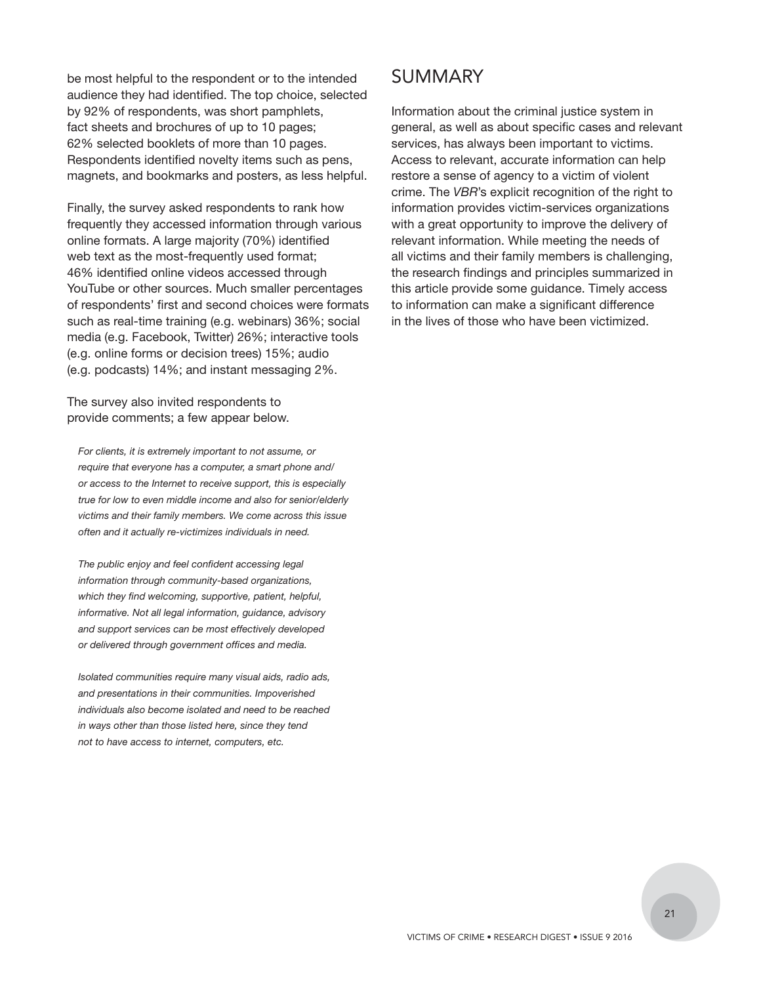be most helpful to the respondent or to the intended audience they had identified. The top choice, selected by 92% of respondents, was short pamphlets, fact sheets and brochures of up to 10 pages; 62% selected booklets of more than 10 pages. Respondents identified novelty items such as pens, magnets, and bookmarks and posters, as less helpful.

Finally, the survey asked respondents to rank how frequently they accessed information through various online formats. A large majority (70%) identified web text as the most-frequently used format; 46% identified online videos accessed through YouTube or other sources. Much smaller percentages of respondents' first and second choices were formats such as real-time training (e.g. webinars) 36%; social media (e.g. Facebook, Twitter) 26%; interactive tools (e.g. online forms or decision trees) 15%; audio (e.g. podcasts) 14%; and instant messaging 2%.

The survey also invited respondents to provide comments; a few appear below.

*For clients, it is extremely important to not assume, or require that everyone has a computer, a smart phone and/ or access to the Internet to receive support, this is especially true for low to even middle income and also for senior/elderly victims and their family members. We come across this issue often and it actually re-victimizes individuals in need.*

*The public enjoy and feel confident accessing legal information through community-based organizations, which they find welcoming, supportive, patient, helpful, informative. Not all legal information, guidance, advisory and support services can be most effectively developed or delivered through government offices and media.*

*Isolated communities require many visual aids, radio ads, and presentations in their communities. Impoverished individuals also become isolated and need to be reached in ways other than those listed here, since they tend not to have access to internet, computers, etc.*

## SUMMARY

Information about the criminal justice system in general, as well as about specific cases and relevant services, has always been important to victims. Access to relevant, accurate information can help restore a sense of agency to a victim of violent crime. The *VBR*'s explicit recognition of the right to information provides victim-services organizations with a great opportunity to improve the delivery of relevant information. While meeting the needs of all victims and their family members is challenging, the research findings and principles summarized in this article provide some guidance. Timely access to information can make a significant difference in the lives of those who have been victimized.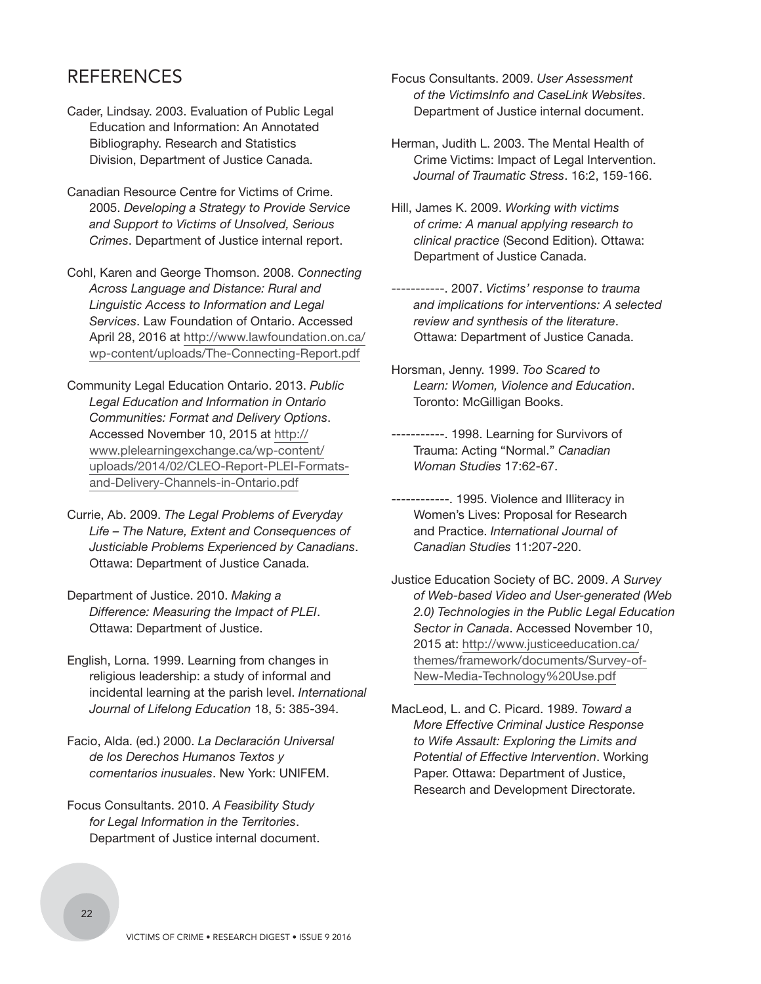## REFERENCES

- Cader, Lindsay. 2003. Evaluation of Public Legal Education and Information: An Annotated Bibliography. Research and Statistics Division, Department of Justice Canada.
- Canadian Resource Centre for Victims of Crime. 2005. *Developing a Strategy to Provide Service and Support to Victims of Unsolved, Serious Crimes*. Department of Justice internal report.
- Cohl, Karen and George Thomson. 2008. *Connecting Across Language and Distance: Rural and Linguistic Access to Information and Legal Services*. Law Foundation of Ontario. Accessed [April 28, 2016 at http://www.lawfoundation.on.ca/](http://www.lawfoundation.on.ca/wp-content/uploads/The-Connecting-Report.pdf) wp-content/uploads/The-Connecting-Report.pdf
- Community Legal Education Ontario. 2013. *Public Legal Education and Information in Ontario Communities: Format and Delivery Options*. Accessed November 10, 2015 at http:// www.plelearningexchange.ca/wp-content/ [uploads/2014/02/CLEO-Report-PLEI-Formats](http://www.plelearningexchange.ca/wp-content/uploads/2014/02/CLEO-Report-PLEI-Formats-and-Delivery-Channels-in-Ontario.pdf)and-Delivery-Channels-in-Ontario.pdf
- Currie, Ab. 2009. *The Legal Problems of Everyday Life – The Nature, Extent and Consequences of Justiciable Problems Experienced by Canadians*. Ottawa: Department of Justice Canada.
- Department of Justice. 2010. *Making a Difference: Measuring the Impact of PLEI*. Ottawa: Department of Justice.
- English, Lorna. 1999. Learning from changes in religious leadership: a study of informal and incidental learning at the parish level. *International Journal of Lifelong Education* 18, 5: 385-394.
- Facio, Alda. (ed.) 2000. *La Declaración Universal de los Derechos Humanos Textos y comentarios inusuales*. New York: UNIFEM.
- Focus Consultants. 2010. *A Feasibility Study for Legal Information in the Territories*. Department of Justice internal document.
- Focus Consultants. 2009. *User Assessment of the VictimsInfo and CaseLink Websites*. Department of Justice internal document.
- Herman, Judith L. 2003. The Mental Health of Crime Victims: Impact of Legal Intervention. *Journal of Traumatic Stress*. 16:2, 159-166.
- Hill, James K. 2009. *Working with victims of crime: A manual applying research to clinical practice* (Second Edition). Ottawa: Department of Justice Canada.
- -----------. 2007. *Victims' response to trauma and implications for interventions: A selected review and synthesis of the literature*. Ottawa: Department of Justice Canada.
- Horsman, Jenny. 1999. *Too Scared to Learn: Women, Violence and Education*. Toronto: McGilligan Books.
- -----------. 1998. Learning for Survivors of Trauma: Acting "Normal." *Canadian Woman Studies* 17:62-67.
- ------------. 1995. Violence and Illiteracy in Women's Lives: Proposal for Research and Practice. *International Journal of Canadian Studies* 11:207-220.
- Justice Education Society of BC. 2009. *A Survey of Web-based Video and User-generated (Web 2.0) Technologies in the Public Legal Education Sector in Canada*. Accessed November 10, 2015 at: http://www.justiceeducation.ca/ [themes/framework/documents/Survey-of-](http://www.justiceeducation.ca/themes/framework/documents/Survey-of-New-Media-Technology%20Use.pdf)New-Media-Technology%20Use.pdf
- MacLeod, L. and C. Picard. 1989. *Toward a More Effective Criminal Justice Response to Wife Assault: Exploring the Limits and Potential of Effective Intervention*. Working Paper. Ottawa: Department of Justice, Research and Development Directorate.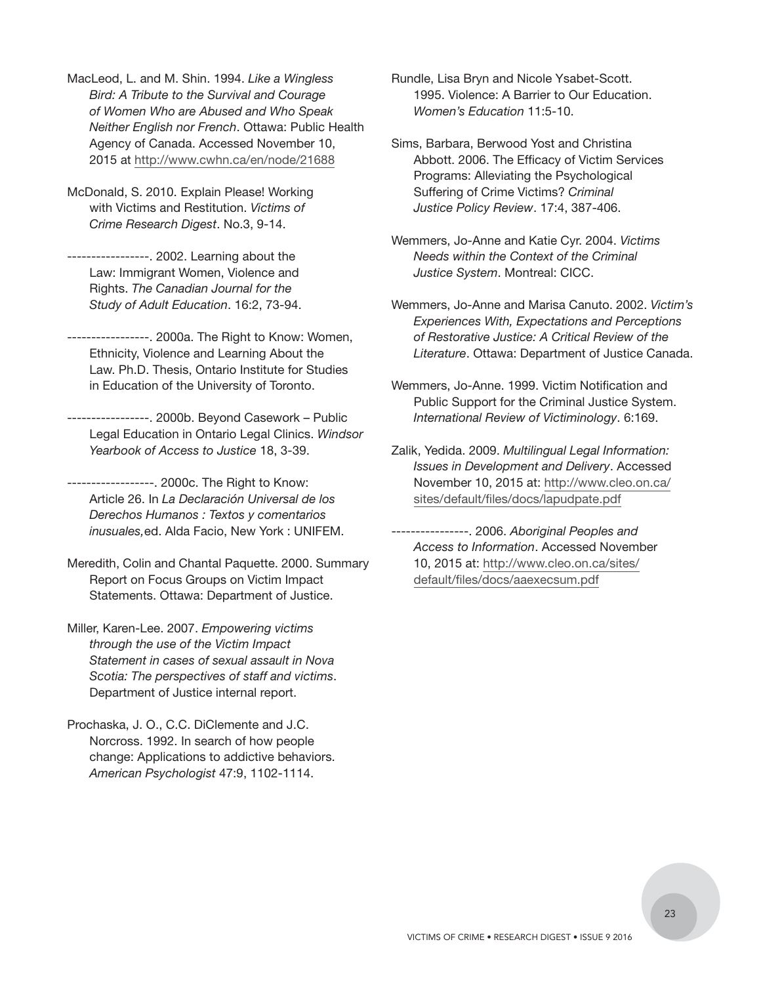MacLeod, L. and M. Shin. 1994. *Like a Wingless Bird: A Tribute to the Survival and Courage of Women Who are Abused and Who Speak Neither English nor French*. Ottawa: Public Health Agency of Canada. Accessed November 10, 2015 at http://www.cwhn.ca/en/node/21688

McDonald, S. 2010. Explain Please! Working with Victims and Restitution. *Victims of Crime Research Digest*. No.3, 9-14.

-----------------. 2002. Learning about the Law: Immigrant Women, Violence and Rights. *The Canadian Journal for the Study of Adult Education*. 16:2, 73-94.

-----------------. 2000a. The Right to Know: Women, Ethnicity, Violence and Learning About the Law. Ph.D. Thesis, Ontario Institute for Studies in Education of the University of Toronto.

-----------------. 2000b. Beyond Casework – Public Legal Education in Ontario Legal Clinics. *Windsor Yearbook of Access to Justice* 18, 3-39.

------------------. 2000c. The Right to Know: Article 26. In *La Declaración Universal de los Derechos Humanos : Textos y comentarios inusuales,*ed. Alda Facio, New York : UNIFEM.

Meredith, Colin and Chantal Paquette. 2000. Summary Report on Focus Groups on Victim Impact Statements. Ottawa: Department of Justice.

Miller, Karen-Lee. 2007. *Empowering victims through the use of the Victim Impact Statement in cases of sexual assault in Nova Scotia: The perspectives of staff and victims*. Department of Justice internal report.

Prochaska, J. O., C.C. DiClemente and J.C. Norcross. 1992. In search of how people change: Applications to addictive behaviors. *American Psychologist* 47:9, 1102-1114.

Rundle, Lisa Bryn and Nicole Ysabet-Scott. 1995. Violence: A Barrier to Our Education. *Women's Education* 11:5-10.

Sims, Barbara, Berwood Yost and Christina Abbott. 2006. The Efficacy of Victim Services Programs: Alleviating the Psychological Suffering of Crime Victims? *Criminal Justice Policy Review*. 17:4, 387-406.

Wemmers, Jo-Anne and Katie Cyr. 2004. *Victims Needs within the Context of the Criminal Justice System*. Montreal: CICC.

Wemmers, Jo-Anne and Marisa Canuto. 2002. *Victim's Experiences With, Expectations and Perceptions of Restorative Justice: A Critical Review of the Literature*. Ottawa: Department of Justice Canada.

Wemmers, Jo-Anne. 1999. Victim Notification and Public Support for the Criminal Justice System. *International Review of Victiminology*. 6:169.

Zalik, Yedida. 2009. *Multilingual Legal Information: Issues in Development and Delivery*. Accessed [November 10, 2015 at: http://www.cleo.on.ca/](http://www.cleo.on.ca/sites/default/files/docs/lapudpate.pdf) sites/default/files/docs/lapudpate.pdf

----------------. 2006. *Aboriginal Peoples and Access to Information*. Accessed November [10, 2015 at: http://www.cleo.on.ca/sites/](http://www.cleo.on.ca/sites/default/files/docs/aaexecsum.pdf) default/files/docs/aaexecsum.pdf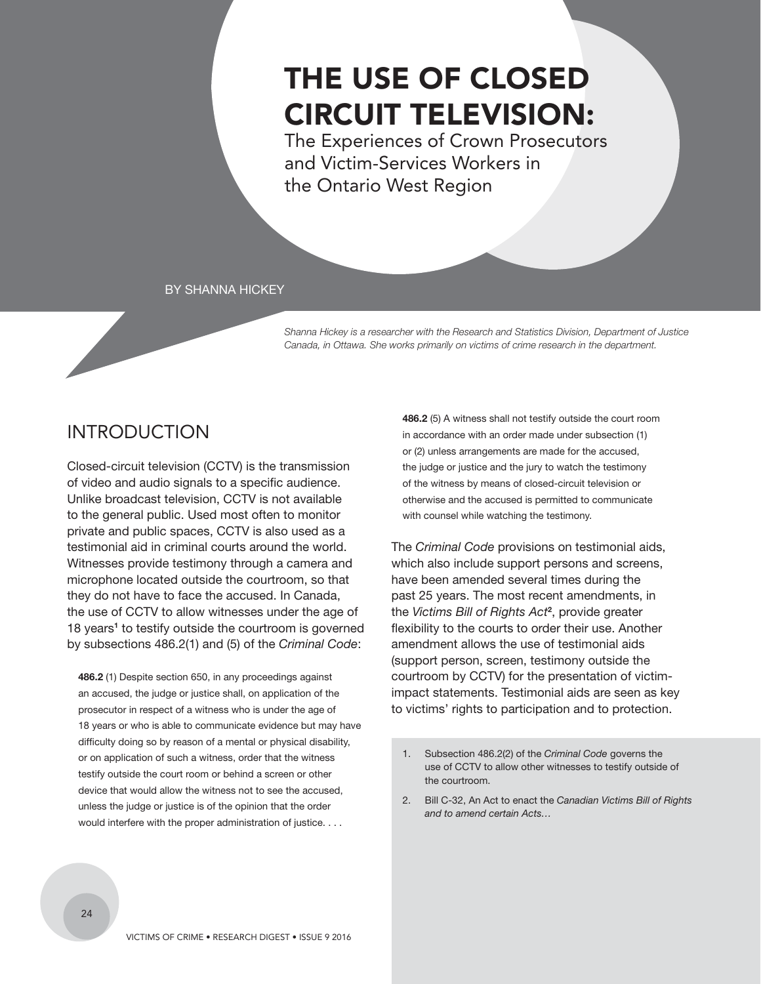## <span id="page-25-0"></span>THE USE OF CLOSED CIRCUIT TELEVISION:

The Experiences of Crown Prosecutors and Victim-Services Workers in the Ontario West Region

#### BY SHANNA HICKEY

*Shanna Hickey is a researcher with the Research and Statistics Division, Department of Justice Canada, in Ottawa. She works primarily on victims of crime research in the department.*

## **INTRODUCTION**

Closed-circuit television (CCTV) is the transmission of video and audio signals to a specific audience. Unlike broadcast television, CCTV is not available to the general public. Used most often to monitor private and public spaces, CCTV is also used as a testimonial aid in criminal courts around the world. Witnesses provide testimony through a camera and microphone located outside the courtroom, so that they do not have to face the accused. In Canada, the use of CCTV to allow witnesses under the age of 18 years<sup>1</sup> to testify outside the courtroom is governed by subsections 486.2(1) and (5) of the *Criminal Code*:

**486.2** (1) Despite section 650, in any proceedings against an accused, the judge or justice shall, on application of the prosecutor in respect of a witness who is under the age of 18 years or who is able to communicate evidence but may have difficulty doing so by reason of a mental or physical disability, or on application of such a witness, order that the witness testify outside the court room or behind a screen or other device that would allow the witness not to see the accused, unless the judge or justice is of the opinion that the order would interfere with the proper administration of justice. . . .

**486.2** (5) A witness shall not testify outside the court room in accordance with an order made under subsection (1) or (2) unless arrangements are made for the accused, the judge or justice and the jury to watch the testimony of the witness by means of closed-circuit television or otherwise and the accused is permitted to communicate with counsel while watching the testimony.

The *Criminal Code* provisions on testimonial aids, which also include support persons and screens, have been amended several times during the past 25 years. The most recent amendments, in the *Victims Bill of Rights Act***<sup>2</sup>** , provide greater flexibility to the courts to order their use. Another amendment allows the use of testimonial aids (support person, screen, testimony outside the courtroom by CCTV) for the presentation of victimimpact statements. Testimonial aids are seen as key to victims' rights to participation and to protection.

2. Bill C-32, An Act to enact the *Canadian Victims Bill of Rights and to amend certain Acts…*

<sup>1.</sup> Subsection 486.2(2) of the *Criminal Code* governs the use of CCTV to allow other witnesses to testify outside of the courtroom.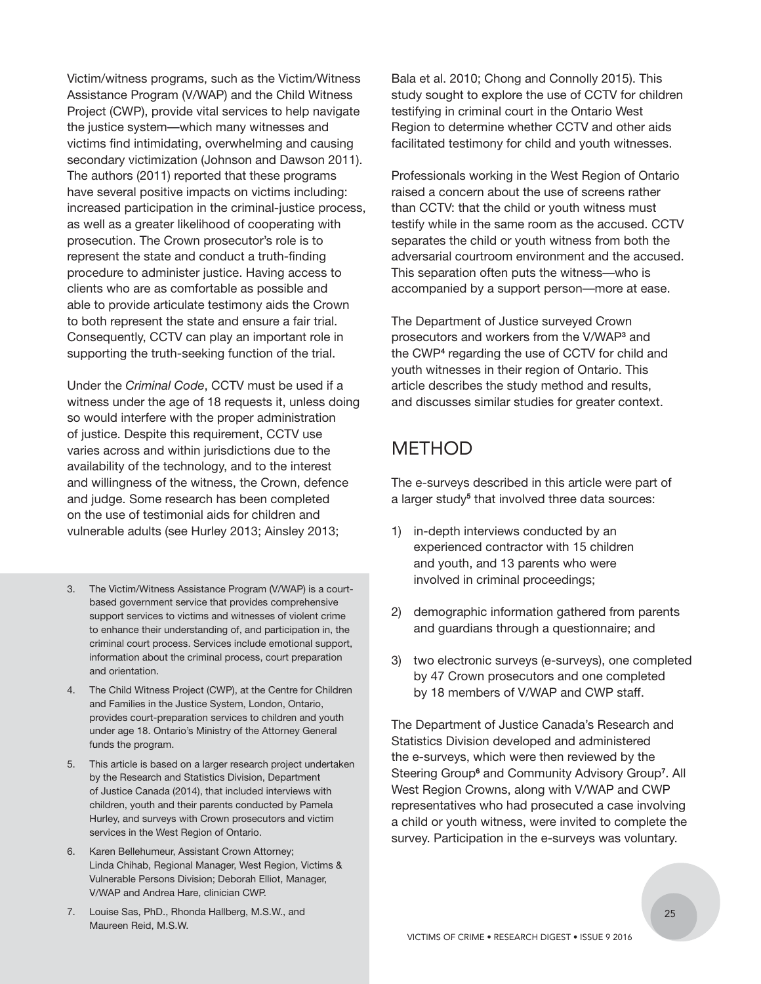Victim/witness programs, such as the Victim/Witness Assistance Program (V/WAP) and the Child Witness Project (CWP), provide vital services to help navigate the justice system—which many witnesses and victims find intimidating, overwhelming and causing secondary victimization (Johnson and Dawson 2011). The authors (2011) reported that these programs have several positive impacts on victims including: increased participation in the criminal-justice process, as well as a greater likelihood of cooperating with prosecution. The Crown prosecutor's role is to represent the state and conduct a truth-finding procedure to administer justice. Having access to clients who are as comfortable as possible and able to provide articulate testimony aids the Crown to both represent the state and ensure a fair trial. Consequently, CCTV can play an important role in supporting the truth-seeking function of the trial.

Under the *Criminal Code*, CCTV must be used if a witness under the age of 18 requests it, unless doing so would interfere with the proper administration of justice. Despite this requirement, CCTV use varies across and within jurisdictions due to the availability of the technology, and to the interest and willingness of the witness, the Crown, defence and judge. Some research has been completed on the use of testimonial aids for children and vulnerable adults (see Hurley 2013; Ainsley 2013;

- 3. The Victim/Witness Assistance Program (V/WAP) is a courtbased government service that provides comprehensive support services to victims and witnesses of violent crime to enhance their understanding of, and participation in, the criminal court process. Services include emotional support, information about the criminal process, court preparation and orientation.
- 4. The Child Witness Project (CWP), at the Centre for Children and Families in the Justice System, London, Ontario, provides court-preparation services to children and youth under age 18. Ontario's Ministry of the Attorney General funds the program.
- 5. This article is based on a larger research project undertaken by the Research and Statistics Division, Department of Justice Canada (2014), that included interviews with children, youth and their parents conducted by Pamela Hurley, and surveys with Crown prosecutors and victim services in the West Region of Ontario.
- 6. Karen Bellehumeur, Assistant Crown Attorney; Linda Chihab, Regional Manager, West Region, Victims & Vulnerable Persons Division; Deborah Elliot, Manager, V/WAP and Andrea Hare, clinician CWP.
- 7. Louise Sas, PhD., Rhonda Hallberg, M.S.W., and Maureen Reid, M.S.W.

Bala et al. 2010; Chong and Connolly 2015). This study sought to explore the use of CCTV for children testifying in criminal court in the Ontario West Region to determine whether CCTV and other aids facilitated testimony for child and youth witnesses.

Professionals working in the West Region of Ontario raised a concern about the use of screens rather than CCTV: that the child or youth witness must testify while in the same room as the accused. CCTV separates the child or youth witness from both the adversarial courtroom environment and the accused. This separation often puts the witness—who is accompanied by a support person—more at ease.

The Department of Justice surveyed Crown prosecutors and workers from the V/WAP**<sup>3</sup>** and the CWP<sup>4</sup> regarding the use of CCTV for child and youth witnesses in their region of Ontario. This article describes the study method and results, and discusses similar studies for greater context.

## METHOD

The e-surveys described in this article were part of a larger study<sup>5</sup> that involved three data sources:

- 1) in-depth interviews conducted by an experienced contractor with 15 children and youth, and 13 parents who were involved in criminal proceedings;
- 2) demographic information gathered from parents and guardians through a questionnaire; and
- 3) two electronic surveys (e-surveys), one completed by 47 Crown prosecutors and one completed by 18 members of V/WAP and CWP staff.

The Department of Justice Canada's Research and Statistics Division developed and administered the e-surveys, which were then reviewed by the Steering Group<sup>6</sup> and Community Advisory Group<sup>7</sup>. All West Region Crowns, along with V/WAP and CWP representatives who had prosecuted a case involving a child or youth witness, were invited to complete the survey. Participation in the e-surveys was voluntary.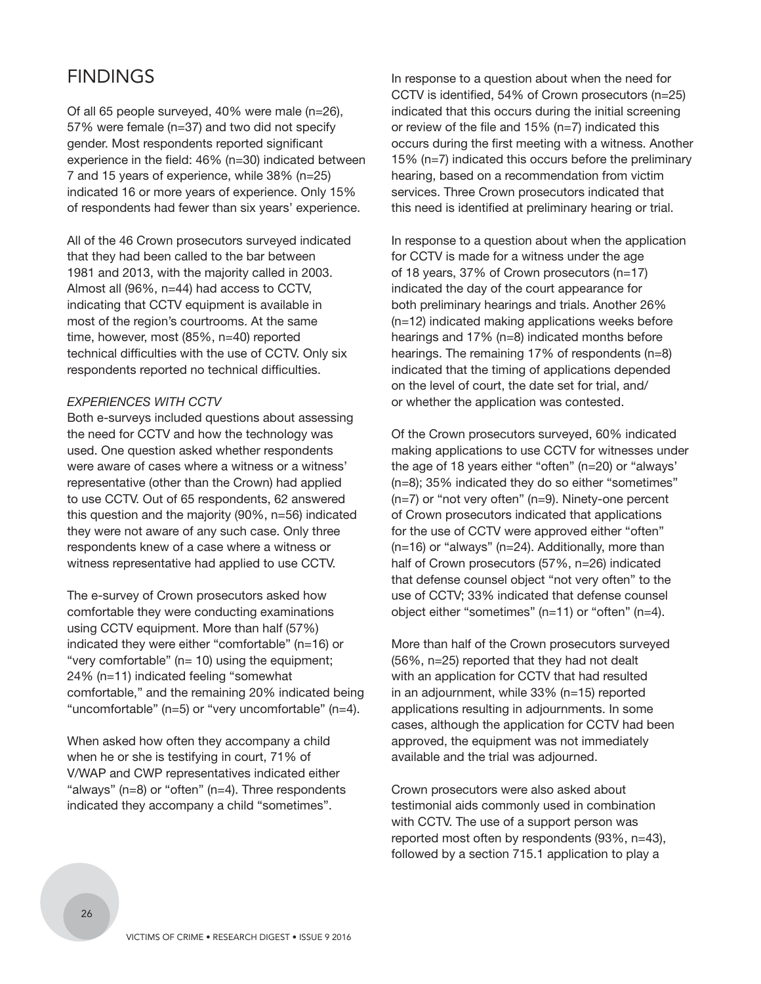## FINDINGS

Of all 65 people surveyed, 40% were male (n=26), 57% were female (n=37) and two did not specify gender. Most respondents reported significant experience in the field: 46% (n=30) indicated between 7 and 15 years of experience, while 38% (n=25) indicated 16 or more years of experience. Only 15% of respondents had fewer than six years' experience.

All of the 46 Crown prosecutors surveyed indicated that they had been called to the bar between 1981 and 2013, with the majority called in 2003. Almost all (96%, n=44) had access to CCTV, indicating that CCTV equipment is available in most of the region's courtrooms. At the same time, however, most (85%, n=40) reported technical difficulties with the use of CCTV. Only six respondents reported no technical difficulties.

#### *EXPERIENCES WITH CCTV*

Both e-surveys included questions about assessing the need for CCTV and how the technology was used. One question asked whether respondents were aware of cases where a witness or a witness' representative (other than the Crown) had applied to use CCTV. Out of 65 respondents, 62 answered this question and the majority (90%, n=56) indicated they were not aware of any such case. Only three respondents knew of a case where a witness or witness representative had applied to use CCTV.

The e-survey of Crown prosecutors asked how comfortable they were conducting examinations using CCTV equipment. More than half (57%) indicated they were either "comfortable" (n=16) or "very comfortable" ( $n= 10$ ) using the equipment; 24% (n=11) indicated feeling "somewhat comfortable," and the remaining 20% indicated being "uncomfortable" (n=5) or "very uncomfortable" (n=4).

When asked how often they accompany a child when he or she is testifying in court, 71% of V/WAP and CWP representatives indicated either "always" (n=8) or "often" (n=4). Three respondents indicated they accompany a child "sometimes".

In response to a question about when the need for CCTV is identified, 54% of Crown prosecutors (n=25) indicated that this occurs during the initial screening or review of the file and 15% (n=7) indicated this occurs during the first meeting with a witness. Another 15% (n=7) indicated this occurs before the preliminary hearing, based on a recommendation from victim services. Three Crown prosecutors indicated that this need is identified at preliminary hearing or trial.

In response to a question about when the application for CCTV is made for a witness under the age of 18 years, 37% of Crown prosecutors (n=17) indicated the day of the court appearance for both preliminary hearings and trials. Another 26% (n=12) indicated making applications weeks before hearings and 17% (n=8) indicated months before hearings. The remaining 17% of respondents (n=8) indicated that the timing of applications depended on the level of court, the date set for trial, and/ or whether the application was contested.

Of the Crown prosecutors surveyed, 60% indicated making applications to use CCTV for witnesses under the age of 18 years either "often" (n=20) or "always' (n=8); 35% indicated they do so either "sometimes" (n=7) or "not very often" (n=9). Ninety-one percent of Crown prosecutors indicated that applications for the use of CCTV were approved either "often" (n=16) or "always" (n=24). Additionally, more than half of Crown prosecutors (57%, n=26) indicated that defense counsel object "not very often" to the use of CCTV; 33% indicated that defense counsel object either "sometimes" (n=11) or "often" (n=4).

More than half of the Crown prosecutors surveyed (56%, n=25) reported that they had not dealt with an application for CCTV that had resulted in an adjournment, while 33% (n=15) reported applications resulting in adjournments. In some cases, although the application for CCTV had been approved, the equipment was not immediately available and the trial was adjourned.

Crown prosecutors were also asked about testimonial aids commonly used in combination with CCTV. The use of a support person was reported most often by respondents (93%, n=43), followed by a section 715.1 application to play a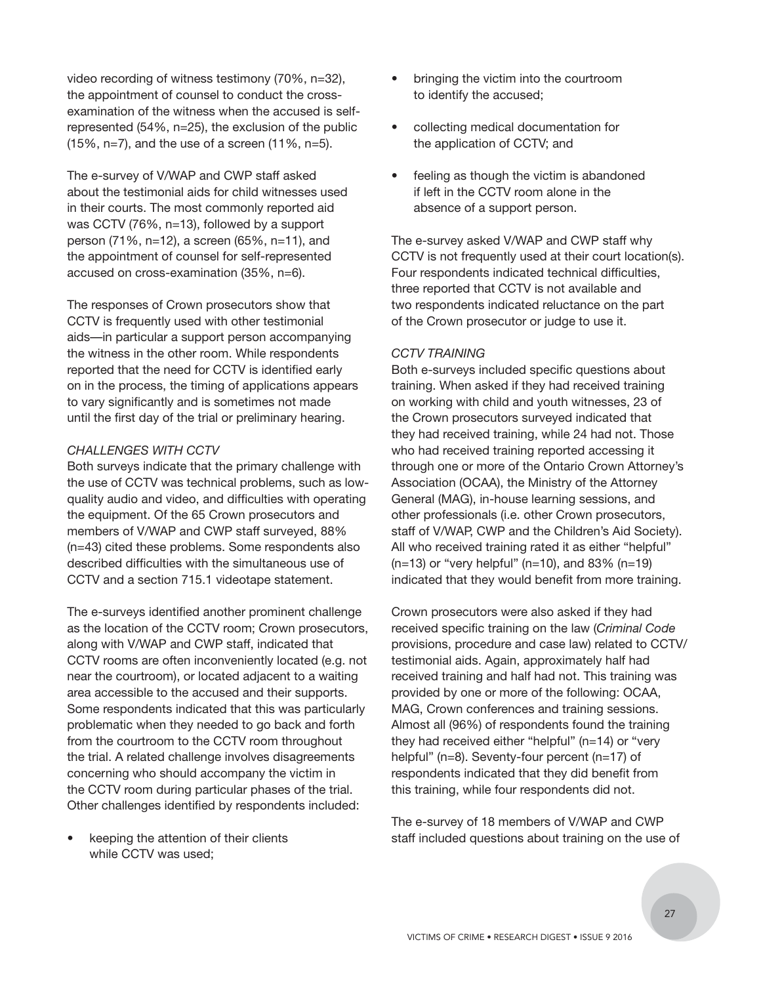video recording of witness testimony (70%, n=32), the appointment of counsel to conduct the crossexamination of the witness when the accused is selfrepresented (54%, n=25), the exclusion of the public (15%, n=7), and the use of a screen (11%, n=5).

The e-survey of V/WAP and CWP staff asked about the testimonial aids for child witnesses used in their courts. The most commonly reported aid was CCTV (76%, n=13), followed by a support person (71%, n=12), a screen (65%, n=11), and the appointment of counsel for self-represented accused on cross-examination (35%, n=6).

The responses of Crown prosecutors show that CCTV is frequently used with other testimonial aids—in particular a support person accompanying the witness in the other room. While respondents reported that the need for CCTV is identified early on in the process, the timing of applications appears to vary significantly and is sometimes not made until the first day of the trial or preliminary hearing.

#### *CHALLENGES WITH CCTV*

Both surveys indicate that the primary challenge with the use of CCTV was technical problems, such as lowquality audio and video, and difficulties with operating the equipment. Of the 65 Crown prosecutors and members of V/WAP and CWP staff surveyed, 88% (n=43) cited these problems. Some respondents also described difficulties with the simultaneous use of CCTV and a section 715.1 videotape statement.

The e-surveys identified another prominent challenge as the location of the CCTV room; Crown prosecutors, along with V/WAP and CWP staff, indicated that CCTV rooms are often inconveniently located (e.g. not near the courtroom), or located adjacent to a waiting area accessible to the accused and their supports. Some respondents indicated that this was particularly problematic when they needed to go back and forth from the courtroom to the CCTV room throughout the trial. A related challenge involves disagreements concerning who should accompany the victim in the CCTV room during particular phases of the trial. Other challenges identified by respondents included:

• keeping the attention of their clients while CCTV was used;

- bringing the victim into the courtroom to identify the accused;
- collecting medical documentation for the application of CCTV; and
- feeling as though the victim is abandoned if left in the CCTV room alone in the absence of a support person.

The e-survey asked V/WAP and CWP staff why CCTV is not frequently used at their court location(s). Four respondents indicated technical difficulties, three reported that CCTV is not available and two respondents indicated reluctance on the part of the Crown prosecutor or judge to use it.

#### *CCTV TRAINING*

Both e-surveys included specific questions about training. When asked if they had received training on working with child and youth witnesses, 23 of the Crown prosecutors surveyed indicated that they had received training, while 24 had not. Those who had received training reported accessing it through one or more of the Ontario Crown Attorney's Association (OCAA), the Ministry of the Attorney General (MAG), in-house learning sessions, and other professionals (i.e. other Crown prosecutors, staff of V/WAP, CWP and the Children's Aid Society). All who received training rated it as either "helpful"  $(n=13)$  or "very helpful"  $(n=10)$ , and 83%  $(n=19)$ indicated that they would benefit from more training.

Crown prosecutors were also asked if they had received specific training on the law (*Criminal Code* provisions, procedure and case law) related to CCTV/ testimonial aids. Again, approximately half had received training and half had not. This training was provided by one or more of the following: OCAA, MAG, Crown conferences and training sessions. Almost all (96%) of respondents found the training they had received either "helpful" (n=14) or "very helpful" (n=8). Seventy-four percent (n=17) of respondents indicated that they did benefit from this training, while four respondents did not.

The e-survey of 18 members of V/WAP and CWP staff included questions about training on the use of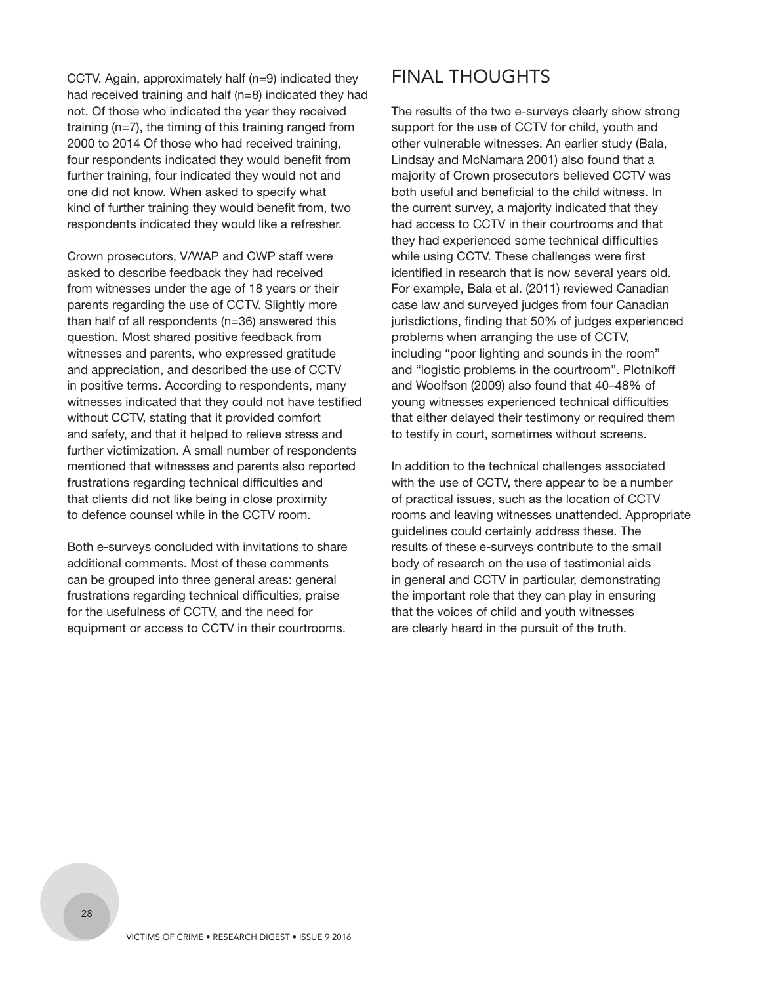CCTV. Again, approximately half (n=9) indicated they had received training and half (n=8) indicated they had not. Of those who indicated the year they received training (n*=*7), the timing of this training ranged from 2000 to 2014 Of those who had received training, four respondents indicated they would benefit from further training, four indicated they would not and one did not know. When asked to specify what kind of further training they would benefit from, two respondents indicated they would like a refresher.

Crown prosecutors, V/WAP and CWP staff were asked to describe feedback they had received from witnesses under the age of 18 years or their parents regarding the use of CCTV. Slightly more than half of all respondents (n=36) answered this question. Most shared positive feedback from witnesses and parents, who expressed gratitude and appreciation, and described the use of CCTV in positive terms. According to respondents, many witnesses indicated that they could not have testified without CCTV, stating that it provided comfort and safety, and that it helped to relieve stress and further victimization. A small number of respondents mentioned that witnesses and parents also reported frustrations regarding technical difficulties and that clients did not like being in close proximity to defence counsel while in the CCTV room.

Both e-surveys concluded with invitations to share additional comments. Most of these comments can be grouped into three general areas: general frustrations regarding technical difficulties, praise for the usefulness of CCTV, and the need for equipment or access to CCTV in their courtrooms.

## FINAL THOUGHTS

The results of the two e-surveys clearly show strong support for the use of CCTV for child, youth and other vulnerable witnesses. An earlier study (Bala, Lindsay and McNamara 2001) also found that a majority of Crown prosecutors believed CCTV was both useful and beneficial to the child witness. In the current survey, a majority indicated that they had access to CCTV in their courtrooms and that they had experienced some technical difficulties while using CCTV. These challenges were first identified in research that is now several years old. For example, Bala et al. (2011) reviewed Canadian case law and surveyed judges from four Canadian jurisdictions, finding that 50% of judges experienced problems when arranging the use of CCTV, including "poor lighting and sounds in the room" and "logistic problems in the courtroom". Plotnikoff and Woolfson (2009) also found that 40–48% of young witnesses experienced technical difficulties that either delayed their testimony or required them to testify in court, sometimes without screens.

In addition to the technical challenges associated with the use of CCTV, there appear to be a number of practical issues, such as the location of CCTV rooms and leaving witnesses unattended. Appropriate guidelines could certainly address these. The results of these e-surveys contribute to the small body of research on the use of testimonial aids in general and CCTV in particular, demonstrating the important role that they can play in ensuring that the voices of child and youth witnesses are clearly heard in the pursuit of the truth.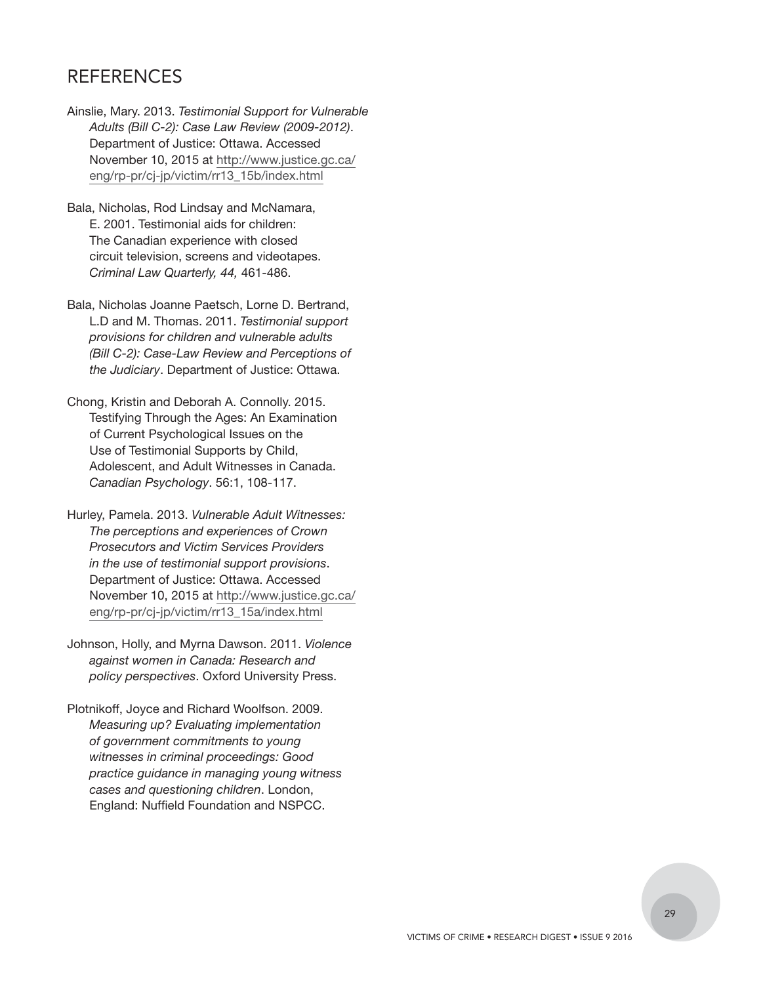## REFERENCES

- Ainslie, Mary. 2013. *Testimonial Support for Vulnerable Adults (Bill C-2): Case Law Review (2009-2012)*. Department of Justice: Ottawa. Accessed [November 10, 2015 at http://www.justice.gc.ca/](http://www.justice.gc.ca/eng/rp-pr/cj-jp/victim/rr13_15b/index.html) eng/rp-pr/cj-jp/victim/rr13\_15b/index.html
- Bala, Nicholas, Rod Lindsay and McNamara, E. 2001. Testimonial aids for children: The Canadian experience with closed circuit television, screens and videotapes. *Criminal Law Quarterly, 44,* 461-486.
- Bala, Nicholas Joanne Paetsch, Lorne D. Bertrand, L.D and M. Thomas. 2011. *Testimonial support provisions for children and vulnerable adults (Bill C-2): Case-Law Review and Perceptions of the Judiciary*. Department of Justice: Ottawa.
- Chong, Kristin and Deborah A. Connolly. 2015. Testifying Through the Ages: An Examination of Current Psychological Issues on the Use of Testimonial Supports by Child, Adolescent, and Adult Witnesses in Canada. *Canadian Psychology*. 56:1, 108-117.
- Hurley, Pamela. 2013. *Vulnerable Adult Witnesses: The perceptions and experiences of Crown Prosecutors and Victim Services Providers in the use of testimonial support provisions*. Department of Justice: Ottawa. Accessed [November 10, 2015 at http://www.justice.gc.ca/](http://www.justice.gc.ca/eng/rp-pr/cj-jp/victim/rr13_15a/index.html) eng/rp-pr/cj-jp/victim/rr13\_15a/index.html
- Johnson, Holly, and Myrna Dawson. 2011. *Violence against women in Canada: Research and policy perspectives*. Oxford University Press.
- Plotnikoff, Joyce and Richard Woolfson. 2009. *Measuring up? Evaluating implementation of government commitments to young witnesses in criminal proceedings: Good practice guidance in managing young witness cases and questioning children*. London, England: Nuffield Foundation and NSPCC.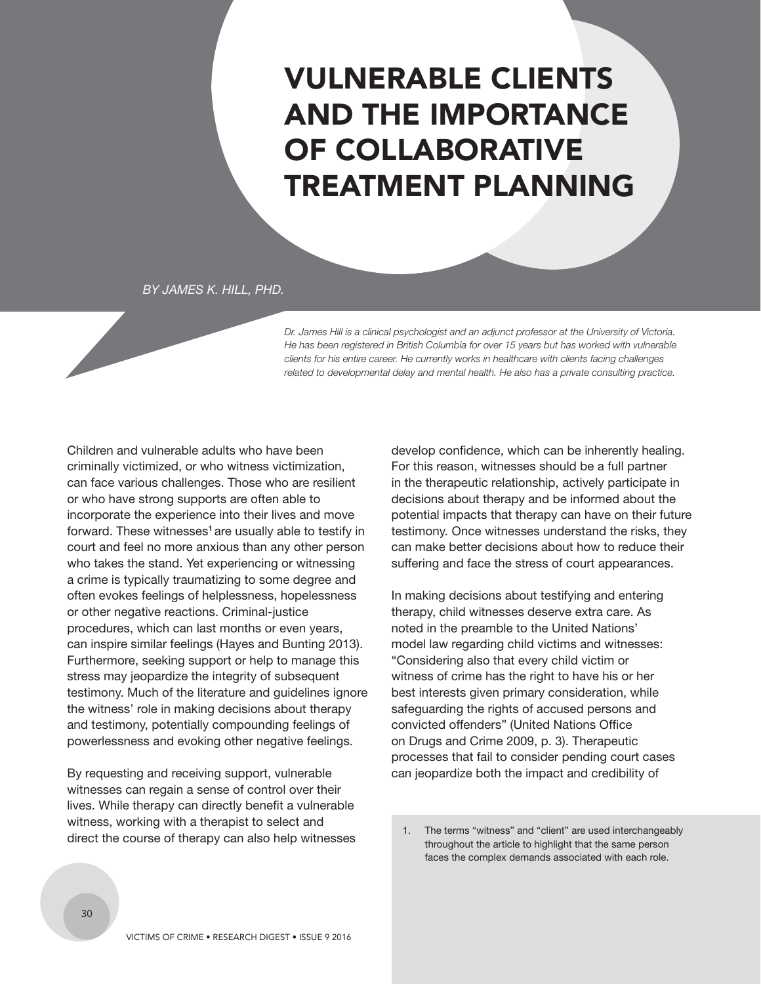## <span id="page-31-0"></span>VULNERABLE CLIENTS AND THE IMPORTANCE OF COLLABORATIVE TREATMENT PLANNING

*BY JAMES K. HILL, PHD.*

*Dr. James Hill is a clinical psychologist and an adjunct professor at the University of Victoria. He has been registered in British Columbia for over 15 years but has worked with vulnerable clients for his entire career. He currently works in healthcare with clients facing challenges related to developmental delay and mental health. He also has a private consulting practice.* 

Children and vulnerable adults who have been criminally victimized, or who witness victimization, can face various challenges. Those who are resilient or who have strong supports are often able to incorporate the experience into their lives and move forward. These witnesses**1** are usually able to testify in court and feel no more anxious than any other person who takes the stand. Yet experiencing or witnessing a crime is typically traumatizing to some degree and often evokes feelings of helplessness, hopelessness or other negative reactions. Criminal-justice procedures, which can last months or even years, can inspire similar feelings (Hayes and Bunting 2013). Furthermore, seeking support or help to manage this stress may jeopardize the integrity of subsequent testimony. Much of the literature and guidelines ignore the witness' role in making decisions about therapy and testimony, potentially compounding feelings of powerlessness and evoking other negative feelings.

By requesting and receiving support, vulnerable witnesses can regain a sense of control over their lives. While therapy can directly benefit a vulnerable witness, working with a therapist to select and direct the course of therapy can also help witnesses develop confidence, which can be inherently healing. For this reason, witnesses should be a full partner in the therapeutic relationship, actively participate in decisions about therapy and be informed about the potential impacts that therapy can have on their future testimony. Once witnesses understand the risks, they can make better decisions about how to reduce their suffering and face the stress of court appearances.

In making decisions about testifying and entering therapy, child witnesses deserve extra care. As noted in the preamble to the United Nations' model law regarding child victims and witnesses: "Considering also that every child victim or witness of crime has the right to have his or her best interests given primary consideration, while safeguarding the rights of accused persons and convicted offenders" (United Nations Office on Drugs and Crime 2009, p. 3). Therapeutic processes that fail to consider pending court cases can jeopardize both the impact and credibility of

<sup>1.</sup> The terms "witness" and "client" are used interchangeably throughout the article to highlight that the same person faces the complex demands associated with each role.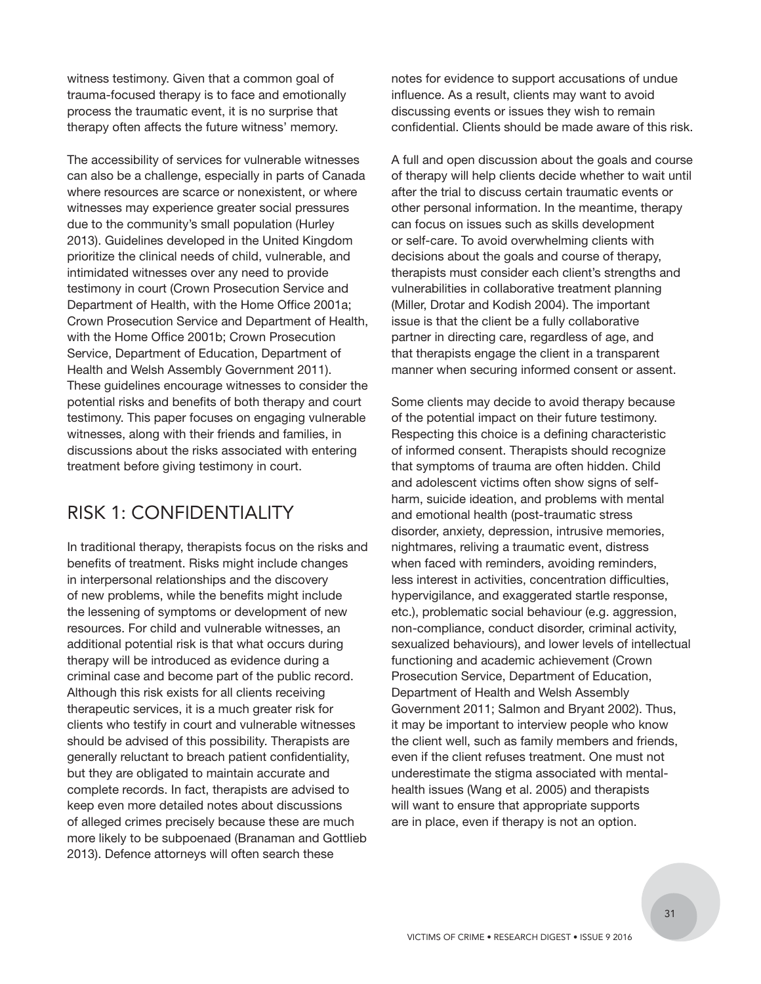witness testimony. Given that a common goal of trauma-focused therapy is to face and emotionally process the traumatic event, it is no surprise that therapy often affects the future witness' memory.

The accessibility of services for vulnerable witnesses can also be a challenge, especially in parts of Canada where resources are scarce or nonexistent, or where witnesses may experience greater social pressures due to the community's small population (Hurley 2013). Guidelines developed in the United Kingdom prioritize the clinical needs of child, vulnerable, and intimidated witnesses over any need to provide testimony in court (Crown Prosecution Service and Department of Health, with the Home Office 2001a; Crown Prosecution Service and Department of Health, with the Home Office 2001b; Crown Prosecution Service, Department of Education, Department of Health and Welsh Assembly Government 2011). These guidelines encourage witnesses to consider the potential risks and benefits of both therapy and court testimony. This paper focuses on engaging vulnerable witnesses, along with their friends and families, in discussions about the risks associated with entering treatment before giving testimony in court.

## RISK 1: CONFIDENTIALITY

In traditional therapy, therapists focus on the risks and benefits of treatment. Risks might include changes in interpersonal relationships and the discovery of new problems, while the benefits might include the lessening of symptoms or development of new resources. For child and vulnerable witnesses, an additional potential risk is that what occurs during therapy will be introduced as evidence during a criminal case and become part of the public record. Although this risk exists for all clients receiving therapeutic services, it is a much greater risk for clients who testify in court and vulnerable witnesses should be advised of this possibility. Therapists are generally reluctant to breach patient confidentiality, but they are obligated to maintain accurate and complete records. In fact, therapists are advised to keep even more detailed notes about discussions of alleged crimes precisely because these are much more likely to be subpoenaed (Branaman and Gottlieb 2013). Defence attorneys will often search these

notes for evidence to support accusations of undue influence. As a result, clients may want to avoid discussing events or issues they wish to remain confidential. Clients should be made aware of this risk.

A full and open discussion about the goals and course of therapy will help clients decide whether to wait until after the trial to discuss certain traumatic events or other personal information. In the meantime, therapy can focus on issues such as skills development or self-care. To avoid overwhelming clients with decisions about the goals and course of therapy, therapists must consider each client's strengths and vulnerabilities in collaborative treatment planning (Miller, Drotar and Kodish 2004). The important issue is that the client be a fully collaborative partner in directing care, regardless of age, and that therapists engage the client in a transparent manner when securing informed consent or assent.

Some clients may decide to avoid therapy because of the potential impact on their future testimony. Respecting this choice is a defining characteristic of informed consent. Therapists should recognize that symptoms of trauma are often hidden. Child and adolescent victims often show signs of selfharm, suicide ideation, and problems with mental and emotional health (post-traumatic stress disorder, anxiety, depression, intrusive memories, nightmares, reliving a traumatic event, distress when faced with reminders, avoiding reminders, less interest in activities, concentration difficulties, hypervigilance, and exaggerated startle response, etc.), problematic social behaviour (e.g. aggression, non-compliance, conduct disorder, criminal activity, sexualized behaviours), and lower levels of intellectual functioning and academic achievement (Crown Prosecution Service, Department of Education, Department of Health and Welsh Assembly Government 2011; Salmon and Bryant 2002). Thus, it may be important to interview people who know the client well, such as family members and friends, even if the client refuses treatment. One must not underestimate the stigma associated with mentalhealth issues (Wang et al. 2005) and therapists will want to ensure that appropriate supports are in place, even if therapy is not an option.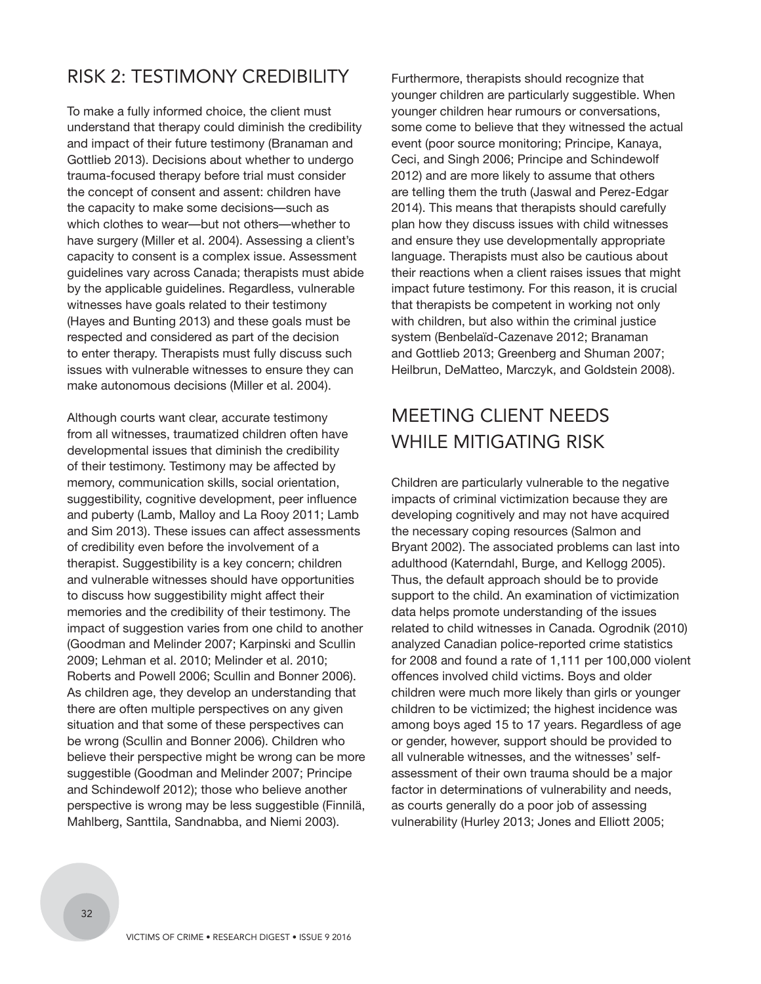## RISK 2: TESTIMONY CREDIBILITY

To make a fully informed choice, the client must understand that therapy could diminish the credibility and impact of their future testimony (Branaman and Gottlieb 2013). Decisions about whether to undergo trauma-focused therapy before trial must consider the concept of consent and assent: children have the capacity to make some decisions—such as which clothes to wear—but not others—whether to have surgery (Miller et al. 2004). Assessing a client's capacity to consent is a complex issue. Assessment guidelines vary across Canada; therapists must abide by the applicable guidelines. Regardless, vulnerable witnesses have goals related to their testimony (Hayes and Bunting 2013) and these goals must be respected and considered as part of the decision to enter therapy. Therapists must fully discuss such issues with vulnerable witnesses to ensure they can make autonomous decisions (Miller et al. 2004).

Although courts want clear, accurate testimony from all witnesses, traumatized children often have developmental issues that diminish the credibility of their testimony. Testimony may be affected by memory, communication skills, social orientation, suggestibility, cognitive development, peer influence and puberty (Lamb, Malloy and La Rooy 2011; Lamb and Sim 2013). These issues can affect assessments of credibility even before the involvement of a therapist. Suggestibility is a key concern; children and vulnerable witnesses should have opportunities to discuss how suggestibility might affect their memories and the credibility of their testimony. The impact of suggestion varies from one child to another (Goodman and Melinder 2007; Karpinski and Scullin 2009; Lehman et al. 2010; Melinder et al. 2010; Roberts and Powell 2006; Scullin and Bonner 2006). As children age, they develop an understanding that there are often multiple perspectives on any given situation and that some of these perspectives can be wrong (Scullin and Bonner 2006). Children who believe their perspective might be wrong can be more suggestible (Goodman and Melinder 2007; Principe and Schindewolf 2012); those who believe another perspective is wrong may be less suggestible (Finnilä, Mahlberg, Santtila, Sandnabba, and Niemi 2003).

Furthermore, therapists should recognize that younger children are particularly suggestible. When younger children hear rumours or conversations, some come to believe that they witnessed the actual event (poor source monitoring; Principe, Kanaya, Ceci, and Singh 2006; Principe and Schindewolf 2012) and are more likely to assume that others are telling them the truth (Jaswal and Perez-Edgar 2014). This means that therapists should carefully plan how they discuss issues with child witnesses and ensure they use developmentally appropriate language. Therapists must also be cautious about their reactions when a client raises issues that might impact future testimony. For this reason, it is crucial that therapists be competent in working not only with children, but also within the criminal justice system (Benbelaïd-Cazenave 2012; Branaman and Gottlieb 2013; Greenberg and Shuman 2007; Heilbrun, DeMatteo, Marczyk, and Goldstein 2008).

## MEETING CLIENT NEEDS WHILE MITIGATING RISK

Children are particularly vulnerable to the negative impacts of criminal victimization because they are developing cognitively and may not have acquired the necessary coping resources (Salmon and Bryant 2002). The associated problems can last into adulthood (Katerndahl, Burge, and Kellogg 2005). Thus, the default approach should be to provide support to the child. An examination of victimization data helps promote understanding of the issues related to child witnesses in Canada. Ogrodnik (2010) analyzed Canadian police-reported crime statistics for 2008 and found a rate of 1,111 per 100,000 violent offences involved child victims. Boys and older children were much more likely than girls or younger children to be victimized; the highest incidence was among boys aged 15 to 17 years. Regardless of age or gender, however, support should be provided to all vulnerable witnesses, and the witnesses' selfassessment of their own trauma should be a major factor in determinations of vulnerability and needs, as courts generally do a poor job of assessing vulnerability (Hurley 2013; Jones and Elliott 2005;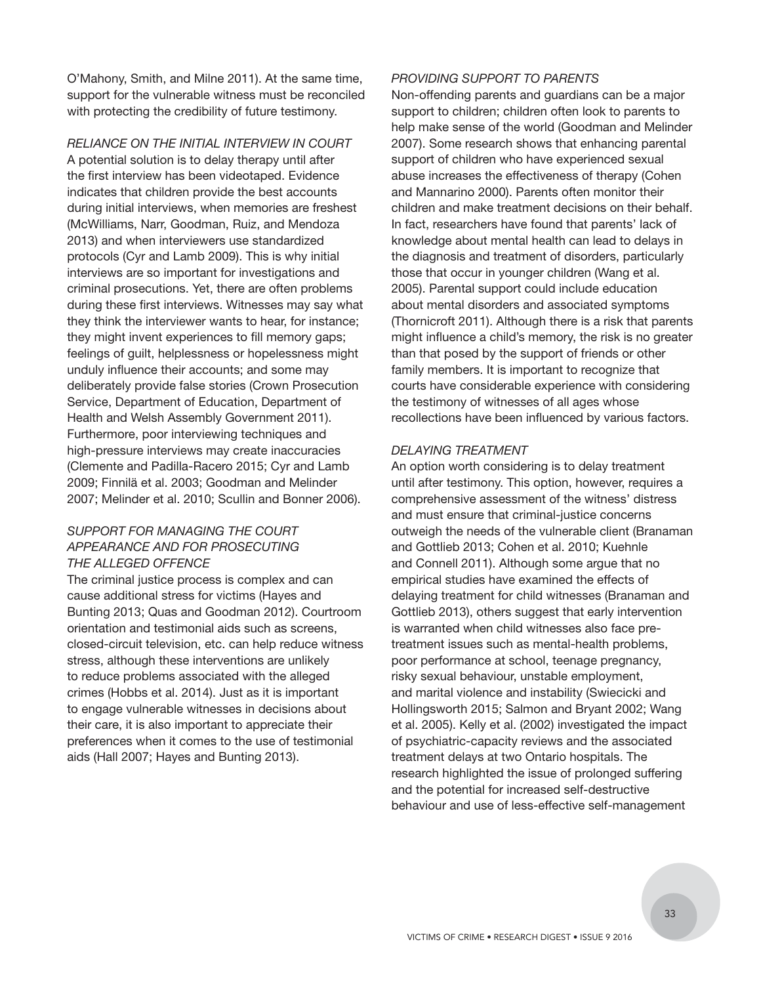O'Mahony, Smith, and Milne 2011). At the same time, support for the vulnerable witness must be reconciled with protecting the credibility of future testimony.

*RELIANCE ON THE INITIAL INTERVIEW IN COURT* A potential solution is to delay therapy until after the first interview has been videotaped. Evidence indicates that children provide the best accounts during initial interviews, when memories are freshest (McWilliams, Narr, Goodman, Ruiz, and Mendoza 2013) and when interviewers use standardized protocols (Cyr and Lamb 2009). This is why initial interviews are so important for investigations and criminal prosecutions. Yet, there are often problems during these first interviews. Witnesses may say what they think the interviewer wants to hear, for instance; they might invent experiences to fill memory gaps; feelings of guilt, helplessness or hopelessness might unduly influence their accounts; and some may deliberately provide false stories (Crown Prosecution Service, Department of Education, Department of Health and Welsh Assembly Government 2011). Furthermore, poor interviewing techniques and high-pressure interviews may create inaccuracies (Clemente and Padilla-Racero 2015; Cyr and Lamb 2009; Finnilä et al. 2003; Goodman and Melinder 2007; Melinder et al. 2010; Scullin and Bonner 2006).

#### *SUPPORT FOR MANAGING THE COURT APPEARANCE AND FOR PROSECUTING THE ALLEGED OFFENCE*

The criminal justice process is complex and can cause additional stress for victims (Hayes and Bunting 2013; Quas and Goodman 2012). Courtroom orientation and testimonial aids such as screens, closed-circuit television, etc. can help reduce witness stress, although these interventions are unlikely to reduce problems associated with the alleged crimes (Hobbs et al. 2014). Just as it is important to engage vulnerable witnesses in decisions about their care, it is also important to appreciate their preferences when it comes to the use of testimonial aids (Hall 2007; Hayes and Bunting 2013).

#### *PROVIDING SUPPORT TO PARENTS*

Non-offending parents and guardians can be a major support to children; children often look to parents to help make sense of the world (Goodman and Melinder 2007). Some research shows that enhancing parental support of children who have experienced sexual abuse increases the effectiveness of therapy (Cohen and Mannarino 2000). Parents often monitor their children and make treatment decisions on their behalf. In fact, researchers have found that parents' lack of knowledge about mental health can lead to delays in the diagnosis and treatment of disorders, particularly those that occur in younger children (Wang et al. 2005). Parental support could include education about mental disorders and associated symptoms (Thornicroft 2011). Although there is a risk that parents might influence a child's memory, the risk is no greater than that posed by the support of friends or other family members. It is important to recognize that courts have considerable experience with considering the testimony of witnesses of all ages whose recollections have been influenced by various factors.

#### *DELAYING TREATMENT*

An option worth considering is to delay treatment until after testimony. This option, however, requires a comprehensive assessment of the witness' distress and must ensure that criminal-justice concerns outweigh the needs of the vulnerable client (Branaman and Gottlieb 2013; Cohen et al. 2010; Kuehnle and Connell 2011). Although some argue that no empirical studies have examined the effects of delaying treatment for child witnesses (Branaman and Gottlieb 2013), others suggest that early intervention is warranted when child witnesses also face pretreatment issues such as mental-health problems, poor performance at school, teenage pregnancy, risky sexual behaviour, unstable employment, and marital violence and instability (Swiecicki and Hollingsworth 2015; Salmon and Bryant 2002; Wang et al. 2005). Kelly et al. (2002) investigated the impact of psychiatric-capacity reviews and the associated treatment delays at two Ontario hospitals. The research highlighted the issue of prolonged suffering and the potential for increased self-destructive behaviour and use of less-effective self-management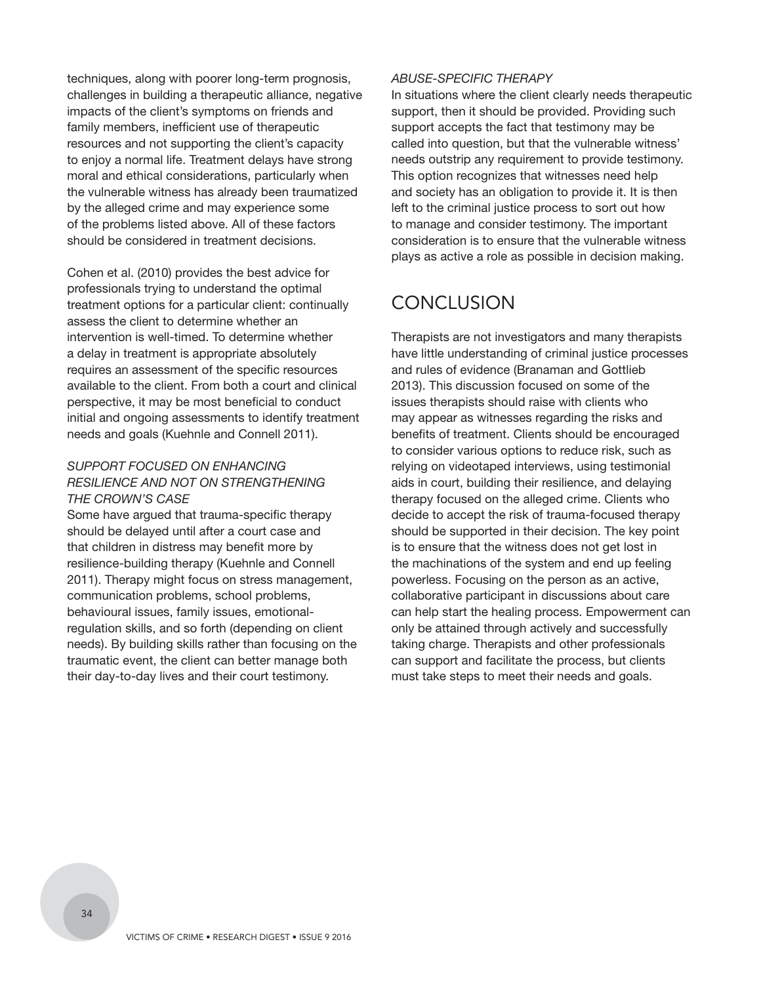techniques, along with poorer long-term prognosis, challenges in building a therapeutic alliance, negative impacts of the client's symptoms on friends and family members, inefficient use of therapeutic resources and not supporting the client's capacity to enjoy a normal life. Treatment delays have strong moral and ethical considerations, particularly when the vulnerable witness has already been traumatized by the alleged crime and may experience some of the problems listed above. All of these factors should be considered in treatment decisions.

Cohen et al. (2010) provides the best advice for professionals trying to understand the optimal treatment options for a particular client: continually assess the client to determine whether an intervention is well-timed. To determine whether a delay in treatment is appropriate absolutely requires an assessment of the specific resources available to the client. From both a court and clinical perspective, it may be most beneficial to conduct initial and ongoing assessments to identify treatment needs and goals (Kuehnle and Connell 2011).

#### *SUPPORT FOCUSED ON ENHANCING RESILIENCE AND NOT ON STRENGTHENING THE CROWN'S CASE*

Some have argued that trauma-specific therapy should be delayed until after a court case and that children in distress may benefit more by resilience-building therapy (Kuehnle and Connell 2011). Therapy might focus on stress management, communication problems, school problems, behavioural issues, family issues, emotionalregulation skills, and so forth (depending on client needs). By building skills rather than focusing on the traumatic event, the client can better manage both their day-to-day lives and their court testimony.

#### *ABUSE-SPECIFIC THERAPY*

In situations where the client clearly needs therapeutic support, then it should be provided. Providing such support accepts the fact that testimony may be called into question, but that the vulnerable witness' needs outstrip any requirement to provide testimony. This option recognizes that witnesses need help and society has an obligation to provide it. It is then left to the criminal justice process to sort out how to manage and consider testimony. The important consideration is to ensure that the vulnerable witness plays as active a role as possible in decision making.

## **CONCLUSION**

Therapists are not investigators and many therapists have little understanding of criminal justice processes and rules of evidence (Branaman and Gottlieb 2013). This discussion focused on some of the issues therapists should raise with clients who may appear as witnesses regarding the risks and benefits of treatment. Clients should be encouraged to consider various options to reduce risk, such as relying on videotaped interviews, using testimonial aids in court, building their resilience, and delaying therapy focused on the alleged crime. Clients who decide to accept the risk of trauma-focused therapy should be supported in their decision. The key point is to ensure that the witness does not get lost in the machinations of the system and end up feeling powerless. Focusing on the person as an active, collaborative participant in discussions about care can help start the healing process. Empowerment can only be attained through actively and successfully taking charge. Therapists and other professionals can support and facilitate the process, but clients must take steps to meet their needs and goals.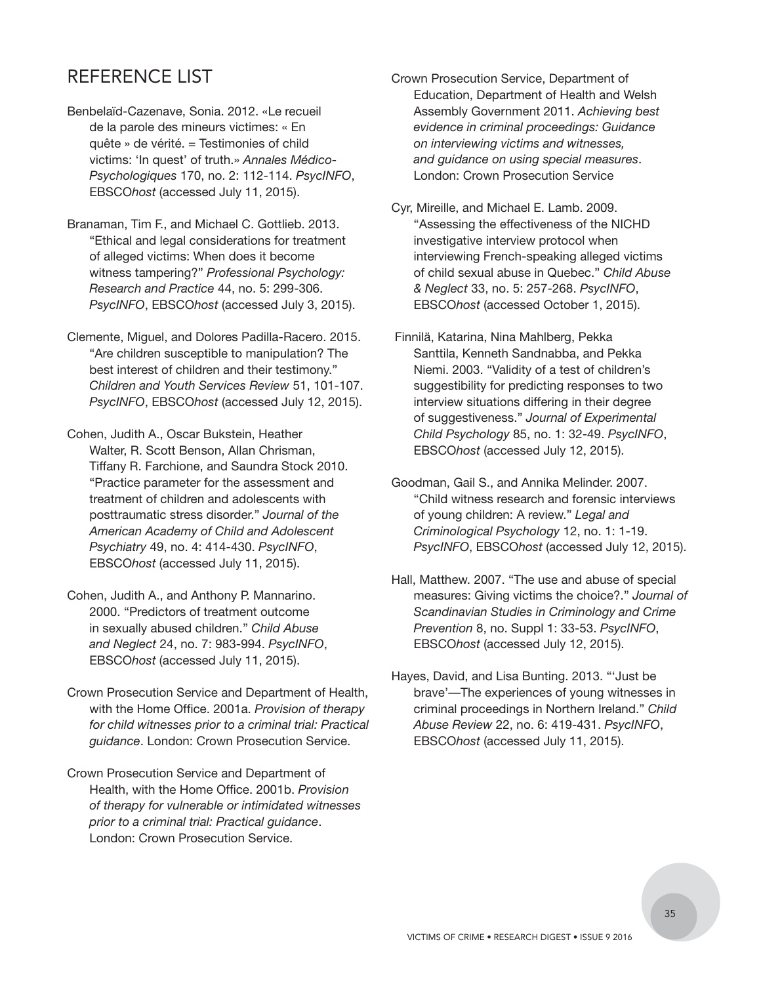## REFERENCE LIST

- Benbelaïd-Cazenave, Sonia. 2012. «Le recueil de la parole des mineurs victimes: « En quête » de vérité. = Testimonies of child victims: 'In quest' of truth.» *Annales Médico-Psychologiques* 170, no. 2: 112-114. *PsycINFO*, EBSCO*host* (accessed July 11, 2015).
- Branaman, Tim F., and Michael C. Gottlieb. 2013. "Ethical and legal considerations for treatment of alleged victims: When does it become witness tampering?" *Professional Psychology: Research and Practice* 44, no. 5: 299-306. *PsycINFO*, EBSCO*host* (accessed July 3, 2015).
- Clemente, Miguel, and Dolores Padilla-Racero. 2015. "Are children susceptible to manipulation? The best interest of children and their testimony." *Children and Youth Services Review* 51, 101-107. *PsycINFO*, EBSCO*host* (accessed July 12, 2015).
- Cohen, Judith A., Oscar Bukstein, Heather Walter, R. Scott Benson, Allan Chrisman, Tiffany R. Farchione, and Saundra Stock 2010. "Practice parameter for the assessment and treatment of children and adolescents with posttraumatic stress disorder." *Journal of the American Academy of Child and Adolescent Psychiatry* 49, no. 4: 414-430. *PsycINFO*, EBSCO*host* (accessed July 11, 2015).
- Cohen, Judith A., and Anthony P. Mannarino. 2000. "Predictors of treatment outcome in sexually abused children." *Child Abuse and Neglect* 24, no. 7: 983-994. *PsycINFO*, EBSCO*host* (accessed July 11, 2015).
- Crown Prosecution Service and Department of Health, with the Home Office. 2001a. *Provision of therapy for child witnesses prior to a criminal trial: Practical guidance*. London: Crown Prosecution Service.
- Crown Prosecution Service and Department of Health, with the Home Office. 2001b. *Provision of therapy for vulnerable or intimidated witnesses prior to a criminal trial: Practical guidance*. London: Crown Prosecution Service.
- Crown Prosecution Service, Department of Education, Department of Health and Welsh Assembly Government 2011. *Achieving best evidence in criminal proceedings: Guidance on interviewing victims and witnesses, and guidance on using special measures*. London: Crown Prosecution Service
- Cyr, Mireille, and Michael E. Lamb. 2009. "Assessing the effectiveness of the NICHD investigative interview protocol when interviewing French-speaking alleged victims of child sexual abuse in Quebec." *Child Abuse & Neglect* 33, no. 5: 257-268. *PsycINFO*, EBSCO*host* (accessed October 1, 2015).
- Finnilä, Katarina, Nina Mahlberg, Pekka Santtila, Kenneth Sandnabba, and Pekka Niemi. 2003. "Validity of a test of children's suggestibility for predicting responses to two interview situations differing in their degree of suggestiveness." *Journal of Experimental Child Psychology* 85, no. 1: 32-49. *PsycINFO*, EBSCO*host* (accessed July 12, 2015).
- Goodman, Gail S., and Annika Melinder. 2007. "Child witness research and forensic interviews of young children: A review." *Legal and Criminological Psychology* 12, no. 1: 1-19. *PsycINFO*, EBSCO*host* (accessed July 12, 2015).
- Hall, Matthew. 2007. "The use and abuse of special measures: Giving victims the choice?." *Journal of Scandinavian Studies in Criminology and Crime Prevention* 8, no. Suppl 1: 33-53. *PsycINFO*, EBSCO*host* (accessed July 12, 2015).
- Hayes, David, and Lisa Bunting. 2013. "'Just be brave'—The experiences of young witnesses in criminal proceedings in Northern Ireland." *Child Abuse Review* 22, no. 6: 419-431. *PsycINFO*, EBSCO*host* (accessed July 11, 2015).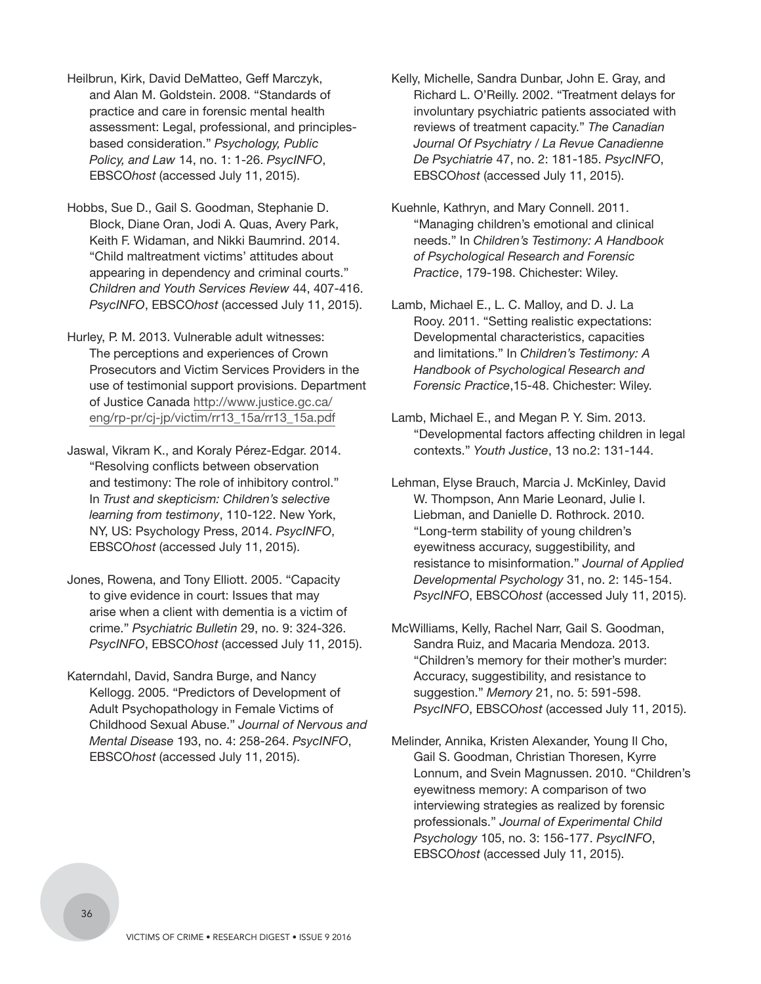- Heilbrun, Kirk, David DeMatteo, Geff Marczyk, and Alan M. Goldstein. 2008. "Standards of practice and care in forensic mental health assessment: Legal, professional, and principlesbased consideration." *Psychology, Public Policy, and Law* 14, no. 1: 1-26. *PsycINFO*, EBSCO*host* (accessed July 11, 2015).
- Hobbs, Sue D., Gail S. Goodman, Stephanie D. Block, Diane Oran, Jodi A. Quas, Avery Park, Keith F. Widaman, and Nikki Baumrind. 2014. "Child maltreatment victims' attitudes about appearing in dependency and criminal courts." *Children and Youth Services Review* 44, 407-416. *PsycINFO*, EBSCO*host* (accessed July 11, 2015).

Hurley, P. M. 2013. Vulnerable adult witnesses: The perceptions and experiences of Crown Prosecutors and Victim Services Providers in the use of testimonial support provisions. Department of Justice Canada http://www.justice.gc.ca/ [eng/rp-pr/cj-jp/victim/rr13\\_15a/rr13\\_15a.pdf](http://www.justice.gc.ca/eng/rp-pr/cj-jp/victim/rr13_15a/rr13_15a.pdf)

Jaswal, Vikram K., and Koraly Pérez-Edgar. 2014. "Resolving conflicts between observation and testimony: The role of inhibitory control." In *Trust and skepticism: Children's selective learning from testimony*, 110-122. New York, NY, US: Psychology Press, 2014. *PsycINFO*, EBSCO*host* (accessed July 11, 2015).

- Jones, Rowena, and Tony Elliott. 2005. "Capacity to give evidence in court: Issues that may arise when a client with dementia is a victim of crime." *Psychiatric Bulletin* 29, no. 9: 324-326. *PsycINFO*, EBSCO*host* (accessed July 11, 2015).
- Katerndahl, David, Sandra Burge, and Nancy Kellogg. 2005. "Predictors of Development of Adult Psychopathology in Female Victims of Childhood Sexual Abuse." *Journal of Nervous and Mental Disease* 193, no. 4: 258-264. *PsycINFO*, EBSCO*host* (accessed July 11, 2015).
- Kelly, Michelle, Sandra Dunbar, John E. Gray, and Richard L. O'Reilly. 2002. "Treatment delays for involuntary psychiatric patients associated with reviews of treatment capacity." *The Canadian Journal Of Psychiatry / La Revue Canadienne De Psychiatrie* 47, no. 2: 181-185. *PsycINFO*, EBSCO*host* (accessed July 11, 2015).
- Kuehnle, Kathryn, and Mary Connell. 2011. "Managing children's emotional and clinical needs." In *Children's Testimony: A Handbook of Psychological Research and Forensic Practice*, 179-198. Chichester: Wiley.
- Lamb, Michael E., L. C. Malloy, and D. J. La Rooy. 2011. "Setting realistic expectations: Developmental characteristics, capacities and limitations." In *Children's Testimony: A Handbook of Psychological Research and Forensic Practice*,15-48. Chichester: Wiley.
- Lamb, Michael E., and Megan P. Y. Sim. 2013. "Developmental factors affecting children in legal contexts." *Youth Justice*, 13 no.2: 131-144.
- Lehman, Elyse Brauch, Marcia J. McKinley, David W. Thompson, Ann Marie Leonard, Julie I. Liebman, and Danielle D. Rothrock. 2010. "Long-term stability of young children's eyewitness accuracy, suggestibility, and resistance to misinformation." *Journal of Applied Developmental Psychology* 31, no. 2: 145-154. *PsycINFO*, EBSCO*host* (accessed July 11, 2015).
- McWilliams, Kelly, Rachel Narr, Gail S. Goodman, Sandra Ruiz, and Macaria Mendoza. 2013. "Children's memory for their mother's murder: Accuracy, suggestibility, and resistance to suggestion." *Memory* 21, no. 5: 591-598. *PsycINFO*, EBSCO*host* (accessed July 11, 2015).
- Melinder, Annika, Kristen Alexander, Young Il Cho, Gail S. Goodman, Christian Thoresen, Kyrre Lonnum, and Svein Magnussen. 2010. "Children's eyewitness memory: A comparison of two interviewing strategies as realized by forensic professionals." *Journal of Experimental Child Psychology* 105, no. 3: 156-177. *PsycINFO*, EBSCO*host* (accessed July 11, 2015).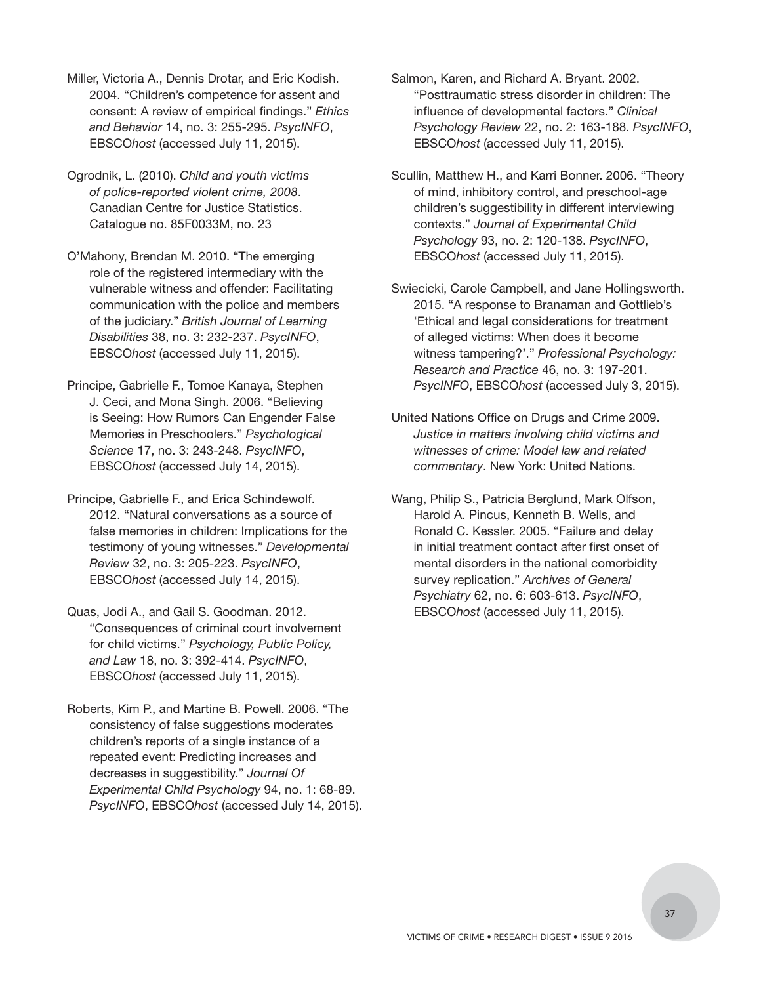- Miller, Victoria A., Dennis Drotar, and Eric Kodish. 2004. "Children's competence for assent and consent: A review of empirical findings." *Ethics and Behavior* 14, no. 3: 255-295. *PsycINFO*, EBSCO*host* (accessed July 11, 2015).
- Ogrodnik, L. (2010). *Child and youth victims of police-reported violent crime, 2008*. Canadian Centre for Justice Statistics. Catalogue no. 85F0033M, no. 23
- O'Mahony, Brendan M. 2010. "The emerging role of the registered intermediary with the vulnerable witness and offender: Facilitating communication with the police and members of the judiciary." *British Journal of Learning Disabilities* 38, no. 3: 232-237. *PsycINFO*, EBSCO*host* (accessed July 11, 2015).
- Principe, Gabrielle F., Tomoe Kanaya, Stephen J. Ceci, and Mona Singh. 2006. "Believing is Seeing: How Rumors Can Engender False Memories in Preschoolers." *Psychological Science* 17, no. 3: 243-248. *PsycINFO*, EBSCO*host* (accessed July 14, 2015).
- Principe, Gabrielle F., and Erica Schindewolf. 2012. "Natural conversations as a source of false memories in children: Implications for the testimony of young witnesses." *Developmental Review* 32, no. 3: 205-223. *PsycINFO*, EBSCO*host* (accessed July 14, 2015).
- Quas, Jodi A., and Gail S. Goodman. 2012. "Consequences of criminal court involvement for child victims." *Psychology, Public Policy, and Law* 18, no. 3: 392-414. *PsycINFO*, EBSCO*host* (accessed July 11, 2015).
- Roberts, Kim P., and Martine B. Powell. 2006. "The consistency of false suggestions moderates children's reports of a single instance of a repeated event: Predicting increases and decreases in suggestibility." *Journal Of Experimental Child Psychology* 94, no. 1: 68-89. *PsycINFO*, EBSCO*host* (accessed July 14, 2015).
- Salmon, Karen, and Richard A. Bryant. 2002. "Posttraumatic stress disorder in children: The influence of developmental factors." *Clinical Psychology Review* 22, no. 2: 163-188. *PsycINFO*, EBSCO*host* (accessed July 11, 2015).
- Scullin, Matthew H., and Karri Bonner. 2006. "Theory of mind, inhibitory control, and preschool-age children's suggestibility in different interviewing contexts." *Journal of Experimental Child Psychology* 93, no. 2: 120-138. *PsycINFO*, EBSCO*host* (accessed July 11, 2015).
- Swiecicki, Carole Campbell, and Jane Hollingsworth. 2015. "A response to Branaman and Gottlieb's 'Ethical and legal considerations for treatment of alleged victims: When does it become witness tampering?'." *Professional Psychology: Research and Practice* 46, no. 3: 197-201. *PsycINFO*, EBSCO*host* (accessed July 3, 2015).
- United Nations Office on Drugs and Crime 2009. *Justice in matters involving child victims and witnesses of crime: Model law and related commentary*. New York: United Nations.
- Wang, Philip S., Patricia Berglund, Mark Olfson, Harold A. Pincus, Kenneth B. Wells, and Ronald C. Kessler. 2005. "Failure and delay in initial treatment contact after first onset of mental disorders in the national comorbidity survey replication." *Archives of General Psychiatry* 62, no. 6: 603-613. *PsycINFO*, EBSCO*host* (accessed July 11, 2015).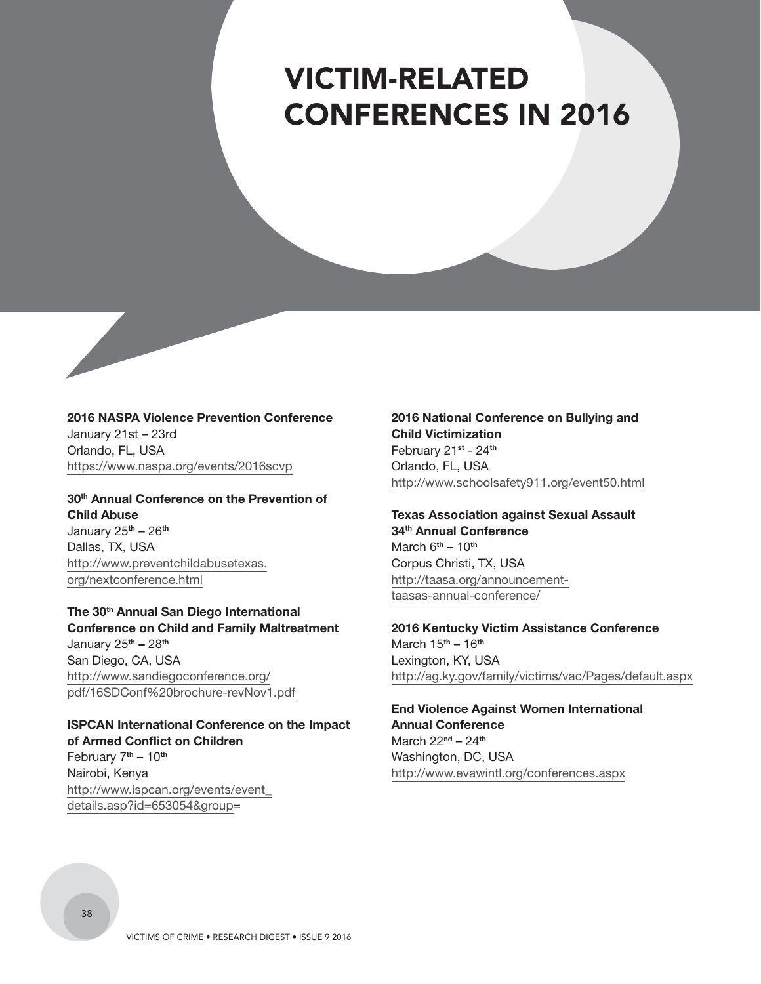## <span id="page-39-0"></span>VICTIM-RELATED CONFERENCES IN 2016

**2016 NASPA Violence Prevention Conference** January 21st – 23rd Orlando, FL, USA https://www.naspa.org/events/2016scvp

**30th Annual Conference on the Prevention of Child Abuse** January 25**th** – 26**th** Dallas, TX, USA [http://www.preventchildabusetexas.](http://www.preventchildabusetexas.org/nextconference.html) org/nextconference.html

**The 30th Annual San Diego International Conference on Child and Family Maltreatment** January 25**th –** 28**th** San Diego, CA, USA http://www.sandiegoconference.org/ [pdf/16SDConf%20brochure-revNov1.pdf](http://www.sandiegoconference.org/pdf/16SDConf%20brochure-revNov1.pdf)

**ISPCAN International Conference on the Impact of Armed Conflict on Children** February 7**th** – 10**th** Nairobi, Kenya [http://www.ispcan.org/events/event\\_](http://www.ispcan.org/events/event_details.asp?id=653054&group=) details.asp?id=653054&group=

**2016 National Conference on Bullying and Child Victimization** February 21**st** - 24**th** Orlando, FL, USA http://www.schoolsafety911.org/event50.html

**Texas Association against Sexual Assault 34th Annual Conference**  March 6**th** – 10**th** Corpus Christi, TX, USA [http://taasa.org/announcement](http://taasa.org/announcement-taasas-annual-conference/)taasas-annual-conference/

**2016 Kentucky Victim Assistance Conference** March 15**th** – 16**th** Lexington, KY, USA http://ag.ky.gov/family/victims/vac/Pages/default.aspx

**End Violence Against Women International Annual Conference** March 22**nd** – 24**th** Washington, DC, USA http://www.evawintl.org/conferences.aspx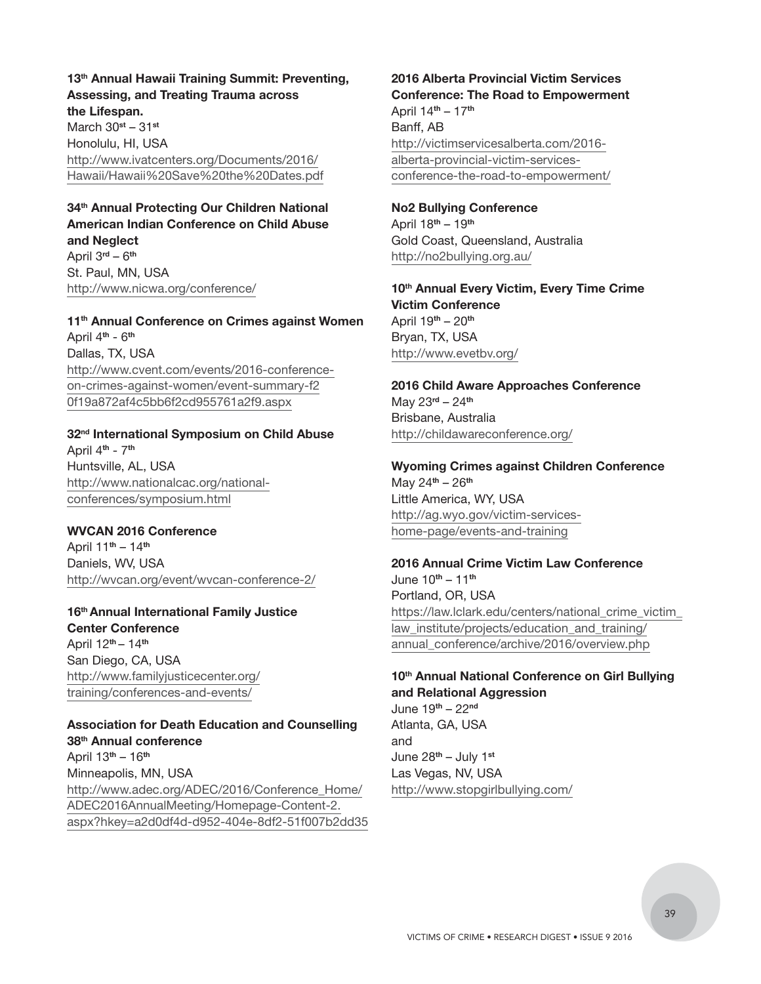**13th Annual Hawaii Training Summit: Preventing, Assessing, and Treating Trauma across the Lifespan.**  March 30**st** – 31**st** Honolulu, HI, USA

http://www.ivatcenters.org/Documents/2016/ [Hawaii/Hawaii%20Save%20the%20Dates.pdf](http://www.ivatcenters.org/Documents/2016/Hawaii/Hawaii%20Save%20the%20Dates.pdf)

#### **34th Annual Protecting Our Children National American Indian Conference on Child Abuse and Neglect**

April 3**rd** – 6**th** St. Paul, MN, USA http://www.nicwa.org/conference/

**11th Annual Conference on Crimes against Women** April 4**th** - 6**th** Dallas, TX, USA [http://www.cvent.com/events/2016-conference](http://www.cvent.com/events/2016-conferenceon-crimes-against-women/event-summary-f20f19a872af4c5bb6f2cd955761a2f9.aspx)on-crimes-against-women/event-summary-f2 0f19a872af4c5bb6f2cd955761a2f9.aspx

#### **32nd International Symposium on Child Abuse** April 4**th** - 7**th** Huntsville, AL, USA [http://www.nationalcac.org/national-](http://www.nationalcac.org/national-conferences/symposium.html)

conferences/symposium.html

#### **WVCAN 2016 Conference**

April 11**th** – 14**th** Daniels, WV, USA http://wvcan.org/event/wvcan-conference-2/

### **16th Annual International Family Justice Center Conference** April 12**th** – 14**th** San Diego, CA, USA [http://www.familyjusticecenter.org/](http://www.familyjusticecenter.org/training/conferences-and-events/) training/conferences-and-events/

**Association for Death Education and Counselling 38th Annual conference** April 13**th** – 16**th** Minneapolis, MN, USA http://www.adec.org/ADEC/2016/Conference\_Home/ ADEC2016AnnualMeeting/Homepage-Content-2. [aspx?hkey=a2d0df4d-d952-404e-8df2-51f007b2dd35](http://www.adec.org/ADEC/2016/Conference_Home/ADEC2016AnnualMeeting/Homepage-Content-2.aspx?hkey=a2d0df4d-d952-404e-8df2-51f007b2dd35)

## **2016 Alberta Provincial Victim Services Conference: The Road to Empowerment** April 14**th** – 17**th**

Banff, AB http://victimservicesalberta.com/2016 alberta-provincial-victim-services[conference-the-road-to-empowerment/](http://victimservicesalberta.com/2016-alberta-provincial-victim-services-conference-the-road-to-empowerment/)

### **No2 Bullying Conference** April 18**th** – 19**th**

Gold Coast, Queensland, Australia http://no2bullying.org.au/

**10th Annual Every Victim, Every Time Crime Victim Conference** April 19**th** – 20**th** Bryan, TX, USA http://www.evetbv.org/

**2016 Child Aware Approaches Conference** May 23**rd** – 24**th** Brisbane, Australia http://childawareconference.org/

#### **Wyoming Crimes against Children Conference** May 24**th** – 26**th** Little America, WY, USA http://ag.wyo.gov/victim-services-

home-page/events-and-training

#### **2016 Annual Crime Victim Law Conference**

June 10**th** – 11**th** Portland, OR, USA https://law.lclark.edu/centers/national\_crime\_victim law\_institute/projects/education\_and\_training/ annual\_conference/archive/2016/overview.php

#### **10th Annual National Conference on Girl Bullying and Relational Aggression** June 19**th** – 22**nd**

Atlanta, GA, USA and June 28**th** – July 1**st**  Las Vegas, NV, USA http://www.stopgirlbullying.com/